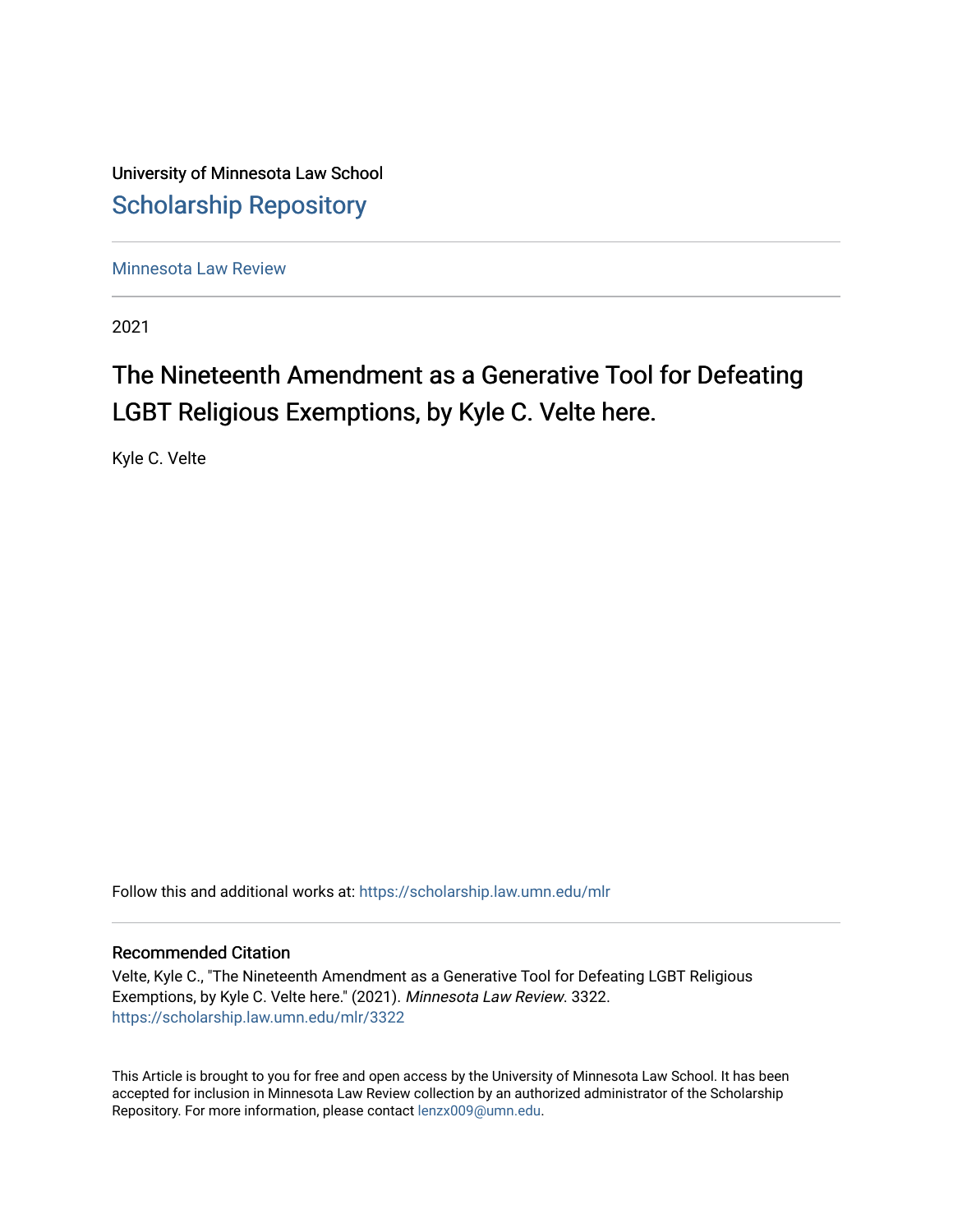University of Minnesota Law School [Scholarship Repository](https://scholarship.law.umn.edu/) 

[Minnesota Law Review](https://scholarship.law.umn.edu/mlr) 

2021

# The Nineteenth Amendment as a Generative Tool for Defeating LGBT Religious Exemptions, by Kyle C. Velte here.

Kyle C. Velte

Follow this and additional works at: [https://scholarship.law.umn.edu/mlr](https://scholarship.law.umn.edu/mlr?utm_source=scholarship.law.umn.edu%2Fmlr%2F3322&utm_medium=PDF&utm_campaign=PDFCoverPages)

## Recommended Citation

Velte, Kyle C., "The Nineteenth Amendment as a Generative Tool for Defeating LGBT Religious Exemptions, by Kyle C. Velte here." (2021). Minnesota Law Review. 3322. [https://scholarship.law.umn.edu/mlr/3322](https://scholarship.law.umn.edu/mlr/3322?utm_source=scholarship.law.umn.edu%2Fmlr%2F3322&utm_medium=PDF&utm_campaign=PDFCoverPages)

This Article is brought to you for free and open access by the University of Minnesota Law School. It has been accepted for inclusion in Minnesota Law Review collection by an authorized administrator of the Scholarship Repository. For more information, please contact [lenzx009@umn.edu.](mailto:lenzx009@umn.edu)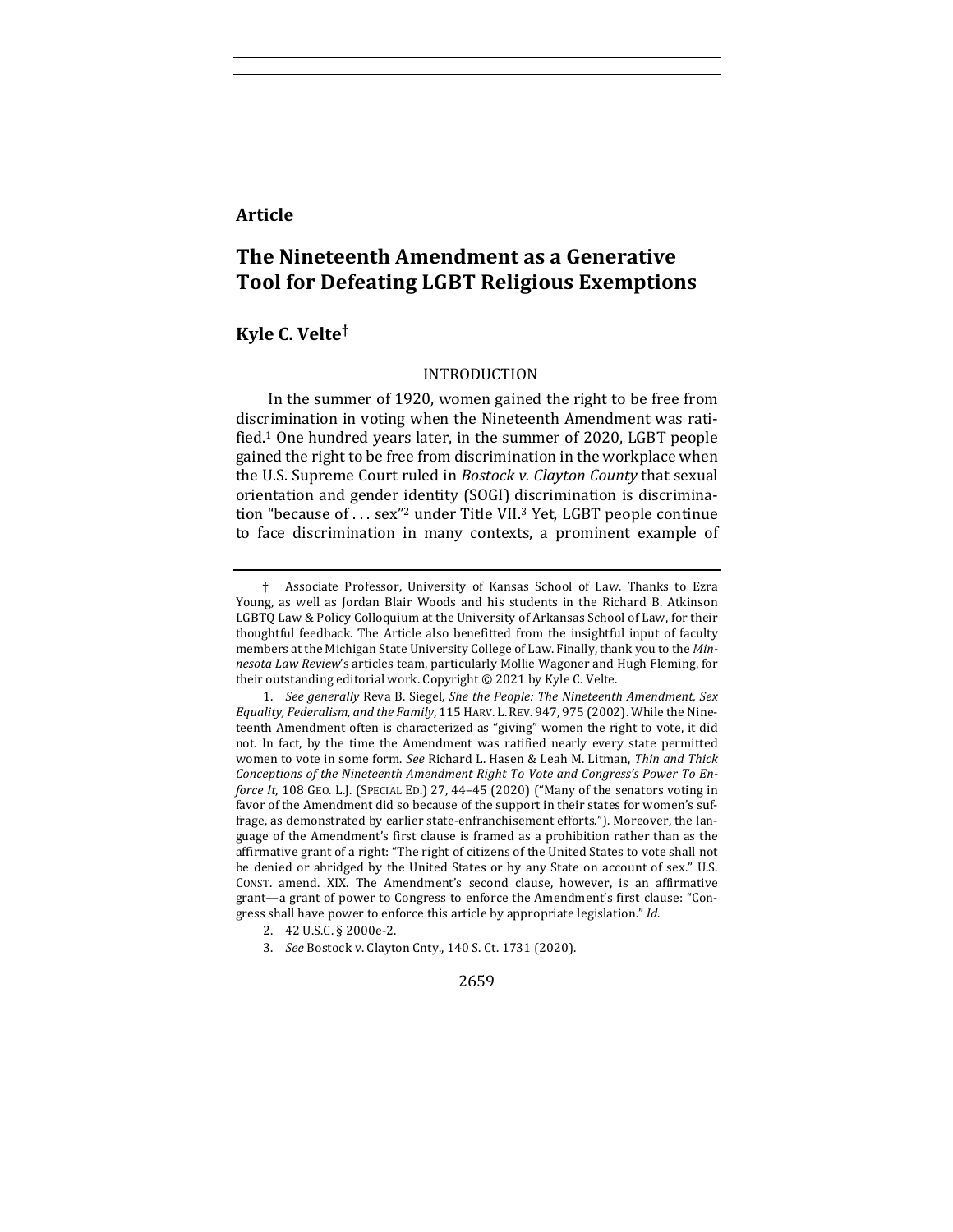## **Article**

## **The Nineteenth Amendment as a Generative Tool for Defeating LGBT Religious Exemptions**

## **Kyle C. Velte†**

#### INTRODUCTION

In the summer of 1920, women gained the right to be free from discrimination in voting when the Nineteenth Amendment was ratified.<sup>1</sup> One hundred years later, in the summer of 2020, LGBT people gained the right to be free from discrimination in the workplace when the U.S. Supreme Court ruled in *Bostock v. Clayton County* that sexual orientation and gender identity (SOGI) discrimination is discrimination "because of  $\ldots$  sex"<sup>2</sup> under Title VII.<sup>3</sup> Yet, LGBT people continue to face discrimination in many contexts, a prominent example of

<sup>†</sup> Associate Professor, University of Kansas School of Law. Thanks to Ezra Young, as well as Jordan Blair Woods and his students in the Richard B. Atkinson LGBTQ Law & Policy Colloquium at the University of Arkansas School of Law, for their thoughtful feedback. The Article also benefitted from the insightful input of faculty members at the Michigan State University College of Law. Finally, thank you to the *Min*nesota Law Review's articles team, particularly Mollie Wagoner and Hugh Fleming, for their outstanding editorial work. Copyright  $©$  2021 by Kyle C. Velte.

<sup>1.</sup> *See generally* Reva B. Siegel, *She the People: The Nineteenth Amendment, Sex Equality, Federalism, and the Family, 115 HARV. L. REV.* 947, 975 (2002). While the Nineteenth Amendment often is characterized as "giving" women the right to vote, it did not. In fact, by the time the Amendment was ratified nearly every state permitted women to vote in some form. See Richard L. Hasen & Leah M. Litman, Thin and Thick *Conceptions of the Nineteenth Amendment Right To Vote and Congress's Power To Enforce It*, 108 GEO. L.J. (SPECIAL ED.) 27, 44-45 (2020) ("Many of the senators voting in favor of the Amendment did so because of the support in their states for women's suffrage, as demonstrated by earlier state-enfranchisement efforts."). Moreover, the language of the Amendment's first clause is framed as a prohibition rather than as the affirmative grant of a right: "The right of citizens of the United States to vote shall not be denied or abridged by the United States or by any State on account of sex." U.S. CONST. amend. XIX. The Amendment's second clause, however, is an affirmative grant-a grant of power to Congress to enforce the Amendment's first clause: "Congress shall have power to enforce this article by appropriate legislation." Id.

<sup>2. 42</sup> U.S.C. § 2000e-2.

<sup>3.</sup> *See* Bostock v. Clayton Cnty., 140 S. Ct. 1731 (2020).

<sup>2659</sup>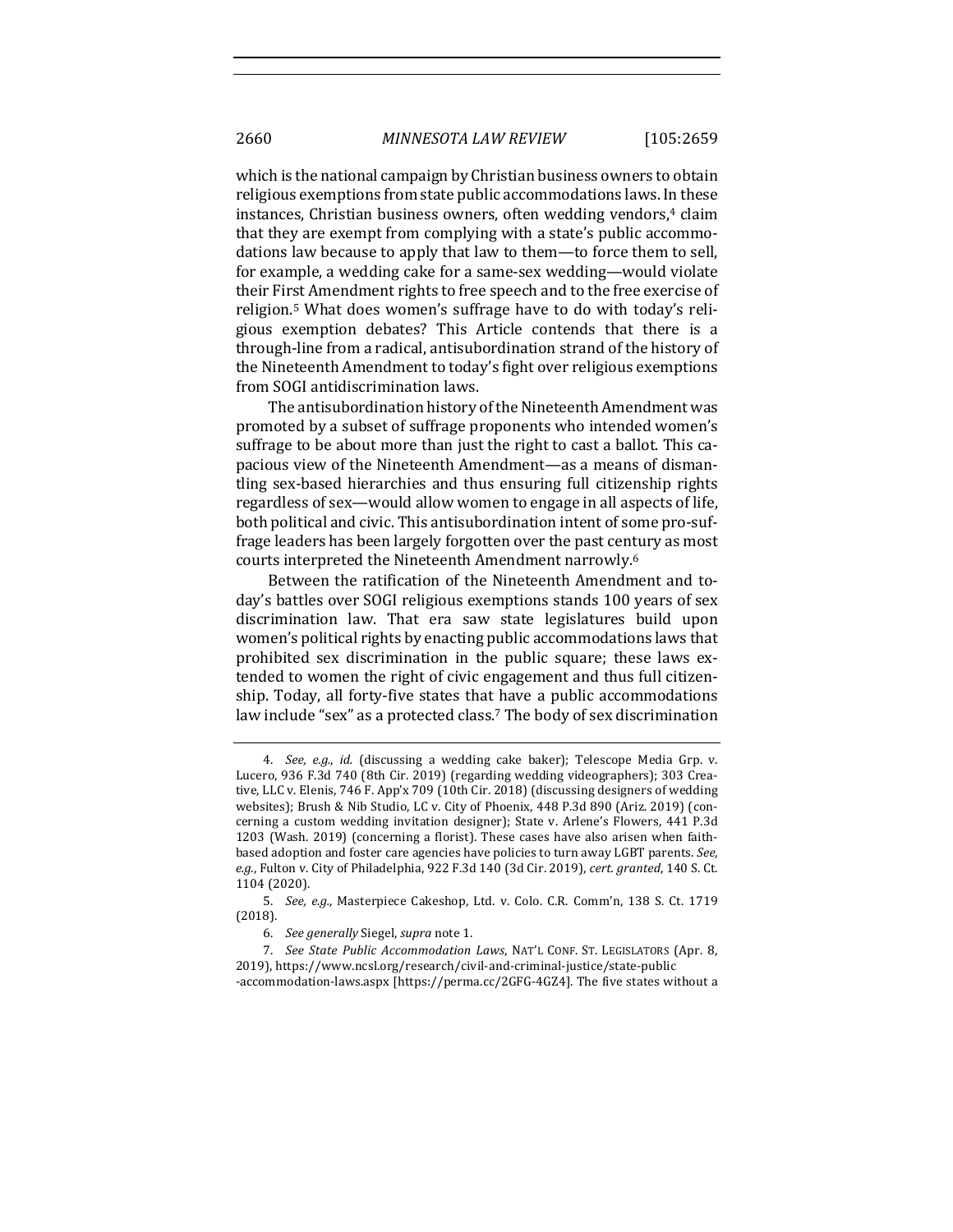which is the national campaign by Christian business owners to obtain religious exemptions from state public accommodations laws. In these instances, Christian business owners, often wedding vendors,<sup>4</sup> claim that they are exempt from complying with a state's public accommodations law because to apply that law to them—to force them to sell, for example, a wedding cake for a same-sex wedding—would violate their First Amendment rights to free speech and to the free exercise of religion.<sup>5</sup> What does women's suffrage have to do with today's religious exemption debates? This Article contends that there is a through-line from a radical, antisubordination strand of the history of the Nineteenth Amendment to today's fight over religious exemptions from SOGI antidiscrimination laws.

The antisubordination history of the Nineteenth Amendment was promoted by a subset of suffrage proponents who intended women's suffrage to be about more than just the right to cast a ballot. This capacious view of the Nineteenth Amendment—as a means of dismantling sex-based hierarchies and thus ensuring full citizenship rights regardless of sex—would allow women to engage in all aspects of life, both political and civic. This antisubordination intent of some pro-suffrage leaders has been largely forgotten over the past century as most courts interpreted the Nineteenth Amendment narrowly.<sup>6</sup>

Between the ratification of the Nineteenth Amendment and today's battles over SOGI religious exemptions stands 100 years of sex discrimination law. That era saw state legislatures build upon women's political rights by enacting public accommodations laws that prohibited sex discrimination in the public square; these laws extended to women the right of civic engagement and thus full citizenship. Today, all forty-five states that have a public accommodations law include "sex" as a protected class.<sup>7</sup> The body of sex discrimination

<sup>4.</sup> *See, e.g., id.* (discussing a wedding cake baker); Telescope Media Grp. v. Lucero, 936 F.3d 740 (8th Cir. 2019) (regarding wedding videographers); 303 Creative, LLC v. Elenis, 746 F. App'x 709 (10th Cir. 2018) (discussing designers of wedding websites); Brush & Nib Studio, LC v. City of Phoenix, 448 P.3d 890 (Ariz. 2019) (concerning a custom wedding invitation designer); State v. Arlene's Flowers, 441 P.3d 1203 (Wash. 2019) (concerning a florist). These cases have also arisen when faithbased adoption and foster care agencies have policies to turn away LGBT parents. See, e.g., Fulton v. City of Philadelphia, 922 F.3d 140 (3d Cir. 2019), cert. granted, 140 S. Ct. 1104 (2020).

<sup>5.</sup> *See, e.g.*, Masterpiece Cakeshop, Ltd. v. Colo. C.R. Comm'n, 138 S. Ct. 1719 (2018). 

<sup>6.</sup> *See generally* Siegel, *supra* note 1.

<sup>7.</sup> *See State Public Accommodation Laws*, NAT'L CONF. ST. LEGISLATORS (Apr. 8, 2019), https://www.ncsl.org/research/civil-and-criminal-justice/state-public -accommodation-laws.aspx [https://perma.cc/2GFG-4GZ4]. The five states without a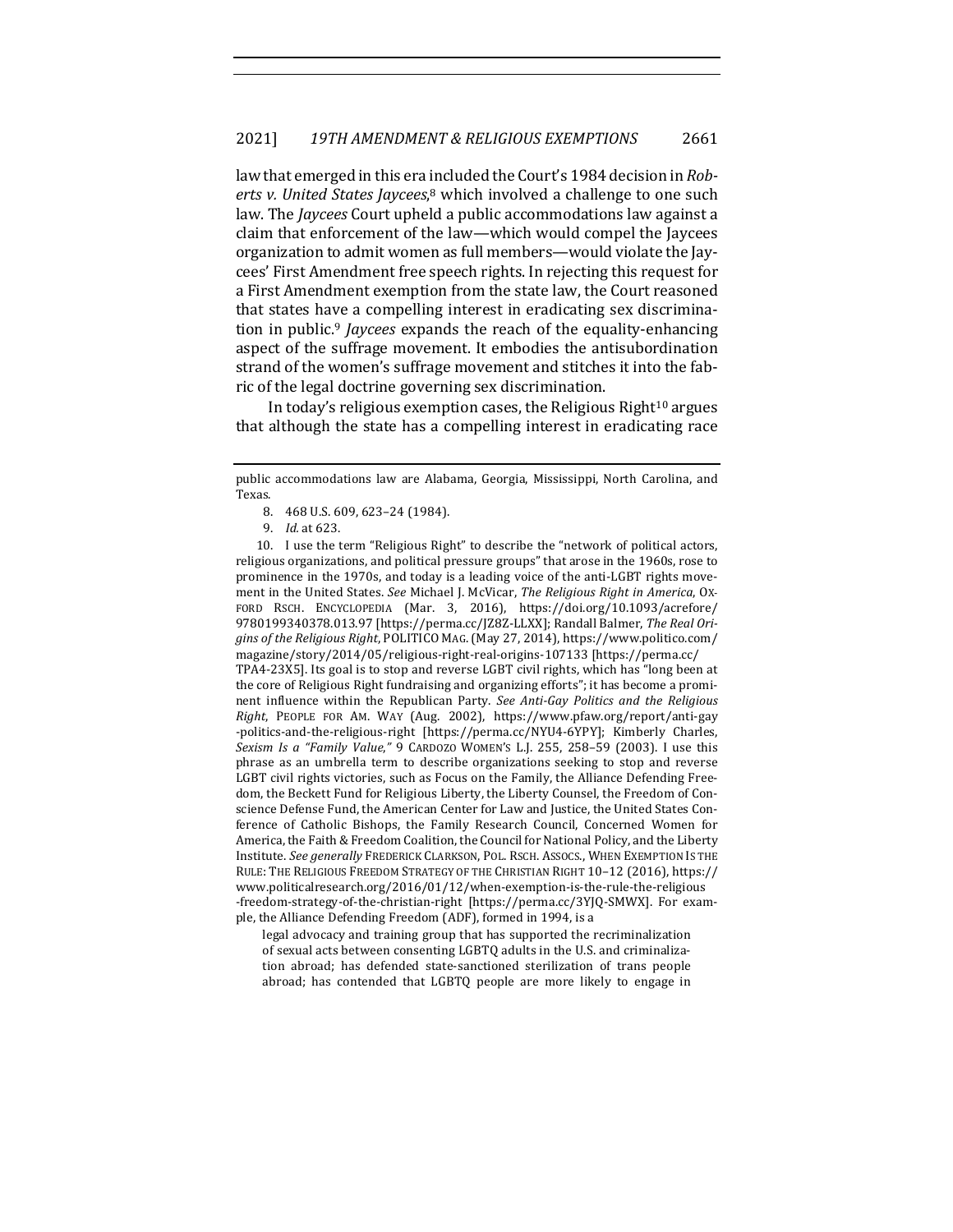law that emerged in this era included the Court's 1984 decision in *Rob*erts v. United States Jaycees,<sup>8</sup> which involved a challenge to one such law. The *Jaycees* Court upheld a public accommodations law against a claim that enforcement of the law—which would compel the Jaycees organization to admit women as full members—would violate the Jaycees' First Amendment free speech rights. In rejecting this request for a First Amendment exemption from the state law, the Court reasoned that states have a compelling interest in eradicating sex discrimination in public.<sup>9</sup> *Jaycees* expands the reach of the equality-enhancing aspect of the suffrage movement. It embodies the antisubordination strand of the women's suffrage movement and stitches it into the fabric of the legal doctrine governing sex discrimination.

In today's religious exemption cases, the Religious Right<sup>10</sup> argues that although the state has a compelling interest in eradicating race

- 8. 468 U.S. 609, 623-24 (1984).
- 9. *Id.* at 623.

10. I use the term "Religious Right" to describe the "network of political actors, religious organizations, and political pressure groups" that arose in the 1960s, rose to prominence in the 1970s, and today is a leading voice of the anti-LGBT rights movement in the United States. See Michael J. McVicar, *The Religious Right in America*, Ox-FORD RSCH. ENCYCLOPEDIA (Mar. 3, 2016), https://doi.org/10.1093/acrefore/ 9780199340378.013.97 [https://perma.cc/JZ8Z-LLXX]; Randall Balmer, The Real Origins of the Religious Right, POLITICO MAG. (May 27, 2014), https://www.politico.com/ magazine/story/2014/05/religious-right-real-origins-107133 [https://perma.cc/ TPA4-23X5]. Its goal is to stop and reverse LGBT civil rights, which has "long been at the core of Religious Right fundraising and organizing efforts"; it has become a prominent influence within the Republican Party. See Anti-Gay Politics and the Religious *Right*, PEOPLE FOR AM. WAY (Aug. 2002), https://www.pfaw.org/report/anti-gay -politics-and-the-religious-right [https://perma.cc/NYU4-6YPY]; Kimberly Charles, *Sexism Is a "Family Value,"* 9 CARDOZO WOMEN'S L.J. 255, 258–59 (2003). I use this phrase as an umbrella term to describe organizations seeking to stop and reverse LGBT civil rights victories, such as Focus on the Family, the Alliance Defending Freedom, the Beckett Fund for Religious Liberty, the Liberty Counsel, the Freedom of Conscience Defense Fund, the American Center for Law and Justice, the United States Conference of Catholic Bishops, the Family Research Council, Concerned Women for America, the Faith & Freedom Coalition, the Council for National Policy, and the Liberty Institute. See generally FREDERICK CLARKSON, POL. RSCH. ASSOCS., WHEN EXEMPTION IS THE RULE: THE RELIGIOUS FREEDOM STRATEGY OF THE CHRISTIAN RIGHT 10-12 (2016), https:// www.politicalresearch.org/2016/01/12/when-exemption-is-the-rule-the-religious -freedom-strategy-of-the-christian-right [https://perma.cc/3YJQ-SMWX]. For example, the Alliance Defending Freedom (ADF), formed in 1994, is a

legal advocacy and training group that has supported the recriminalization of sexual acts between consenting LGBTQ adults in the U.S. and criminalization abroad; has defended state-sanctioned sterilization of trans people abroad; has contended that LGBTQ people are more likely to engage in

public accommodations law are Alabama, Georgia, Mississippi, North Carolina, and Texas.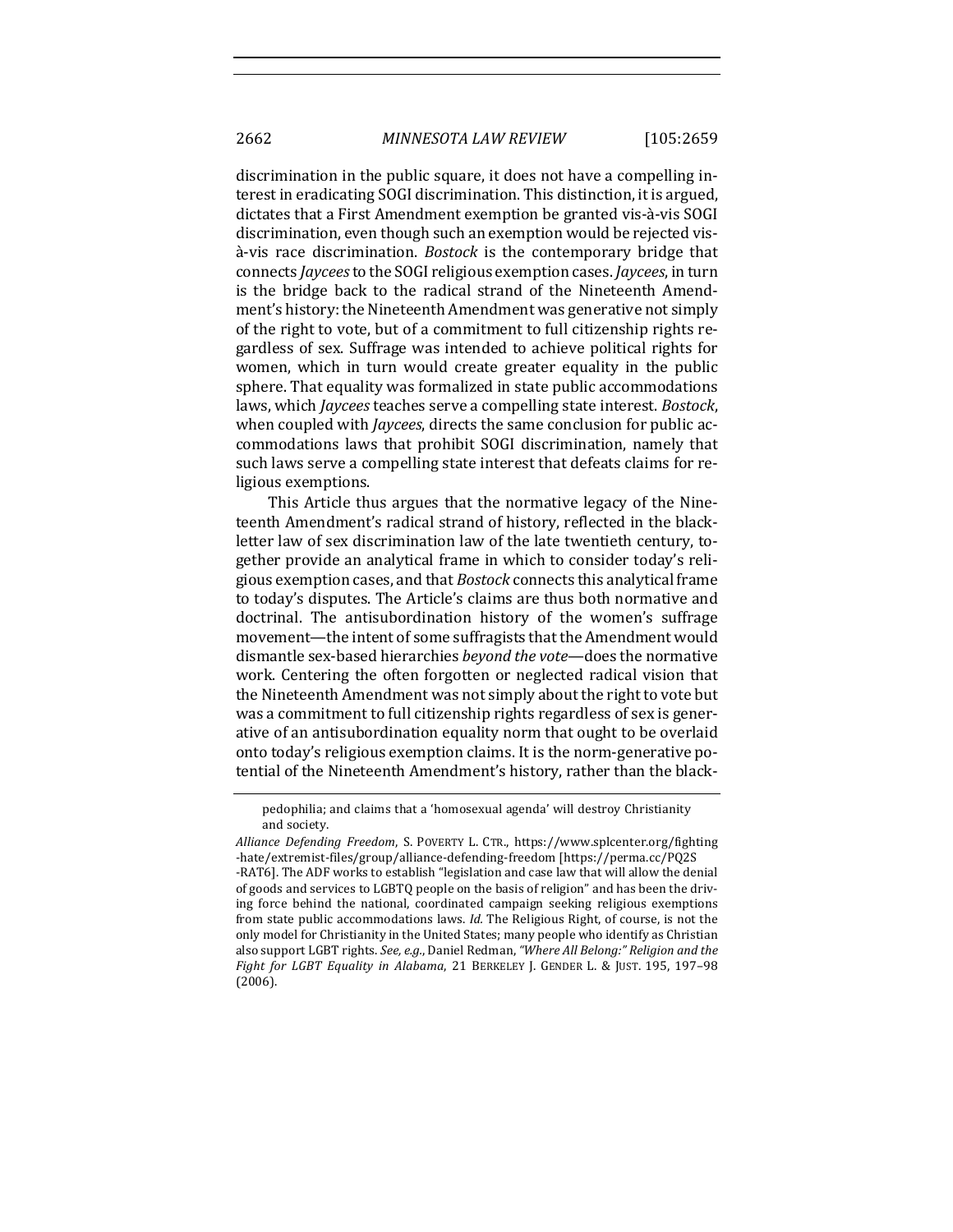discrimination in the public square, it does not have a compelling interest in eradicating SOGI discrimination. This distinction, it is argued, dictates that a First Amendment exemption be granted vis-à-vis SOGI discrimination, even though such an exemption would be rejected vis- $\lambda$ -vis race discrimination. *Bostock* is the contemporary bridge that connects *Jaycees* to the SOGI religious exemption cases. *Jaycees*, in turn is the bridge back to the radical strand of the Nineteenth Amendment's history: the Nineteenth Amendment was generative not simply of the right to vote, but of a commitment to full citizenship rights regardless of sex. Suffrage was intended to achieve political rights for women, which in turn would create greater equality in the public sphere. That equality was formalized in state public accommodations laws, which *Jaycees* teaches serve a compelling state interest. *Bostock*, when coupled with *Jaycees*, directs the same conclusion for public accommodations laws that prohibit SOGI discrimination, namely that such laws serve a compelling state interest that defeats claims for religious exemptions.

This Article thus argues that the normative legacy of the Nineteenth Amendment's radical strand of history, reflected in the blackletter law of sex discrimination law of the late twentieth century, together provide an analytical frame in which to consider today's religious exemption cases, and that *Bostock* connects this analytical frame to today's disputes. The Article's claims are thus both normative and doctrinal. The antisubordination history of the women's suffrage movement—the intent of some suffragists that the Amendment would dismantle sex-based hierarchies *beyond the vote*—does the normative work. Centering the often forgotten or neglected radical vision that the Nineteenth Amendment was not simply about the right to vote but was a commitment to full citizenship rights regardless of sex is generative of an antisubordination equality norm that ought to be overlaid onto today's religious exemption claims. It is the norm-generative potential of the Nineteenth Amendment's history, rather than the black-

pedophilia; and claims that a 'homosexual agenda' will destroy Christianity and society.

*Alliance Defending Freedom*, S. POVERTY L. CTR., https://www.splcenter.org/fighting -hate/extremist-files/group/alliance-defending-freedom [https://perma.cc/PQ2S -RAT6]. The ADF works to establish "legislation and case law that will allow the denial of goods and services to LGBTQ people on the basis of religion" and has been the driving force behind the national, coordinated campaign seeking religious exemptions from state public accommodations laws. *Id.* The Religious Right, of course, is not the only model for Christianity in the United States; many people who identify as Christian also support LGBT rights. See, e.g., Daniel Redman, "Where All Belong:" Religion and the Fight for LGBT Equality in Alabama, 21 BERKELEY J. GENDER L. & JUST. 195, 197-98 (2006).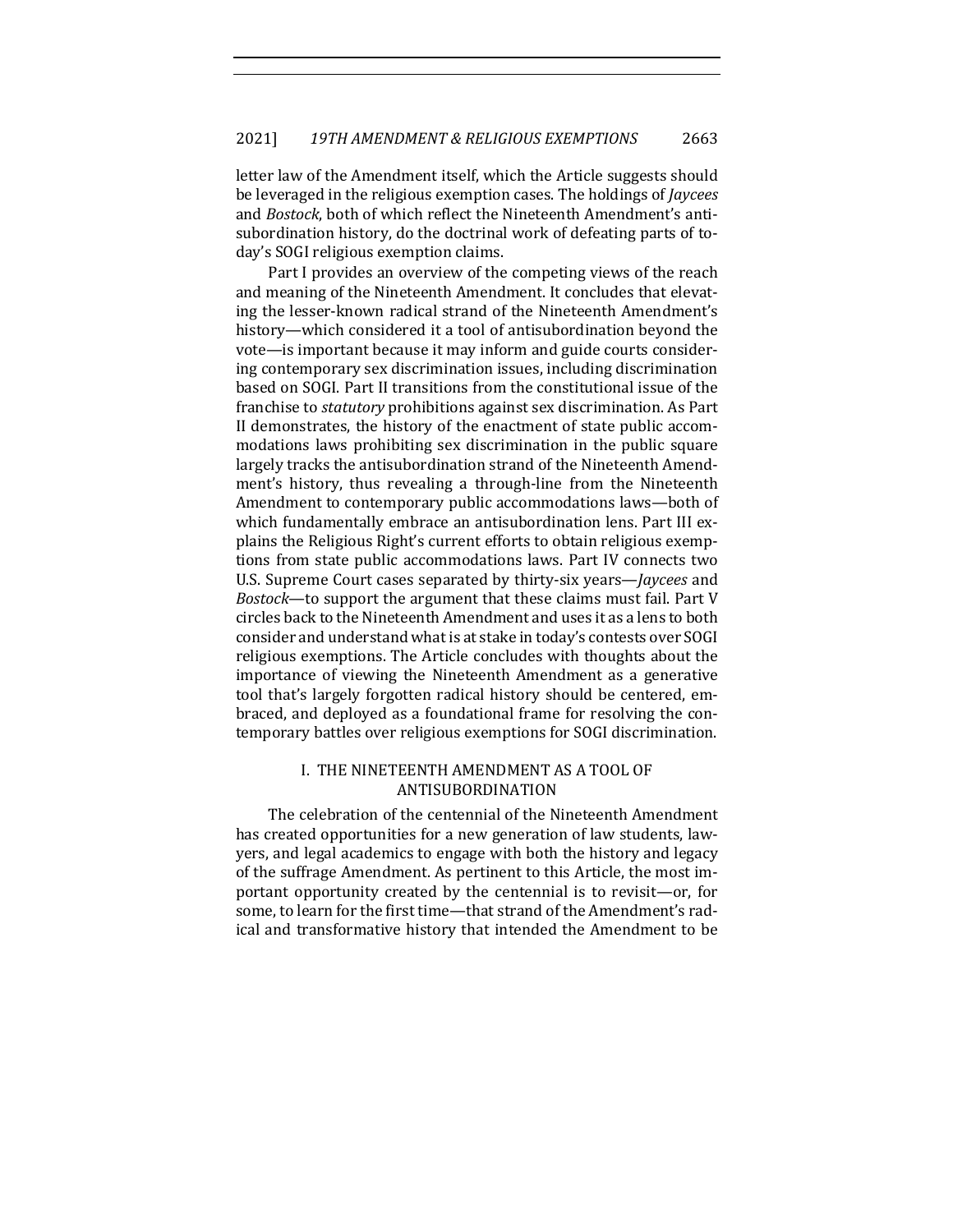letter law of the Amendment itself, which the Article suggests should be leveraged in the religious exemption cases. The holdings of *Jaycees* and *Bostock*, both of which reflect the Nineteenth Amendment's antisubordination history, do the doctrinal work of defeating parts of today's SOGI religious exemption claims.

Part I provides an overview of the competing views of the reach and meaning of the Nineteenth Amendment. It concludes that elevating the lesser-known radical strand of the Nineteenth Amendment's history—which considered it a tool of antisubordination beyond the vote—is important because it may inform and guide courts considering contemporary sex discrimination issues, including discrimination based on SOGI. Part II transitions from the constitutional issue of the franchise to *statutory* prohibitions against sex discrimination. As Part II demonstrates, the history of the enactment of state public accommodations laws prohibiting sex discrimination in the public square largely tracks the antisubordination strand of the Nineteenth Amendment's history, thus revealing a through-line from the Nineteenth Amendment to contemporary public accommodations laws—both of which fundamentally embrace an antisubordination lens. Part III explains the Religious Right's current efforts to obtain religious exemptions from state public accommodations laws. Part IV connects two U.S. Supreme Court cases separated by thirty-six years—*Jaycees* and *Bostock*—to support the argument that these claims must fail. Part V circles back to the Nineteenth Amendment and uses it as a lens to both consider and understand what is at stake in today's contests over SOGI religious exemptions. The Article concludes with thoughts about the importance of viewing the Nineteenth Amendment as a generative tool that's largely forgotten radical history should be centered, embraced, and deployed as a foundational frame for resolving the contemporary battles over religious exemptions for SOGI discrimination.

## I. THE NINETEENTH AMENDMENT AS A TOOL OF ANTISUBORDINATION

The celebration of the centennial of the Nineteenth Amendment has created opportunities for a new generation of law students, lawyers, and legal academics to engage with both the history and legacy of the suffrage Amendment. As pertinent to this Article, the most important opportunity created by the centennial is to revisit—or, for some, to learn for the first time-that strand of the Amendment's radical and transformative history that intended the Amendment to be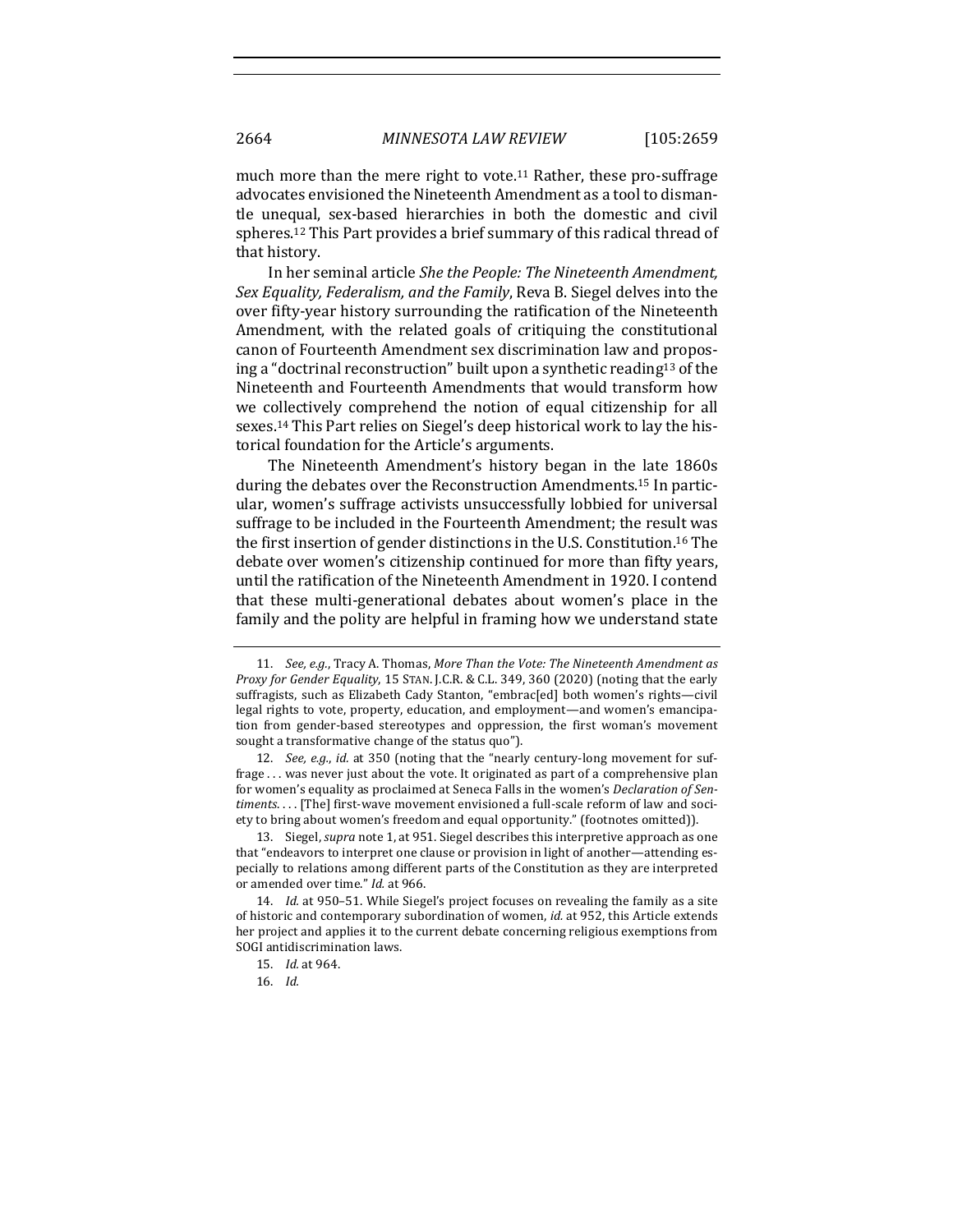much more than the mere right to vote.<sup>11</sup> Rather, these pro-suffrage advocates envisioned the Nineteenth Amendment as a tool to dismantle unequal, sex-based hierarchies in both the domestic and civil spheres.<sup>12</sup> This Part provides a brief summary of this radical thread of that history.

In her seminal article *She the People: The Nineteenth Amendment*, *Sex Equality, Federalism, and the Family, Reva B. Siegel delves into the* over fifty-year history surrounding the ratification of the Nineteenth Amendment, with the related goals of critiquing the constitutional canon of Fourteenth Amendment sex discrimination law and proposing a "doctrinal reconstruction" built upon a synthetic reading<sup>13</sup> of the Nineteenth and Fourteenth Amendments that would transform how we collectively comprehend the notion of equal citizenship for all sexes.<sup>14</sup> This Part relies on Siegel's deep historical work to lay the historical foundation for the Article's arguments.

The Nineteenth Amendment's history began in the late 1860s during the debates over the Reconstruction Amendments.<sup>15</sup> In particular, women's suffrage activists unsuccessfully lobbied for universal suffrage to be included in the Fourteenth Amendment; the result was the first insertion of gender distinctions in the U.S. Constitution.<sup>16</sup> The debate over women's citizenship continued for more than fifty years, until the ratification of the Nineteenth Amendment in 1920. I contend that these multi-generational debates about women's place in the family and the polity are helpful in framing how we understand state

12. *See, e.g., id.* at 350 (noting that the "nearly century-long movement for suffrage ... was never just about the vote. It originated as part of a comprehensive plan for women's equality as proclaimed at Seneca Falls in the women's *Declaration of Sen*timents.... [The] first-wave movement envisioned a full-scale reform of law and society to bring about women's freedom and equal opportunity." (footnotes omitted)).

13. Siegel, *supra* note 1, at 951. Siegel describes this interpretive approach as one that "endeavors to interpret one clause or provision in light of another—attending especially to relations among different parts of the Constitution as they are interpreted or amended over time." Id. at 966.

14. *Id.* at 950-51. While Siegel's project focuses on revealing the family as a site of historic and contemporary subordination of women, *id.* at 952, this Article extends her project and applies it to the current debate concerning religious exemptions from SOGI antidiscrimination laws.

- 15. *Id.* at 964.
- 16. *Id.*

<sup>11.</sup> *See, e.g.*, Tracy A. Thomas, More Than the Vote: The Nineteenth Amendment as *Proxy for Gender Equality*, 15 STAN. J.C.R. & C.L. 349, 360 (2020) (noting that the early suffragists, such as Elizabeth Cady Stanton, "embrac[ed] both women's rights-civil legal rights to vote, property, education, and employment—and women's emancipation from gender-based stereotypes and oppression, the first woman's movement sought a transformative change of the status quo").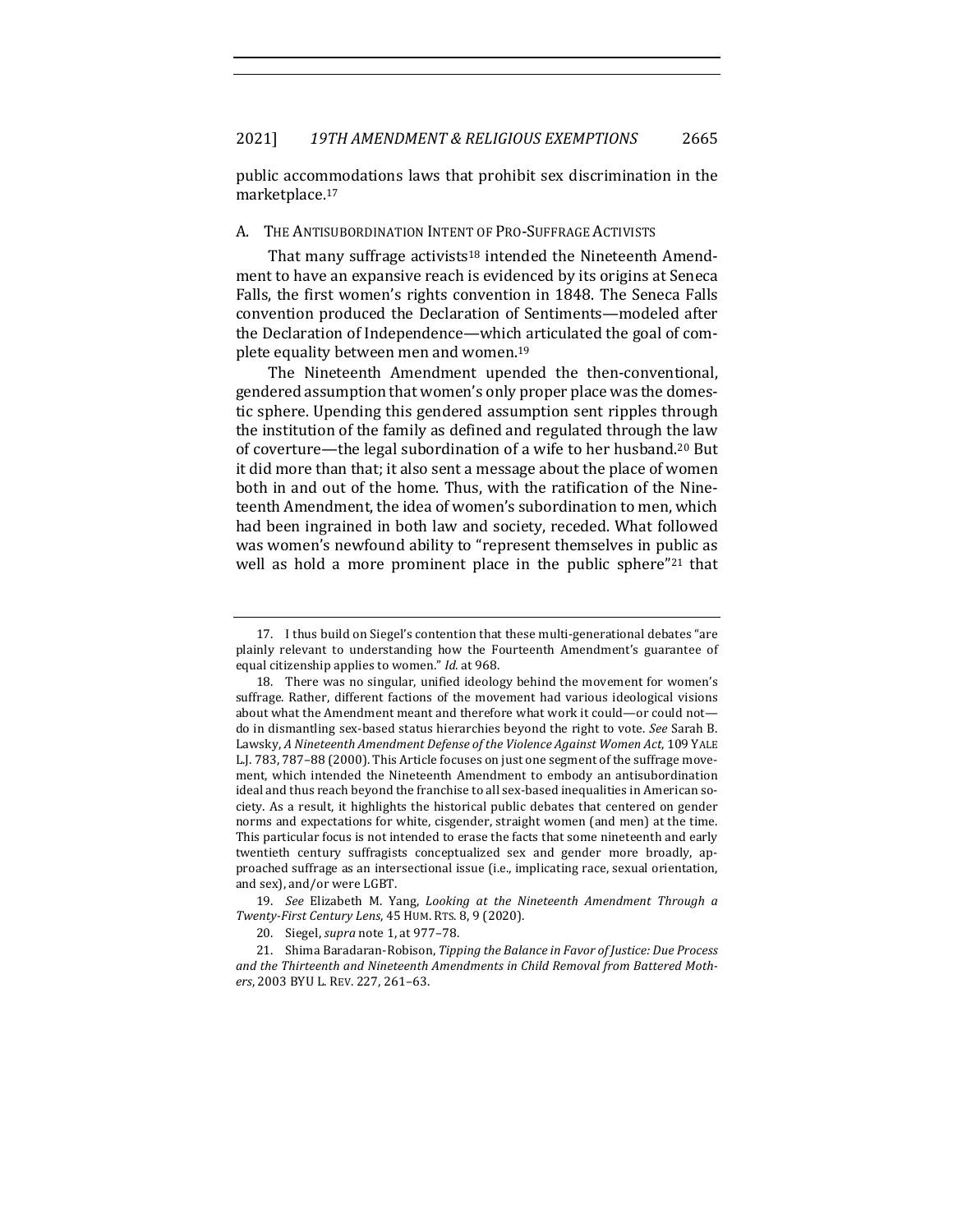public accommodations laws that prohibit sex discrimination in the marketplace.17

#### A. THE ANTISUBORDINATION INTENT OF PRO-SUFFRAGE ACTIVISTS

That many suffrage activists<sup>18</sup> intended the Nineteenth Amendment to have an expansive reach is evidenced by its origins at Seneca Falls, the first women's rights convention in 1848. The Seneca Falls convention produced the Declaration of Sentiments—modeled after the Declaration of Independence—which articulated the goal of complete equality between men and women.<sup>19</sup>

The Nineteenth Amendment upended the then-conventional, gendered assumption that women's only proper place was the domestic sphere. Upending this gendered assumption sent ripples through the institution of the family as defined and regulated through the law of coverture—the legal subordination of a wife to her husband.<sup>20</sup> But it did more than that; it also sent a message about the place of women both in and out of the home. Thus, with the ratification of the Nineteenth Amendment, the idea of women's subordination to men, which had been ingrained in both law and society, receded. What followed was women's newfound ability to "represent themselves in public as well as hold a more prominent place in the public sphere"21 that

<sup>17.</sup> I thus build on Siegel's contention that these multi-generational debates "are plainly relevant to understanding how the Fourteenth Amendment's guarantee of equal citizenship applies to women." *Id.* at 968.

<sup>18.</sup> There was no singular, unified ideology behind the movement for women's suffrage. Rather, different factions of the movement had various ideological visions about what the Amendment meant and therefore what work it could—or could not do in dismantling sex-based status hierarchies beyond the right to vote. See Sarah B. Lawsky, A Nineteenth Amendment Defense of the Violence Against Women Act, 109 YALE L.J. 783, 787-88 (2000). This Article focuses on just one segment of the suffrage movement, which intended the Nineteenth Amendment to embody an antisubordination ideal and thus reach beyond the franchise to all sex-based inequalities in American society. As a result, it highlights the historical public debates that centered on gender norms and expectations for white, cisgender, straight women (and men) at the time. This particular focus is not intended to erase the facts that some nineteenth and early twentieth century suffragists conceptualized sex and gender more broadly, approached suffrage as an intersectional issue (i.e., implicating race, sexual orientation, and sex), and/or were LGBT.

<sup>19.</sup> See Elizabeth M. Yang, *Looking at the Nineteenth Amendment Through a Twenty-First Century Lens*, 45 HUM. RTS. 8, 9 (2020).

<sup>20.</sup> Siegel, *supra* note 1, at 977-78.

<sup>21.</sup> Shima Baradaran-Robison, *Tipping the Balance in Favor of Justice: Due Process* and the Thirteenth and Nineteenth Amendments in Child Removal from Battered Mothers, 2003 BYU L. REV. 227, 261-63.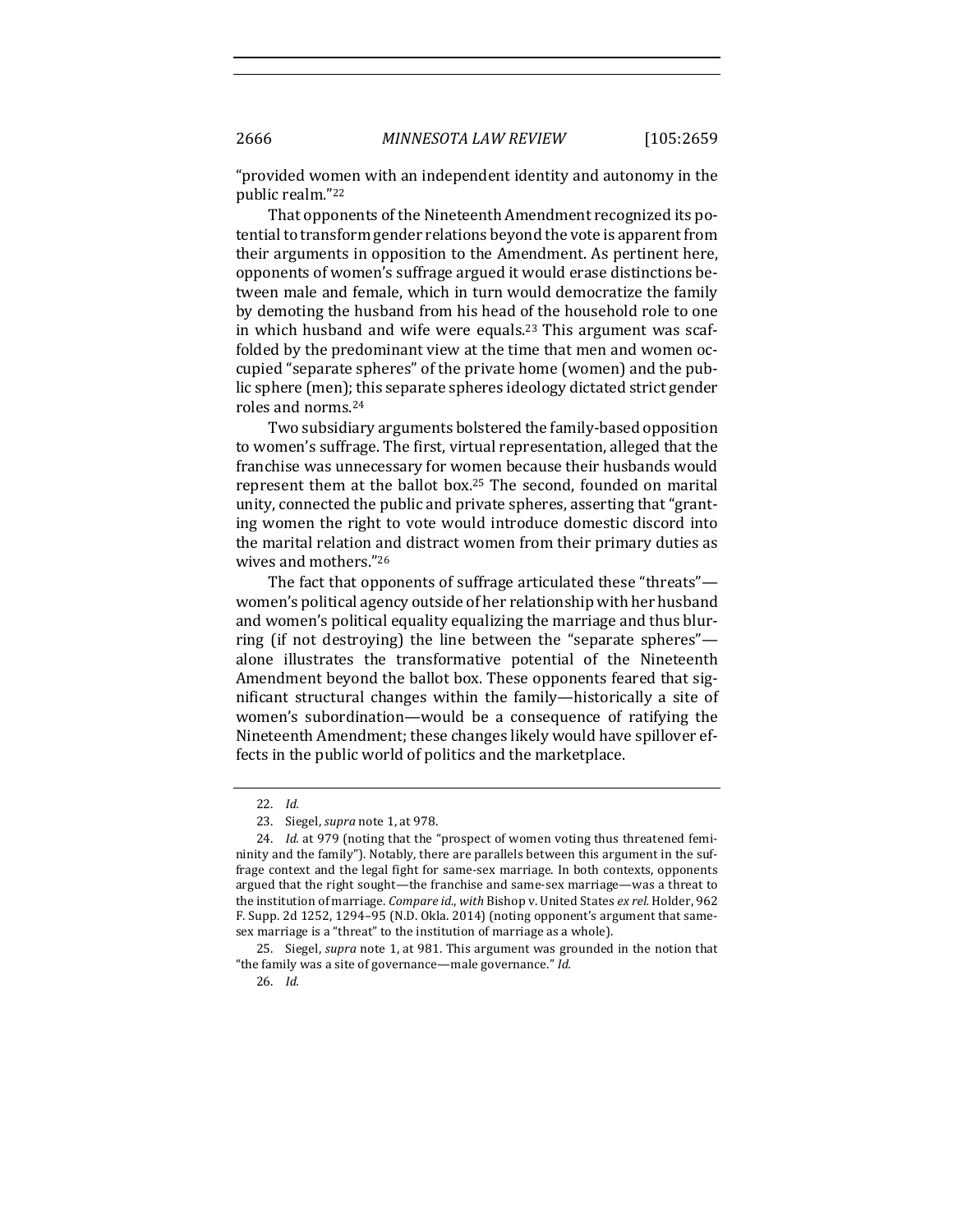2666 *MINNESOTA LAW REVIEW* [105:2659

"provided women with an independent identity and autonomy in the public realm."22

That opponents of the Nineteenth Amendment recognized its potential to transform gender relations beyond the vote is apparent from their arguments in opposition to the Amendment. As pertinent here, opponents of women's suffrage argued it would erase distinctions between male and female, which in turn would democratize the family by demoting the husband from his head of the household role to one in which husband and wife were equals.<sup>23</sup> This argument was scaffolded by the predominant view at the time that men and women occupied "separate spheres" of the private home (women) and the public sphere (men); this separate spheres ideology dictated strict gender roles and norms.<sup>24</sup>

Two subsidiary arguments bolstered the family-based opposition to women's suffrage. The first, virtual representation, alleged that the franchise was unnecessary for women because their husbands would represent them at the ballot box.<sup>25</sup> The second, founded on marital unity, connected the public and private spheres, asserting that "granting women the right to vote would introduce domestic discord into the marital relation and distract women from their primary duties as wives and mothers."26

The fact that opponents of suffrage articulated these "threats" women's political agency outside of her relationship with her husband and women's political equality equalizing the marriage and thus blurring (if not destroying) the line between the "separate spheres" alone illustrates the transformative potential of the Nineteenth Amendment beyond the ballot box. These opponents feared that significant structural changes within the family—historically a site of women's subordination—would be a consequence of ratifying the Nineteenth Amendment; these changes likely would have spillover effects in the public world of politics and the marketplace.

26. *Id.*

<sup>22.</sup> *Id.*

<sup>23.</sup> Siegel, *supra* note 1, at 978.

<sup>24.</sup> *Id.* at 979 (noting that the "prospect of women voting thus threatened femininity and the family"). Notably, there are parallels between this argument in the suffrage context and the legal fight for same-sex marriage. In both contexts, opponents argued that the right sought—the franchise and same-sex marriage—was a threat to the institution of marriage. *Compare id.*, *with* Bishop v. United States *ex rel.* Holder, 962 F. Supp. 2d 1252, 1294–95 (N.D. Okla. 2014) (noting opponent's argument that samesex marriage is a "threat" to the institution of marriage as a whole).

<sup>25.</sup> Siegel, *supra* note 1, at 981. This argument was grounded in the notion that "the family was a site of governance—male governance." Id.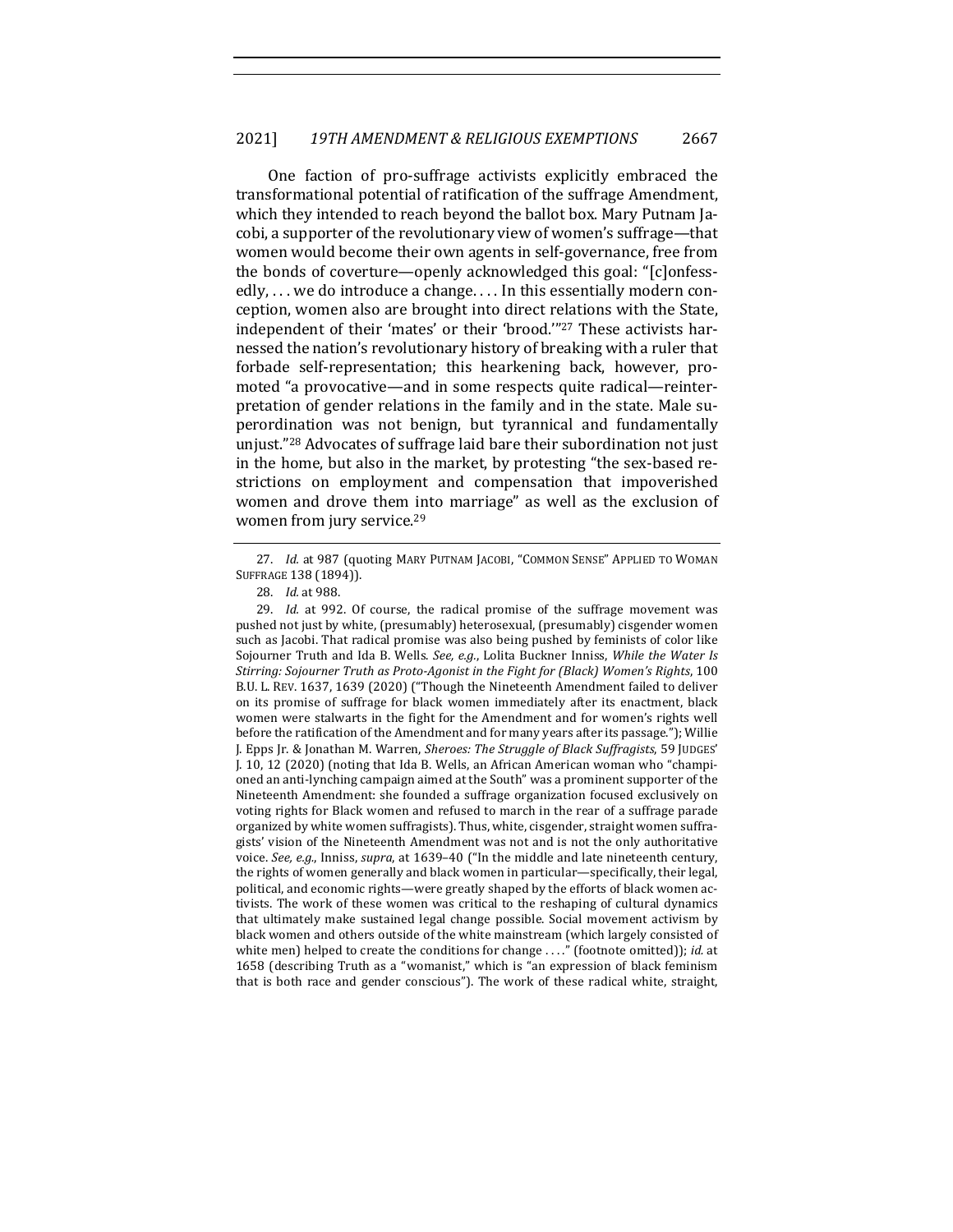One faction of pro-suffrage activists explicitly embraced the transformational potential of ratification of the suffrage Amendment, which they intended to reach beyond the ballot box. Mary Putnam Jacobi, a supporter of the revolutionary view of women's suffrage—that women would become their own agents in self-governance, free from the bonds of coverture—openly acknowledged this goal: "[c]onfessedly,  $\dots$  we do introduce a change.  $\dots$  In this essentially modern conception, women also are brought into direct relations with the State, independent of their 'mates' or their 'brood."<sup>27</sup> These activists harnessed the nation's revolutionary history of breaking with a ruler that forbade self-representation; this hearkening back, however, promoted "a provocative—and in some respects quite radical—reinterpretation of gender relations in the family and in the state. Male superordination was not benign, but tyrannical and fundamentally unjust."<sup>28</sup> Advocates of suffrage laid bare their subordination not just in the home, but also in the market, by protesting "the sex-based restrictions on employment and compensation that impoverished women and drove them into marriage" as well as the exclusion of women from jury service.<sup>29</sup>

<sup>27.</sup> *Id.* at 987 (quoting MARY PUTNAM JACOBI, "COMMON SENSE" APPLIED TO WOMAN SUFFRAGE 138 (1894)).

<sup>28.</sup> *Id.* at 988.

<sup>29.</sup> *Id.* at 992. Of course, the radical promise of the suffrage movement was pushed not just by white, (presumably) heterosexual, (presumably) cisgender women such as Jacobi. That radical promise was also being pushed by feminists of color like Sojourner Truth and Ida B. Wells. See, e.g., Lolita Buckner Inniss, While the Water Is Stirring: Sojourner Truth as Proto-Agonist in the Fight for (Black) Women's Rights, 100 B.U. L. REV. 1637, 1639 (2020) ("Though the Nineteenth Amendment failed to deliver on its promise of suffrage for black women immediately after its enactment, black women were stalwarts in the fight for the Amendment and for women's rights well before the ratification of the Amendment and for many years after its passage."); Willie J. Epps Jr. & Jonathan M. Warren, Sheroes: The Struggle of Black Suffragists, 59 JUDGES' J. 10, 12 (2020) (noting that Ida B. Wells, an African American woman who "championed an anti-lynching campaign aimed at the South" was a prominent supporter of the Nineteenth Amendment: she founded a suffrage organization focused exclusively on voting rights for Black women and refused to march in the rear of a suffrage parade organized by white women suffragists). Thus, white, cisgender, straight women suffragists' vision of the Nineteenth Amendment was not and is not the only authoritative voice. See, e.g., Inniss, *supra*, at 1639-40 ("In the middle and late nineteenth century, the rights of women generally and black women in particular—specifically, their legal, political, and economic rights—were greatly shaped by the efforts of black women activists. The work of these women was critical to the reshaping of cultural dynamics that ultimately make sustained legal change possible. Social movement activism by black women and others outside of the white mainstream (which largely consisted of white men) helped to create the conditions for change ...." (footnote omitted)); *id.* at 1658 (describing Truth as a "womanist," which is "an expression of black feminism that is both race and gender conscious"). The work of these radical white, straight,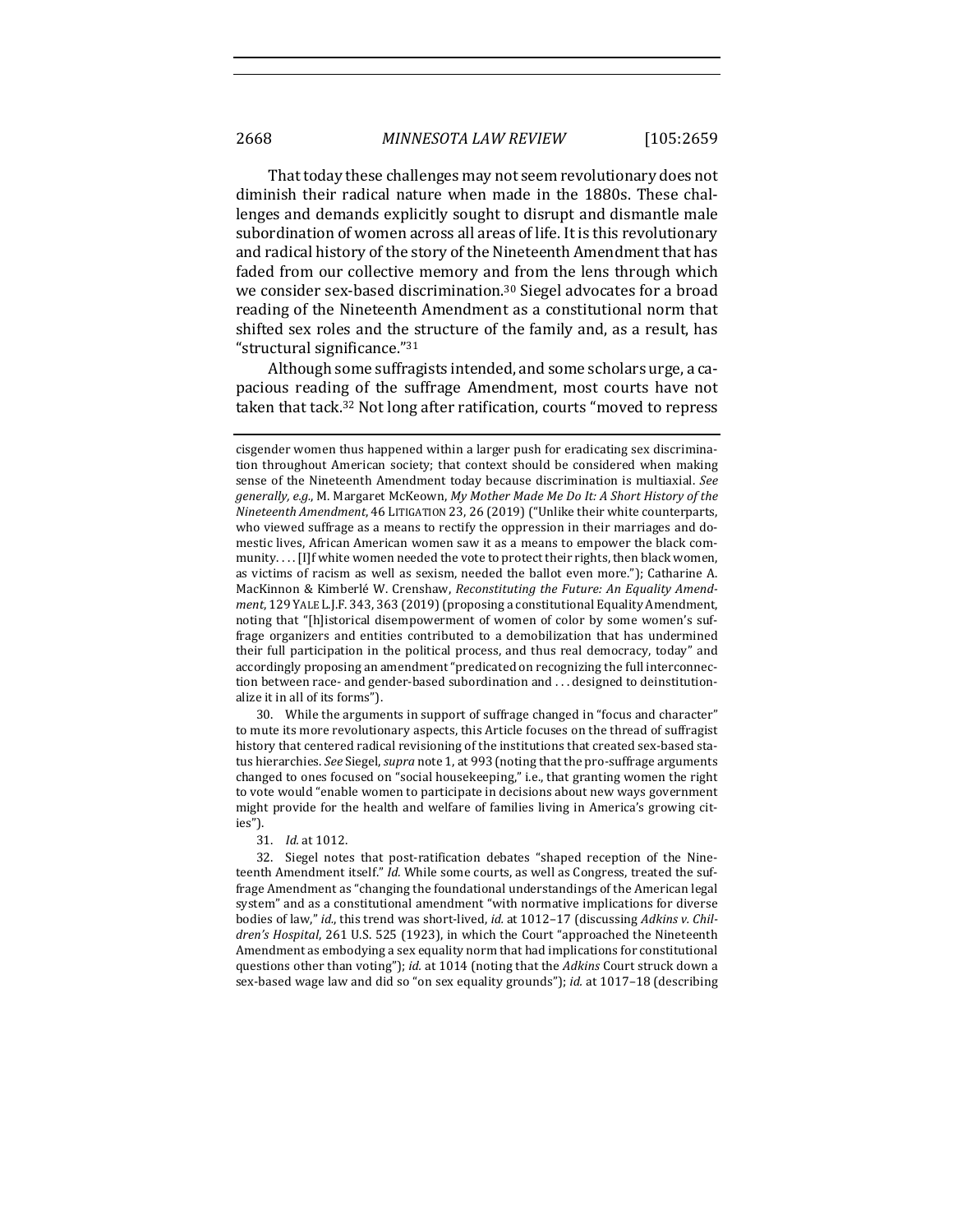That today these challenges may not seem revolutionary does not diminish their radical nature when made in the 1880s. These challenges and demands explicitly sought to disrupt and dismantle male subordination of women across all areas of life. It is this revolutionary and radical history of the story of the Nineteenth Amendment that has faded from our collective memory and from the lens through which we consider sex-based discrimination.<sup>30</sup> Siegel advocates for a broad reading of the Nineteenth Amendment as a constitutional norm that shifted sex roles and the structure of the family and, as a result, has "structural significance." $31$ 

Although some suffragists intended, and some scholars urge, a capacious reading of the suffrage Amendment, most courts have not taken that tack.<sup>32</sup> Not long after ratification, courts "moved to repress

30. While the arguments in support of suffrage changed in "focus and character" to mute its more revolutionary aspects, this Article focuses on the thread of suffragist history that centered radical revisioning of the institutions that created sex-based status hierarchies. See Siegel, supra note 1, at 993 (noting that the pro-suffrage arguments changed to ones focused on "social housekeeping," i.e., that granting women the right to vote would "enable women to participate in decisions about new ways government might provide for the health and welfare of families living in America's growing cities").

32. Siegel notes that post-ratification debates "shaped reception of the Nineteenth Amendment itself." *Id.* While some courts, as well as Congress, treated the suffrage Amendment as "changing the foundational understandings of the American legal system" and as a constitutional amendment "with normative implications for diverse bodies of law," *id.*, this trend was short-lived, *id.* at 1012-17 (discussing *Adkins v. Children's Hospital,* 261 U.S. 525 (1923), in which the Court "approached the Nineteenth Amendment as embodying a sex equality norm that had implications for constitutional questions other than voting"); *id.* at 1014 (noting that the *Adkins* Court struck down a sex-based wage law and did so "on sex equality grounds"); *id.* at 1017-18 (describing

cisgender women thus happened within a larger push for eradicating sex discrimination throughout American society; that context should be considered when making sense of the Nineteenth Amendment today because discrimination is multiaxial. See generally, e.g., M. Margaret McKeown, My Mother Made Me Do It: A Short History of the *Nineteenth Amendment*, 46 LITIGATION 23, 26 (2019) ("Unlike their white counterparts, who viewed suffrage as a means to rectify the oppression in their marriages and domestic lives, African American women saw it as a means to empower the black community.... [I]f white women needed the vote to protect their rights, then black women, as victims of racism as well as sexism, needed the ballot even more."); Catharine A. MacKinnon & Kimberlé W. Crenshaw, *Reconstituting the Future: An Equality Amendment*, 129 YALE L.J.F. 343, 363 (2019) (proposing a constitutional Equality Amendment, noting that "[h]istorical disempowerment of women of color by some women's suffrage organizers and entities contributed to a demobilization that has undermined their full participation in the political process, and thus real democracy, today" and accordingly proposing an amendment "predicated on recognizing the full interconnection between race- and gender-based subordination and ... designed to deinstitutionalize it in all of its forms").

<sup>31.</sup> *Id.* at 1012.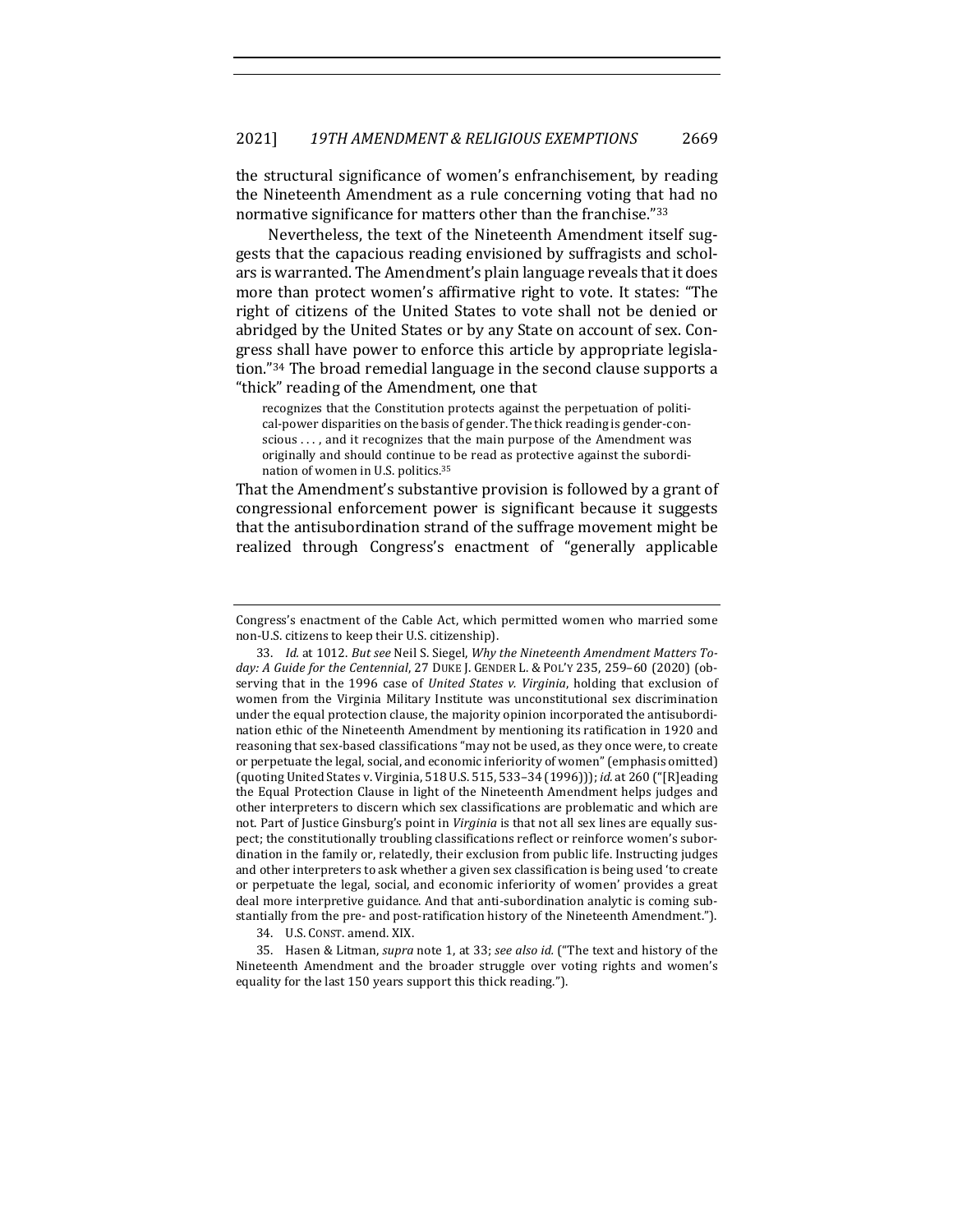the structural significance of women's enfranchisement, by reading the Nineteenth Amendment as a rule concerning voting that had no normative significance for matters other than the franchise."33

Nevertheless, the text of the Nineteenth Amendment itself suggests that the capacious reading envisioned by suffragists and scholars is warranted. The Amendment's plain language reveals that it does more than protect women's affirmative right to vote. It states: "The right of citizens of the United States to vote shall not be denied or abridged by the United States or by any State on account of sex. Congress shall have power to enforce this article by appropriate legislation."<sup>34</sup> The broad remedial language in the second clause supports a "thick" reading of the Amendment, one that

recognizes that the Constitution protects against the perpetuation of political-power disparities on the basis of gender. The thick reading is gender-conscious  $\dots$ , and it recognizes that the main purpose of the Amendment was originally and should continue to be read as protective against the subordination of women in U.S. politics.<sup>35</sup>

That the Amendment's substantive provision is followed by a grant of congressional enforcement power is significant because it suggests that the antisubordination strand of the suffrage movement might be realized through Congress's enactment of "generally applicable

34. U.S. CONST. amend. XIX.

35. Hasen & Litman, *supra* note 1, at 33; *see also id.* ("The text and history of the Nineteenth Amendment and the broader struggle over voting rights and women's equality for the last 150 years support this thick reading.").

Congress's enactment of the Cable Act, which permitted women who married some non-U.S. citizens to keep their U.S. citizenship).

<sup>33.</sup> *Id.* at 1012. But see Neil S. Siegel, Why the Nineteenth Amendment Matters Today: A Guide for the Centennial, 27 DUKE J. GENDER L. & POL'Y 235, 259-60 (2020) (observing that in the 1996 case of *United States v. Virginia*, holding that exclusion of women from the Virginia Military Institute was unconstitutional sex discrimination under the equal protection clause, the majority opinion incorporated the antisubordination ethic of the Nineteenth Amendment by mentioning its ratification in 1920 and reasoning that sex-based classifications "may not be used, as they once were, to create or perpetuate the legal, social, and economic inferiority of women" (emphasis omitted) (quoting United States v. Virginia, 518 U.S. 515, 533-34 (1996))); *id.* at 260 ("[R]eading the Equal Protection Clause in light of the Nineteenth Amendment helps judges and other interpreters to discern which sex classifications are problematic and which are not. Part of Justice Ginsburg's point in *Virginia* is that not all sex lines are equally suspect; the constitutionally troubling classifications reflect or reinforce women's subordination in the family or, relatedly, their exclusion from public life. Instructing judges and other interpreters to ask whether a given sex classification is being used 'to create or perpetuate the legal, social, and economic inferiority of women' provides a great deal more interpretive guidance. And that anti-subordination analytic is coming substantially from the pre- and post-ratification history of the Nineteenth Amendment.").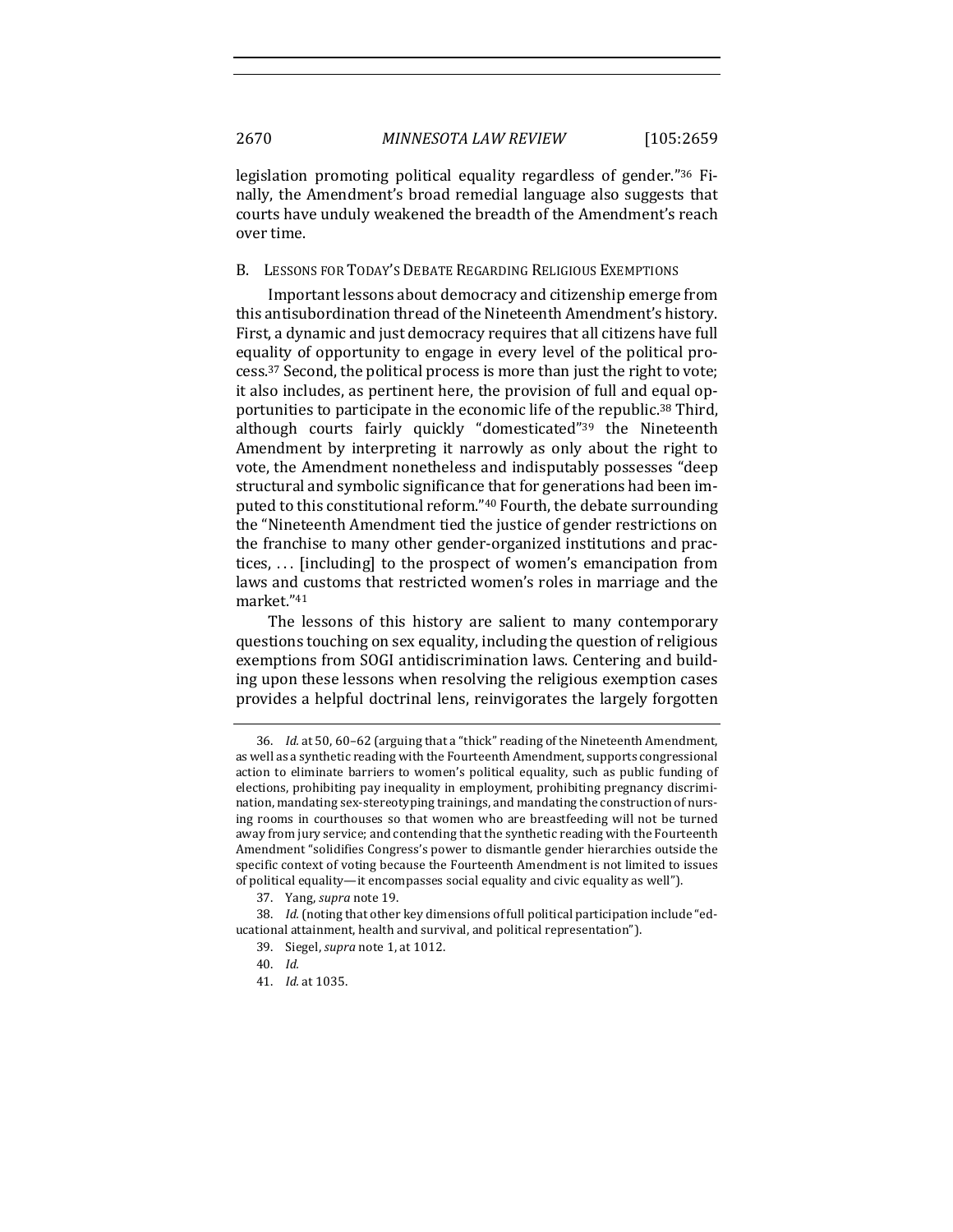legislation promoting political equality regardless of gender."<sup>36</sup> Finally, the Amendment's broad remedial language also suggests that courts have unduly weakened the breadth of the Amendment's reach over time.

#### B. LESSONS FOR TODAY'S DEBATE REGARDING RELIGIOUS EXEMPTIONS

Important lessons about democracy and citizenship emerge from this antisubordination thread of the Nineteenth Amendment's history. First, a dynamic and just democracy requires that all citizens have full equality of opportunity to engage in every level of the political process.<sup>37</sup> Second, the political process is more than just the right to vote; it also includes, as pertinent here, the provision of full and equal opportunities to participate in the economic life of the republic.<sup>38</sup> Third, although courts fairly quickly "domesticated"<sup>39</sup> the Nineteenth Amendment by interpreting it narrowly as only about the right to vote, the Amendment nonetheless and indisputably possesses "deep structural and symbolic significance that for generations had been imputed to this constitutional reform."<sup>40</sup> Fourth, the debate surrounding the "Nineteenth Amendment tied the justice of gender restrictions on the franchise to many other gender-organized institutions and practices,  $\ldots$  [including] to the prospect of women's emancipation from laws and customs that restricted women's roles in marriage and the market."41

The lessons of this history are salient to many contemporary questions touching on sex equality, including the question of religious exemptions from SOGI antidiscrimination laws. Centering and building upon these lessons when resolving the religious exemption cases provides a helpful doctrinal lens, reinvigorates the largely forgotten

<sup>36.</sup> *Id.* at 50, 60-62 (arguing that a "thick" reading of the Nineteenth Amendment, as well as a synthetic reading with the Fourteenth Amendment, supports congressional action to eliminate barriers to women's political equality, such as public funding of elections, prohibiting pay inequality in employment, prohibiting pregnancy discrimination, mandating sex-stereotyping trainings, and mandating the construction of nursing rooms in courthouses so that women who are breastfeeding will not be turned away from jury service; and contending that the synthetic reading with the Fourteenth Amendment "solidifies Congress's power to dismantle gender hierarchies outside the specific context of voting because the Fourteenth Amendment is not limited to issues of political equality—it encompasses social equality and civic equality as well").

<sup>37.</sup> Yang, *supra* note 19.

<sup>38.</sup> *Id.* (noting that other key dimensions of full political participation include "educational attainment, health and survival, and political representation").

<sup>39.</sup> Siegel, *supra* note 1, at 1012.

<sup>40.</sup> *Id.*

<sup>41.</sup> *Id.* at 1035.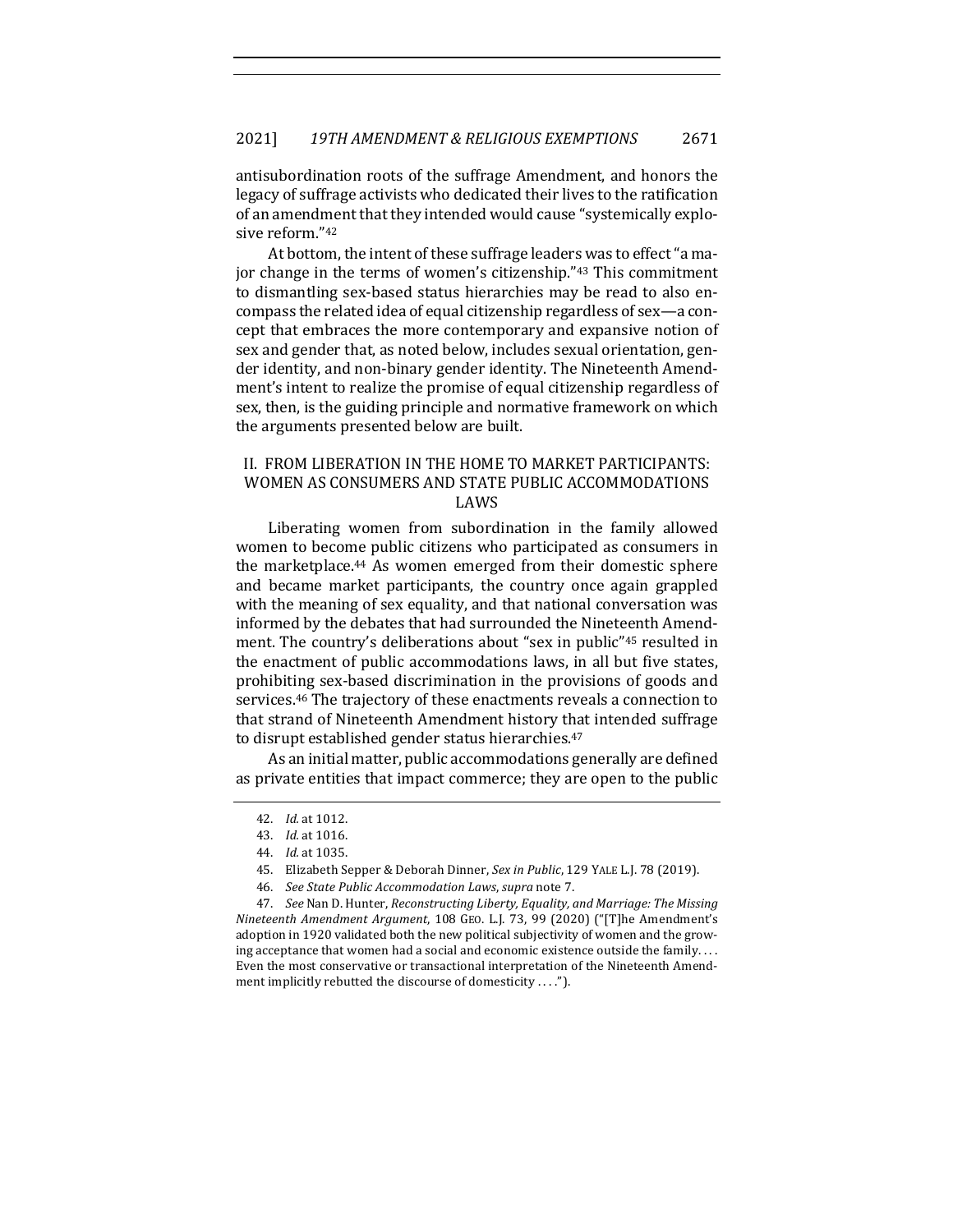antisubordination roots of the suffrage Amendment, and honors the legacy of suffrage activists who dedicated their lives to the ratification of an amendment that they intended would cause "systemically explosive reform."42

At bottom, the intent of these suffrage leaders was to effect "a major change in the terms of women's citizenship."<sup>43</sup> This commitment to dismantling sex-based status hierarchies may be read to also encompass the related idea of equal citizenship regardless of sex—a concept that embraces the more contemporary and expansive notion of sex and gender that, as noted below, includes sexual orientation, gender identity, and non-binary gender identity. The Nineteenth Amendment's intent to realize the promise of equal citizenship regardless of sex, then, is the guiding principle and normative framework on which the arguments presented below are built.

## II. FROM LIBERATION IN THE HOME TO MARKET PARTICIPANTS: WOMEN AS CONSUMERS AND STATE PUBLIC ACCOMMODATIONS LAWS

Liberating women from subordination in the family allowed women to become public citizens who participated as consumers in the marketplace.<sup>44</sup> As women emerged from their domestic sphere and became market participants, the country once again grappled with the meaning of sex equality, and that national conversation was informed by the debates that had surrounded the Nineteenth Amendment. The country's deliberations about "sex in public"<sup>45</sup> resulted in the enactment of public accommodations laws, in all but five states, prohibiting sex-based discrimination in the provisions of goods and services.<sup>46</sup> The trajectory of these enactments reveals a connection to that strand of Nineteenth Amendment history that intended suffrage to disrupt established gender status hierarchies.<sup>47</sup>

As an initial matter, public accommodations generally are defined as private entities that impact commerce; they are open to the public

<sup>42.</sup> *Id.* at 1012.

<sup>43.</sup> *Id.* at 1016.

<sup>44.</sup> *Id.* at 1035.

<sup>45.</sup> Elizabeth Sepper & Deborah Dinner, *Sex in Public*, 129 YALE L.J. 78 (2019).

<sup>46.</sup> *See State Public Accommodation Laws*, *supra* note 7.

<sup>47.</sup> *See* Nan D. Hunter, *Reconstructing Liberty*, *Equality*, and *Marriage: The Missing Nineteenth Amendment Argument*, 108 GEO. L.J. 73, 99 (2020) ("[T]he Amendment's adoption in 1920 validated both the new political subjectivity of women and the growing acceptance that women had a social and economic existence outside the family.... Even the most conservative or transactional interpretation of the Nineteenth Amendment implicitly rebutted the discourse of domesticity  $\dots$ .").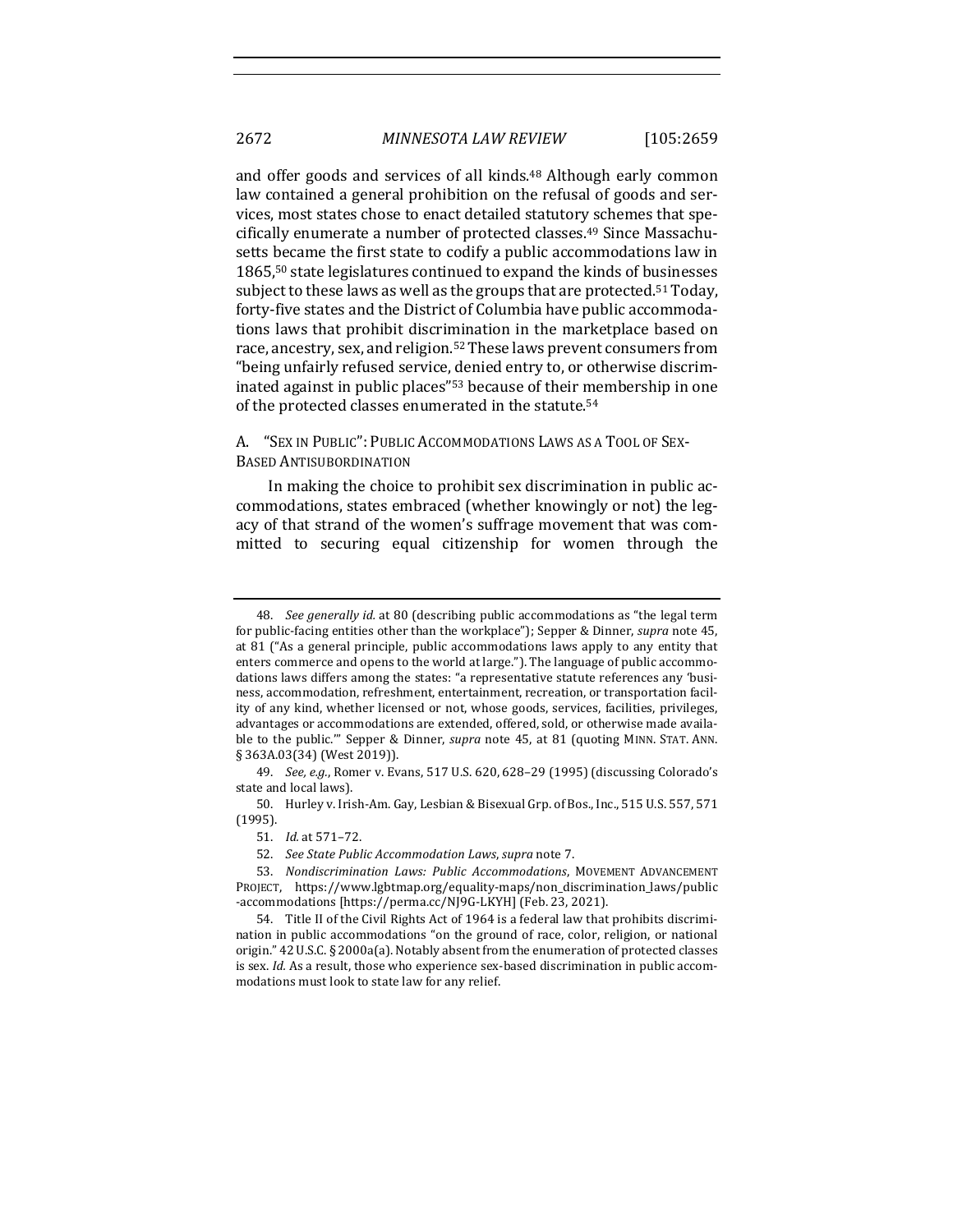and offer goods and services of all kinds.<sup>48</sup> Although early common law contained a general prohibition on the refusal of goods and services, most states chose to enact detailed statutory schemes that specifically enumerate a number of protected classes.<sup>49</sup> Since Massachusetts became the first state to codify a public accommodations law in 1865,<sup>50</sup> state legislatures continued to expand the kinds of businesses subject to these laws as well as the groups that are protected.<sup>51</sup> Today, forty-five states and the District of Columbia have public accommodations laws that prohibit discrimination in the marketplace based on race, ancestry, sex, and religion.<sup>52</sup> These laws prevent consumers from "being unfairly refused service, denied entry to, or otherwise discriminated against in public places<sup>"53</sup> because of their membership in one of the protected classes enumerated in the statute.<sup>54</sup>

## A. "SEX IN PUBLIC": PUBLIC ACCOMMODATIONS LAWS AS A TOOL OF SEX-BASED ANTISUBORDINATION

In making the choice to prohibit sex discrimination in public accommodations, states embraced (whether knowingly or not) the legacy of that strand of the women's suffrage movement that was committed to securing equal citizenship for women through the

<sup>48.</sup> *See generally id.* at 80 (describing public accommodations as "the legal term for public-facing entities other than the workplace"); Sepper & Dinner, *supra* note 45, at 81 ("As a general principle, public accommodations laws apply to any entity that enters commerce and opens to the world at large."). The language of public accommodations laws differs among the states: "a representative statute references any 'business, accommodation, refreshment, entertainment, recreation, or transportation facility of any kind, whether licensed or not, whose goods, services, facilities, privileges, advantages or accommodations are extended, offered, sold, or otherwise made available to the public."" Sepper & Dinner, *supra* note 45, at 81 (quoting MINN. STAT. ANN. § 363A.03(34) (West 2019)).

<sup>49.</sup> *See, e.g.*, Romer v. Evans, 517 U.S. 620, 628-29 (1995) (discussing Colorado's state and local laws).

<sup>50.</sup> Hurley v. Irish-Am. Gay, Lesbian & Bisexual Grp. of Bos., Inc., 515 U.S. 557, 571 (1995).

<sup>51.</sup> *Id.* at 571–72.

<sup>52.</sup> *See State Public Accommodation Laws, supra* note 7.

<sup>53.</sup> Nondiscrimination Laws: Public Accommodations, MOVEMENT ADVANCEMENT PROJECT, https://www.lgbtmap.org/equality-maps/non\_discrimination\_laws/public -accommodations [https://perma.cc/NJ9G-LKYH] (Feb. 23, 2021).

<sup>54.</sup> Title II of the Civil Rights Act of 1964 is a federal law that prohibits discrimination in public accommodations "on the ground of race, color, religion, or national origin." 42 U.S.C. § 2000a(a). Notably absent from the enumeration of protected classes is sex. *Id.* As a result, those who experience sex-based discrimination in public accommodations must look to state law for any relief.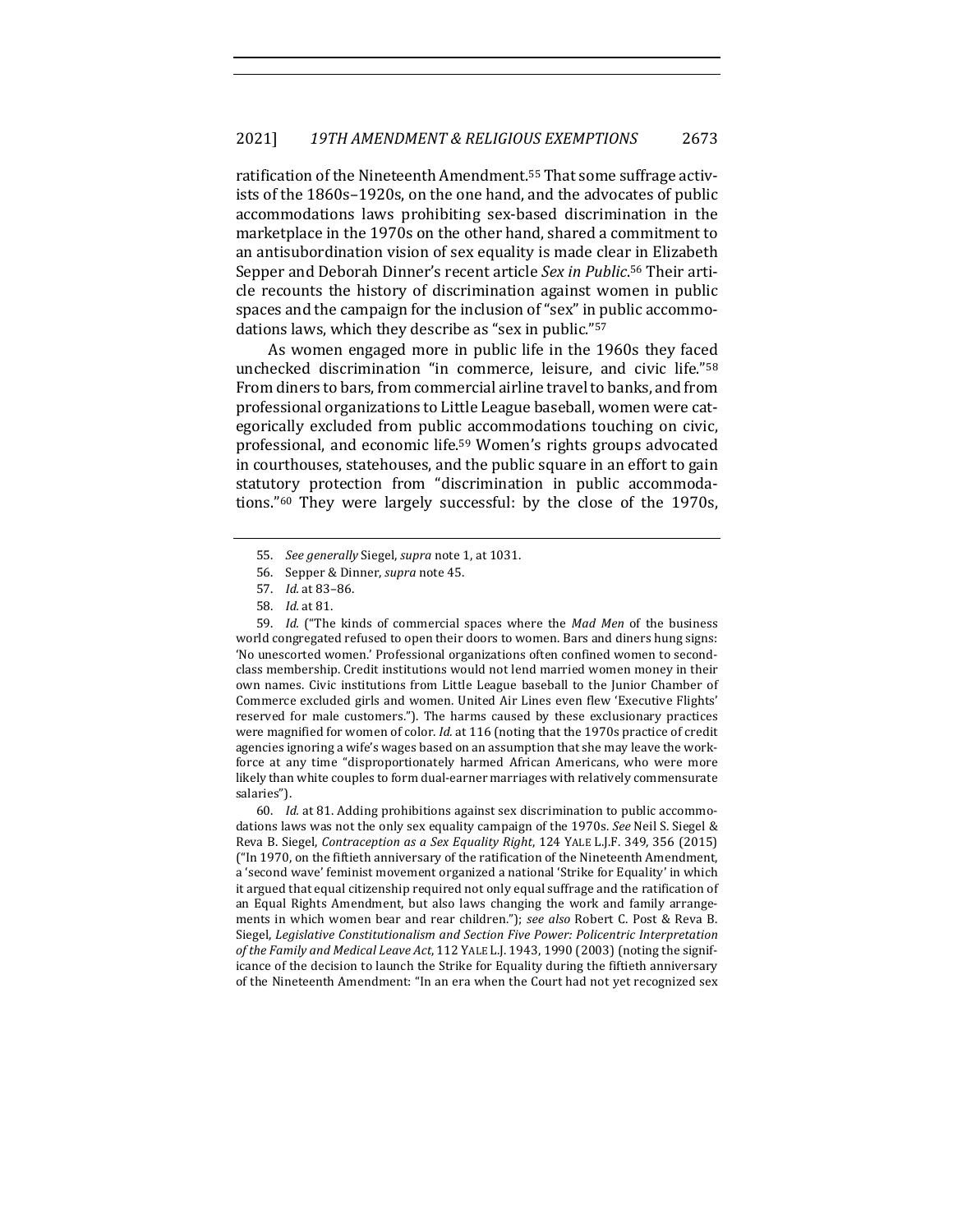ratification of the Nineteenth Amendment.<sup>55</sup> That some suffrage activists of the 1860s-1920s, on the one hand, and the advocates of public accommodations laws prohibiting sex-based discrimination in the marketplace in the 1970s on the other hand, shared a commitment to an antisubordination vision of sex equality is made clear in Elizabeth Sepper and Deborah Dinner's recent article Sex in Public.<sup>56</sup> Their article recounts the history of discrimination against women in public spaces and the campaign for the inclusion of "sex" in public accommodations laws, which they describe as "sex in public."<sup>57</sup>

As women engaged more in public life in the 1960s they faced unchecked discrimination "in commerce, leisure, and civic life."<sup>58</sup> From diners to bars, from commercial airline travel to banks, and from professional organizations to Little League baseball, women were categorically excluded from public accommodations touching on civic, professional, and economic life.<sup>59</sup> Women's rights groups advocated in courthouses, statehouses, and the public square in an effort to gain statutory protection from "discrimination in public accommodations."<sup>60</sup> They were largely successful: by the close of the 1970s,

59. *Id.* ("The kinds of commercial spaces where the *Mad Men* of the business world congregated refused to open their doors to women. Bars and diners hung signs: 'No unescorted women.' Professional organizations often confined women to secondclass membership. Credit institutions would not lend married women money in their own names. Civic institutions from Little League baseball to the Junior Chamber of Commerce excluded girls and women. United Air Lines even flew 'Executive Flights' reserved for male customers."). The harms caused by these exclusionary practices were magnified for women of color. *Id.* at 116 (noting that the 1970s practice of credit agencies ignoring a wife's wages based on an assumption that she may leave the workforce at any time "disproportionately harmed African Americans, who were more likely than white couples to form dual-earner marriages with relatively commensurate salaries").

60. *Id.* at 81. Adding prohibitions against sex discrimination to public accommodations laws was not the only sex equality campaign of the 1970s. *See* Neil S. Siegel & Reva B. Siegel, *Contraception as a Sex Equality Right*, 124 YALE L.J.F. 349, 356 (2015) ("In 1970, on the fiftieth anniversary of the ratification of the Nineteenth Amendment, a 'second wave' feminist movement organized a national 'Strike for Equality' in which it argued that equal citizenship required not only equal suffrage and the ratification of an Equal Rights Amendment, but also laws changing the work and family arrangements in which women bear and rear children."); *see also* Robert C. Post & Reva B. Siegel, *Legislative Constitutionalism and Section Five Power: Policentric Interpretation* of the Family and Medical Leave Act, 112 YALE L.J. 1943, 1990 (2003) (noting the significance of the decision to launch the Strike for Equality during the fiftieth anniversary of the Nineteenth Amendment: "In an era when the Court had not yet recognized sex

<sup>55.</sup> *See generally* Siegel, *supra* note 1, at 1031.

<sup>56.</sup> Sepper & Dinner, *supra* note 45.

<sup>57.</sup> *Id.* at 83–86.

<sup>58.</sup> *Id.* at 81.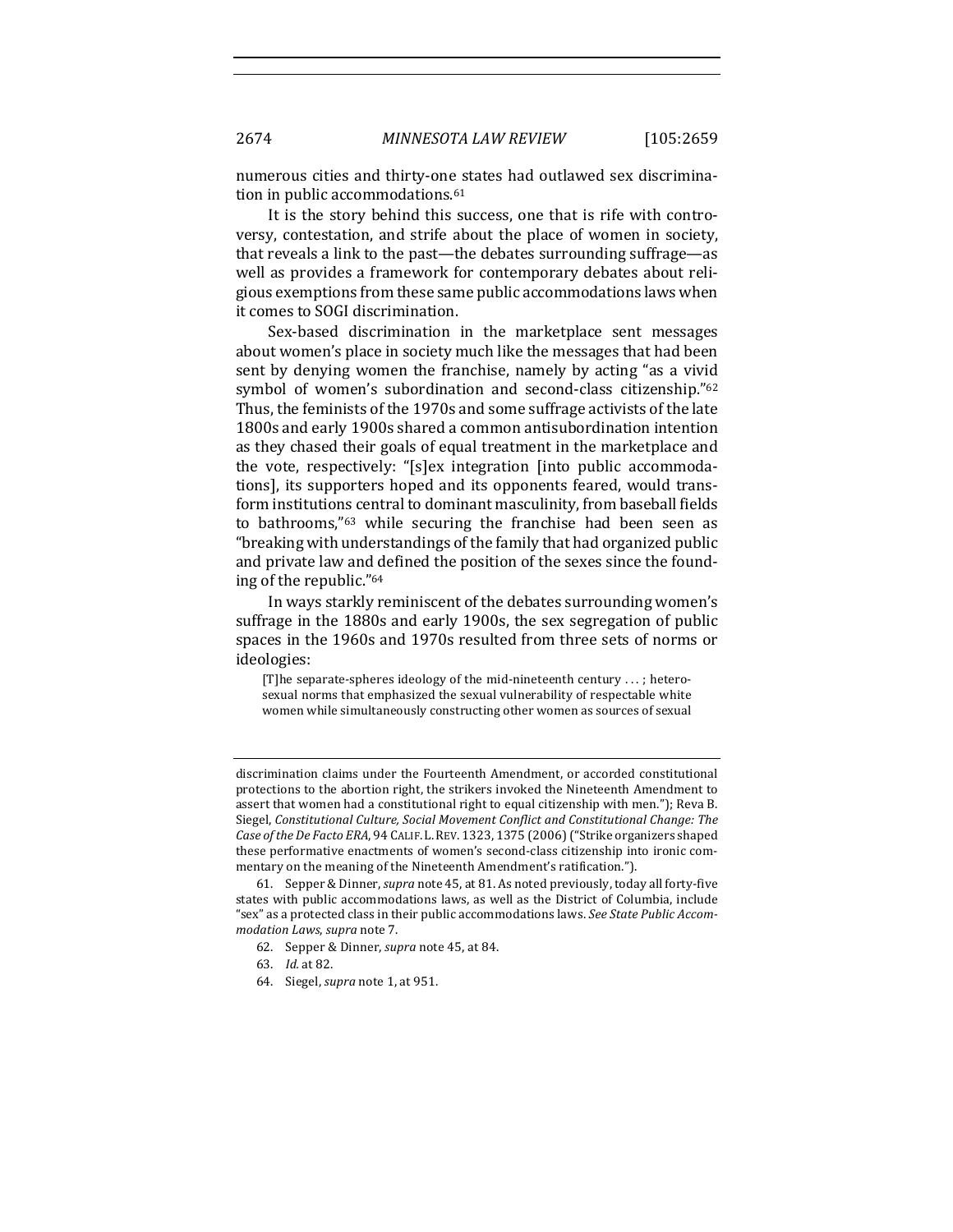numerous cities and thirty-one states had outlawed sex discrimination in public accommodations.<sup>61</sup>

It is the story behind this success, one that is rife with controversy, contestation, and strife about the place of women in society, that reveals a link to the past—the debates surrounding suffrage—as well as provides a framework for contemporary debates about religious exemptions from these same public accommodations laws when it comes to SOGI discrimination.

Sex-based discrimination in the marketplace sent messages about women's place in society much like the messages that had been sent by denying women the franchise, namely by acting "as a vivid symbol of women's subordination and second-class citizenship."62 Thus, the feminists of the 1970s and some suffrage activists of the late 1800s and early 1900s shared a common antisubordination intention as they chased their goals of equal treatment in the marketplace and the vote, respectively: "[s]ex integration [into public accommodations], its supporters hoped and its opponents feared, would transform institutions central to dominant masculinity, from baseball fields to bathrooms,"<sup>63</sup> while securing the franchise had been seen as "breaking with understandings of the family that had organized public and private law and defined the position of the sexes since the founding of the republic."<sup>64</sup>

In ways starkly reminiscent of the debates surrounding women's suffrage in the 1880s and early 1900s, the sex segregation of public spaces in the 1960s and 1970s resulted from three sets of norms or ideologies: 

[T] he separate-spheres ideology of the mid-nineteenth century  $\dots$ ; heterosexual norms that emphasized the sexual vulnerability of respectable white women while simultaneously constructing other women as sources of sexual

discrimination claims under the Fourteenth Amendment, or accorded constitutional protections to the abortion right, the strikers invoked the Nineteenth Amendment to assert that women had a constitutional right to equal citizenship with men."); Reva B. Siegel, Constitutional Culture, Social Movement Conflict and Constitutional Change: The Case of the De Facto ERA, 94 CALIF. L. REV. 1323, 1375 (2006) ("Strike organizers shaped these performative enactments of women's second-class citizenship into ironic commentary on the meaning of the Nineteenth Amendment's ratification.").

<sup>61.</sup> Sepper & Dinner, *supra* note 45, at 81. As noted previously, today all forty-five states with public accommodations laws, as well as the District of Columbia, include "sex" as a protected class in their public accommodations laws. See State Public Accom*modation Laws*, *supra* note 7.

<sup>62.</sup> Sepper & Dinner, *supra* note 45, at 84.

<sup>63.</sup> *Id.* at 82.

<sup>64.</sup> Siegel, *supra* note 1, at 951.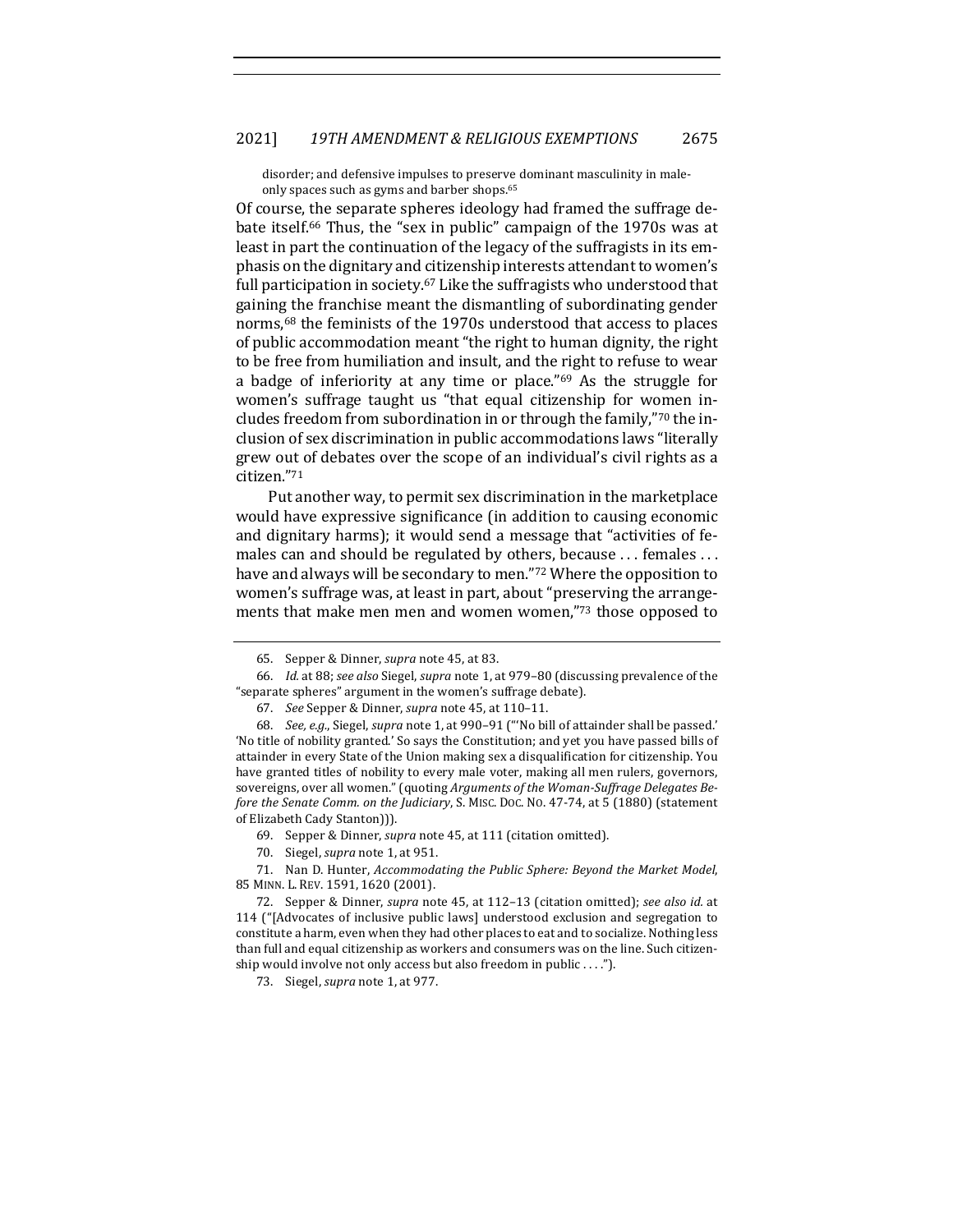### 2021] *19TH AMENDMENT & RELIGIOUS EXEMPTIONS* 2675

disorder; and defensive impulses to preserve dominant masculinity in maleonly spaces such as gyms and barber shops.<sup>65</sup>

Of course, the separate spheres ideology had framed the suffrage debate itself.<sup>66</sup> Thus, the "sex in public" campaign of the 1970s was at least in part the continuation of the legacy of the suffragists in its emphasis on the dignitary and citizenship interests attendant to women's full participation in society.<sup>67</sup> Like the suffragists who understood that gaining the franchise meant the dismantling of subordinating gender norms,<sup>68</sup> the feminists of the 1970s understood that access to places of public accommodation meant "the right to human dignity, the right to be free from humiliation and insult, and the right to refuse to wear a badge of inferiority at any time or place." $69$  As the struggle for women's suffrage taught us "that equal citizenship for women includes freedom from subordination in or through the family,"70 the inclusion of sex discrimination in public accommodations laws "literally grew out of debates over the scope of an individual's civil rights as a citizen."71

Put another way, to permit sex discrimination in the marketplace would have expressive significance (in addition to causing economic and dignitary harms); it would send a message that "activities of females can and should be regulated by others, because ... females ... have and always will be secondary to men."72 Where the opposition to women's suffrage was, at least in part, about "preserving the arrangements that make men men and women women,"73 those opposed to

<sup>65.</sup> Sepper & Dinner, *supra* note 45, at 83.

<sup>66.</sup> *Id.* at 88; see also Siegel, supra note 1, at 979-80 (discussing prevalence of the "separate spheres" argument in the women's suffrage debate).

<sup>67.</sup> *See* Sepper & Dinner, *supra* note 45, at 110–11.

<sup>68.</sup> See, e.g., Siegel, *supra* note 1, at 990-91 ("No bill of attainder shall be passed.' 'No title of nobility granted.' So says the Constitution; and yet you have passed bills of attainder in every State of the Union making sex a disqualification for citizenship. You have granted titles of nobility to every male voter, making all men rulers, governors, sovereigns, over all women." (quoting Arguments of the Woman-Suffrage Delegates Be*fore the Senate Comm. on the Judiciary*, S. MISC. Doc. No. 47-74, at 5 (1880) (statement of Elizabeth Cady Stanton))).

<sup>69.</sup> Sepper & Dinner, *supra* note 45, at 111 (citation omitted).

<sup>70.</sup> Siegel, *supra* note 1, at 951.

<sup>71.</sup> Nan D. Hunter, *Accommodating the Public Sphere: Beyond the Market Model*, 85 MINN. L. REV. 1591, 1620 (2001).

<sup>72.</sup> Sepper & Dinner, *supra* note 45, at 112–13 (citation omitted); *see also id.* at 114 ("[Advocates of inclusive public laws] understood exclusion and segregation to constitute a harm, even when they had other places to eat and to socialize. Nothing less than full and equal citizenship as workers and consumers was on the line. Such citizenship would involve not only access but also freedom in public  $\dots$ .").

<sup>73.</sup> Siegel, *supra* note 1, at 977.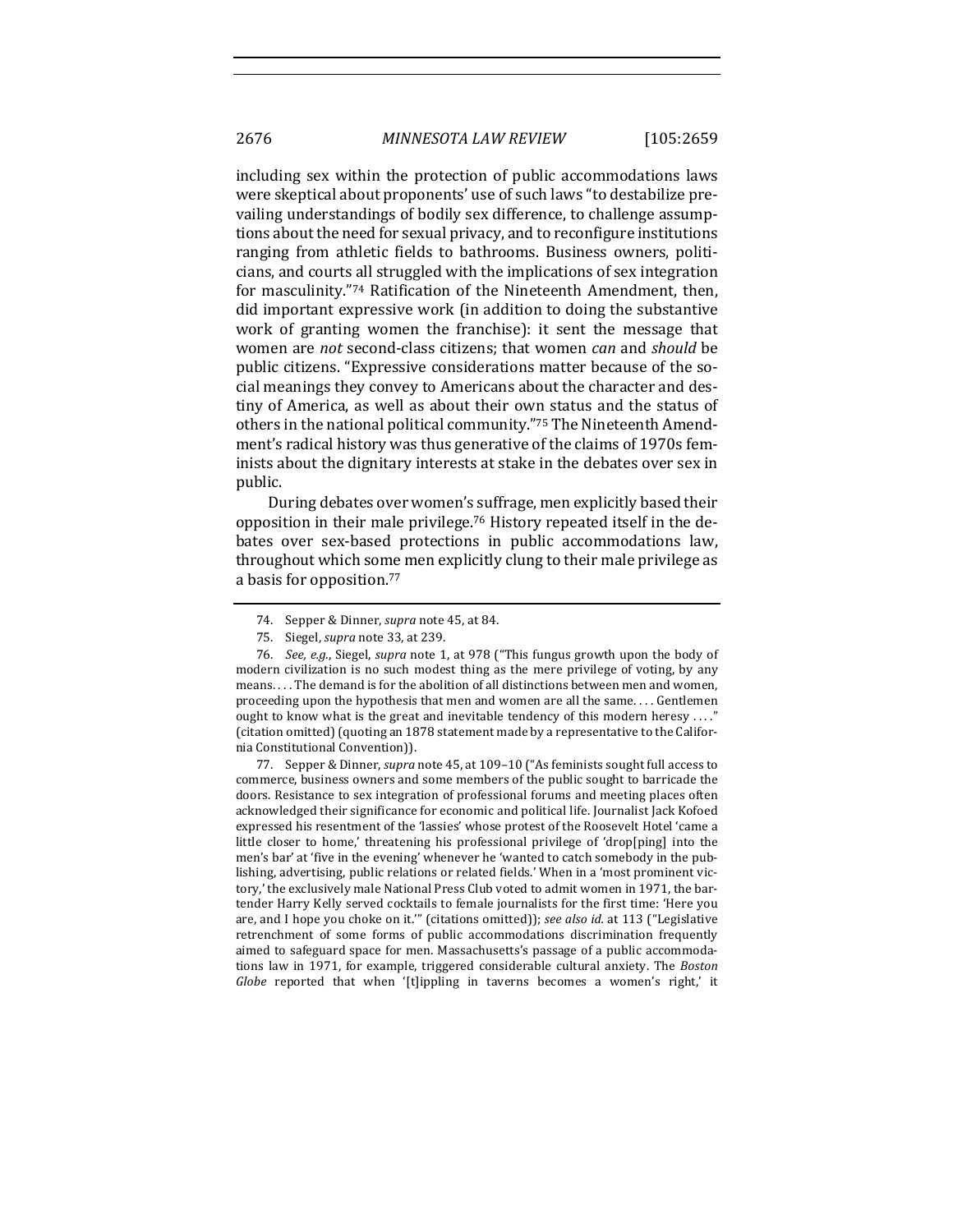including sex within the protection of public accommodations laws were skeptical about proponents' use of such laws "to destabilize prevailing understandings of bodily sex difference, to challenge assumptions about the need for sexual privacy, and to reconfigure institutions ranging from athletic fields to bathrooms. Business owners, politicians, and courts all struggled with the implications of sex integration for masculinity."74 Ratification of the Nineteenth Amendment, then, did important expressive work (in addition to doing the substantive work of granting women the franchise): it sent the message that women are *not* second-class citizens; that women *can* and *should* be public citizens. "Expressive considerations matter because of the social meanings they convey to Americans about the character and destiny of America, as well as about their own status and the status of others in the national political community."75 The Nineteenth Amendment's radical history was thus generative of the claims of 1970s feminists about the dignitary interests at stake in the debates over sex in public.

During debates over women's suffrage, men explicitly based their opposition in their male privilege.<sup>76</sup> History repeated itself in the debates over sex-based protections in public accommodations law, throughout which some men explicitly clung to their male privilege as a basis for opposition.<sup>77</sup>

77. Sepper & Dinner, *supra* note 45, at 109–10 ("As feminists sought full access to commerce, business owners and some members of the public sought to barricade the doors. Resistance to sex integration of professional forums and meeting places often acknowledged their significance for economic and political life. Journalist Jack Kofoed expressed his resentment of the 'lassies' whose protest of the Roosevelt Hotel 'came a little closer to home,' threatening his professional privilege of 'drop[ping] into the men's bar' at 'five in the evening' whenever he 'wanted to catch somebody in the publishing, advertising, public relations or related fields.' When in a 'most prominent victory,' the exclusively male National Press Club voted to admit women in 1971, the bartender Harry Kelly served cocktails to female journalists for the first time: 'Here you are, and I hope you choke on it."" (citations omitted)); see also id. at 113 ("Legislative retrenchment of some forms of public accommodations discrimination frequently aimed to safeguard space for men. Massachusetts's passage of a public accommodations law in 1971, for example, triggered considerable cultural anxiety. The *Boston Globe* reported that when '[t]ippling in taverns becomes a women's right,' it

<sup>74.</sup> Sepper & Dinner, *supra* note 45, at 84.

<sup>75.</sup> Siegel, *supra* note 33, at 239.

<sup>76.</sup> *See, e.g.*, Siegel, *supra* note 1, at 978 ("This fungus growth upon the body of modern civilization is no such modest thing as the mere privilege of voting, by any means. . . . The demand is for the abolition of all distinctions between men and women, proceeding upon the hypothesis that men and women are all the same.... Gentlemen ought to know what is the great and inevitable tendency of this modern heresy ...." (citation omitted) (quoting an 1878 statement made by a representative to the California Constitutional Convention)).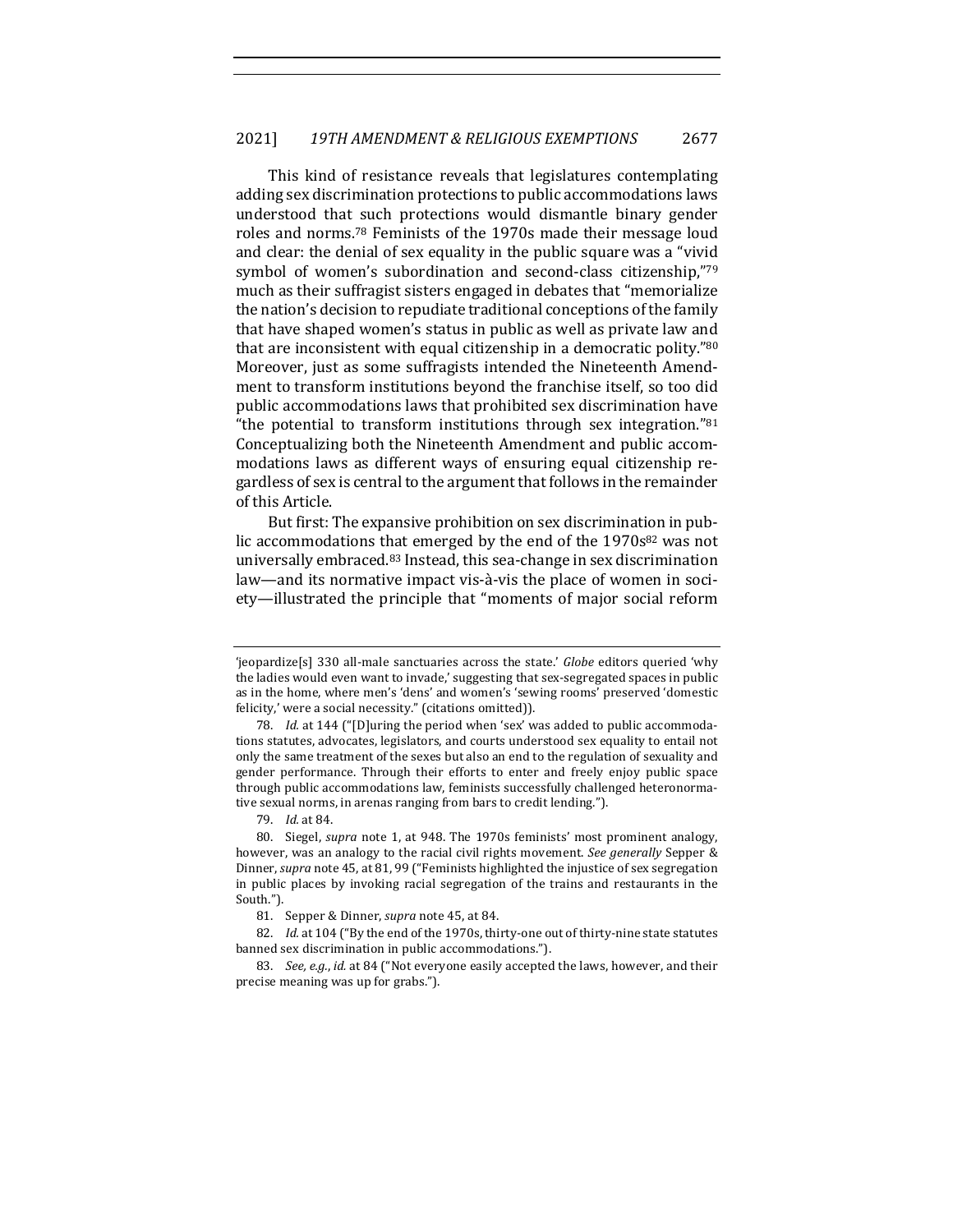This kind of resistance reveals that legislatures contemplating adding sex discrimination protections to public accommodations laws understood that such protections would dismantle binary gender roles and norms.<sup>78</sup> Feminists of the 1970s made their message loud and clear: the denial of sex equality in the public square was a "vivid" symbol of women's subordination and second-class citizenship,"79 much as their suffragist sisters engaged in debates that "memorialize" the nation's decision to repudiate traditional conceptions of the family that have shaped women's status in public as well as private law and that are inconsistent with equal citizenship in a democratic polity." $80$ Moreover, just as some suffragists intended the Nineteenth Amendment to transform institutions beyond the franchise itself, so too did public accommodations laws that prohibited sex discrimination have "the potential to transform institutions through sex integration." $81$ Conceptualizing both the Nineteenth Amendment and public accommodations laws as different ways of ensuring equal citizenship regardless of sex is central to the argument that follows in the remainder of this Article.

But first: The expansive prohibition on sex discrimination in public accommodations that emerged by the end of the 1970s<sup>82</sup> was not universally embraced.<sup>83</sup> Instead, this sea-change in sex discrimination law—and its normative impact vis-à-vis the place of women in society-illustrated the principle that "moments of major social reform

<sup>&#</sup>x27;ieopardize<sup>[5]</sup> 330 all-male sanctuaries across the state.' *Globe* editors queried 'why the ladies would even want to invade,' suggesting that sex-segregated spaces in public as in the home, where men's 'dens' and women's 'sewing rooms' preserved 'domestic felicity,' were a social necessity." (citations omitted)).

<sup>78.</sup> *Id.* at 144 ("[D]uring the period when 'sex' was added to public accommodations statutes, advocates, legislators, and courts understood sex equality to entail not only the same treatment of the sexes but also an end to the regulation of sexuality and gender performance. Through their efforts to enter and freely enjoy public space through public accommodations law, feminists successfully challenged heteronormative sexual norms, in arenas ranging from bars to credit lending.").

<sup>79.</sup> *Id.* at 84.

<sup>80.</sup> Siegel, *supra* note 1, at 948. The 1970s feminists' most prominent analogy, however, was an analogy to the racial civil rights movement. See generally Sepper & Dinner, *supra* note 45, at 81, 99 ("Feminists highlighted the injustice of sex segregation in public places by invoking racial segregation of the trains and restaurants in the South.").

<sup>81.</sup> Sepper & Dinner, *supra* note 45, at 84.

<sup>82.</sup> *Id.* at 104 ("By the end of the 1970s, thirty-one out of thirty-nine state statutes banned sex discrimination in public accommodations.").

<sup>83.</sup> *See, e.g., id.* at 84 ("Not everyone easily accepted the laws, however, and their precise meaning was up for grabs.").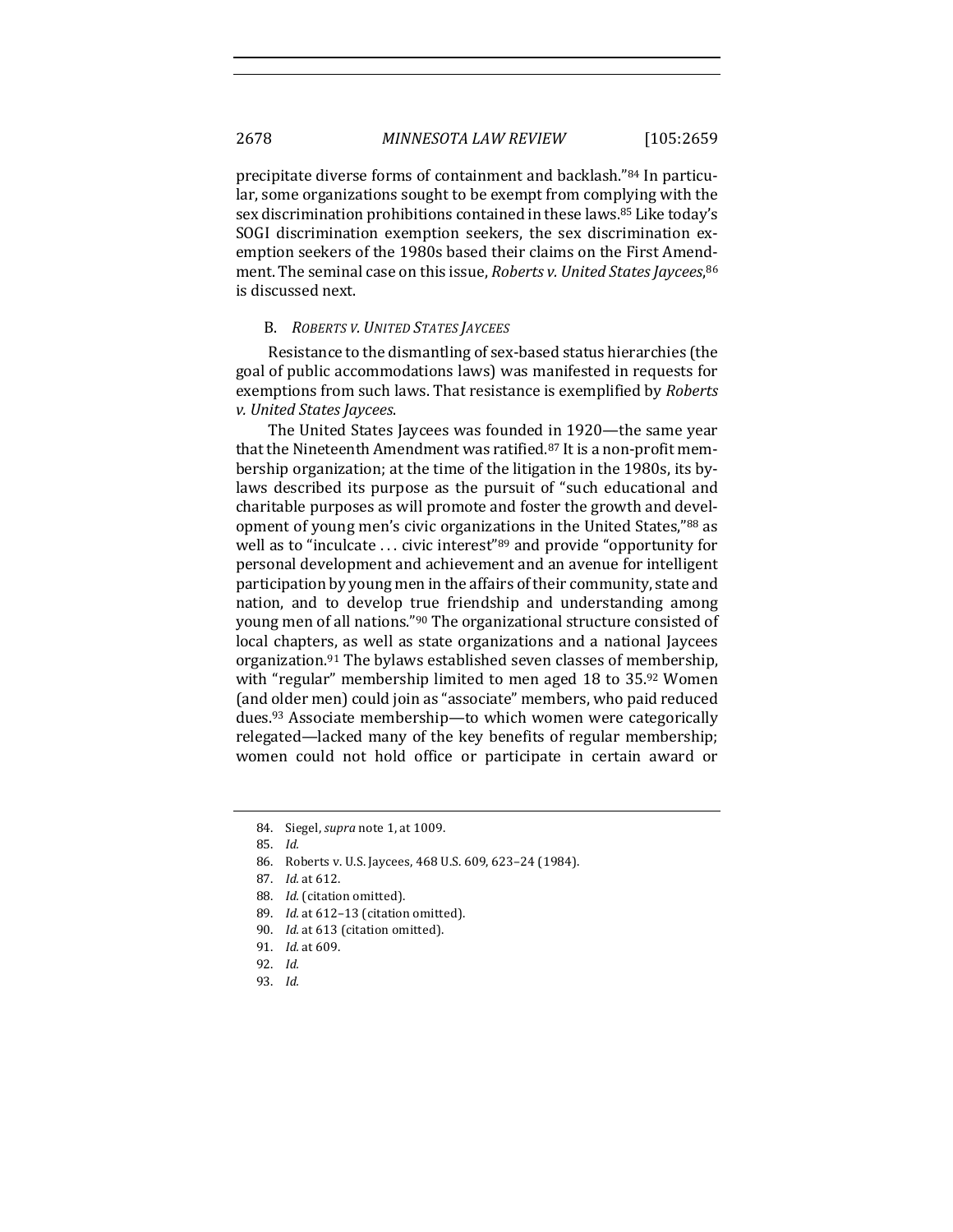precipitate diverse forms of containment and backlash."<sup>84</sup> In particular, some organizations sought to be exempt from complying with the sex discrimination prohibitions contained in these laws.<sup>85</sup> Like today's SOGI discrimination exemption seekers, the sex discrimination exemption seekers of the 1980s based their claims on the First Amendment. The seminal case on this issue, *Roberts v. United States Jaycees*, <sup>86</sup> is discussed next.

#### B. *ROBERTS V. UNITED STATES JAYCEES*

Resistance to the dismantling of sex-based status hierarchies (the goal of public accommodations laws) was manifested in requests for exemptions from such laws. That resistance is exemplified by *Roberts v. United States Jaycees*.

The United States Jaycees was founded in 1920—the same year that the Nineteenth Amendment was ratified.<sup>87</sup> It is a non-profit membership organization; at the time of the litigation in the 1980s, its bylaws described its purpose as the pursuit of "such educational and charitable purposes as will promote and foster the growth and development of young men's civic organizations in the United States,"88 as well as to "inculcate  $\dots$  civic interest"<sup>89</sup> and provide "opportunity for personal development and achievement and an avenue for intelligent participation by young men in the affairs of their community, state and nation, and to develop true friendship and understanding among young men of all nations."<sup>90</sup> The organizational structure consisted of local chapters, as well as state organizations and a national Jaycees organization.<sup>91</sup> The bylaws established seven classes of membership, with "regular" membership limited to men aged 18 to  $35.92$  Women (and older men) could join as "associate" members, who paid reduced dues.<sup>93</sup> Associate membership—to which women were categorically relegated—lacked many of the key benefits of regular membership; women could not hold office or participate in certain award or

91. *Id.* at 609.

93. *Id.*

<sup>84.</sup> Siegel, *supra* note 1, at 1009.

<sup>85.</sup> *Id.*

<sup>86.</sup> Roberts v. U.S. Jaycees, 468 U.S. 609, 623-24 (1984).

<sup>87.</sup> *Id.* at 612.

<sup>88.</sup> *Id.* (citation omitted).

<sup>89.</sup> *Id.* at 612-13 (citation omitted).

<sup>90.</sup> *Id.* at 613 (citation omitted).

<sup>92.</sup> *Id.*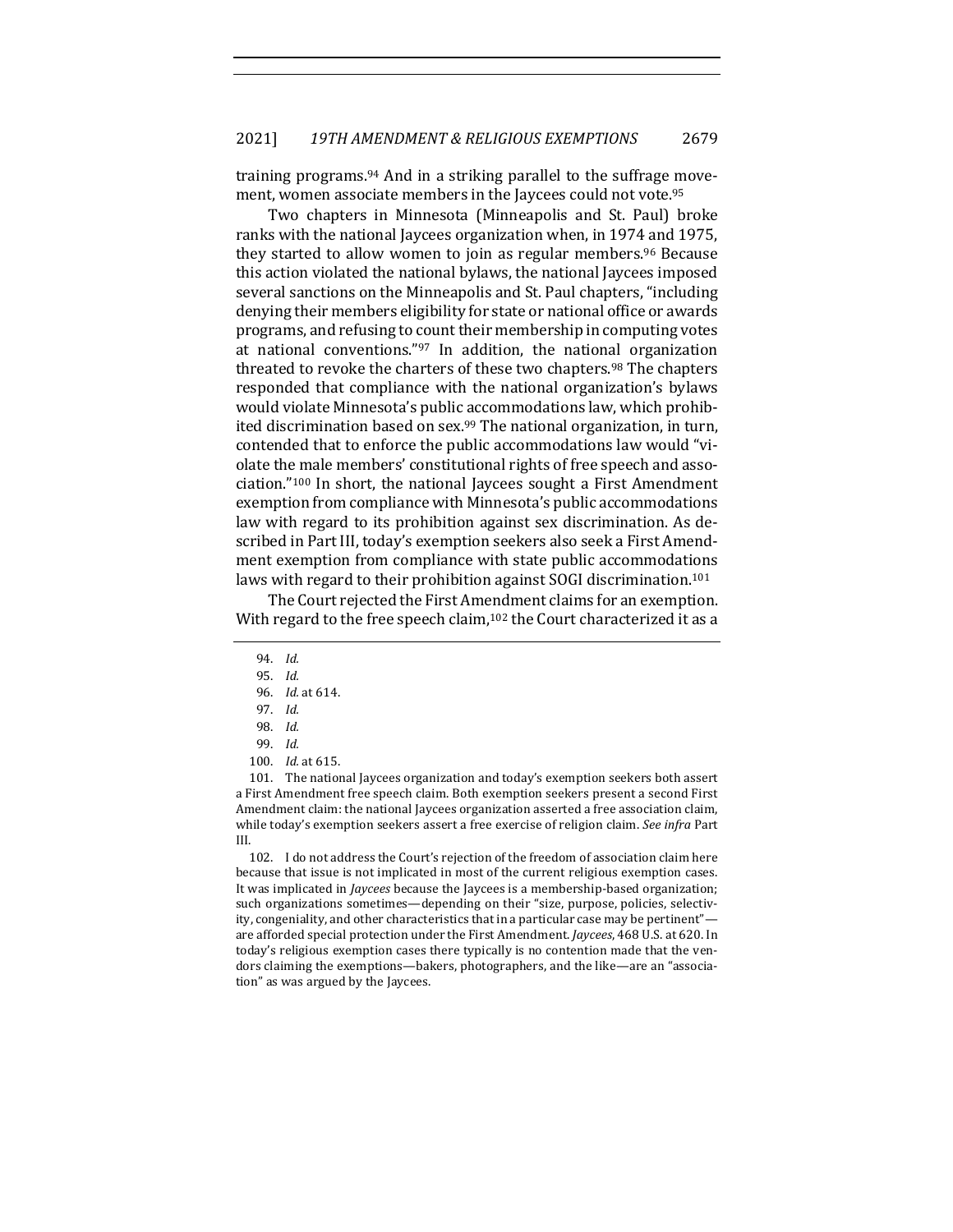training programs.<sup>94</sup> And in a striking parallel to the suffrage movement, women associate members in the Jaycees could not vote.95

Two chapters in Minnesota (Minneapolis and St. Paul) broke ranks with the national Jaycees organization when, in 1974 and 1975. they started to allow women to join as regular members.<sup>96</sup> Because this action violated the national bylaws, the national Jaycees imposed several sanctions on the Minneapolis and St. Paul chapters, "including denying their members eligibility for state or national office or awards programs, and refusing to count their membership in computing votes at national conventions."97 In addition, the national organization threated to revoke the charters of these two chapters.<sup>98</sup> The chapters responded that compliance with the national organization's bylaws would violate Minnesota's public accommodations law, which prohibited discrimination based on sex.<sup>99</sup> The national organization, in turn, contended that to enforce the public accommodations law would "violate the male members' constitutional rights of free speech and association."<sup>100</sup> In short, the national Jaycees sought a First Amendment exemption from compliance with Minnesota's public accommodations law with regard to its prohibition against sex discrimination. As described in Part III, today's exemption seekers also seek a First Amendment exemption from compliance with state public accommodations laws with regard to their prohibition against SOGI discrimination.<sup>101</sup>

The Court rejected the First Amendment claims for an exemption. With regard to the free speech claim, $102$  the Court characterized it as a

101. The national Jaycees organization and today's exemption seekers both assert a First Amendment free speech claim. Both exemption seekers present a second First Amendment claim: the national Jaycees organization asserted a free association claim, while today's exemption seekers assert a free exercise of religion claim. See infra Part III.

102. I do not address the Court's rejection of the freedom of association claim here because that issue is not implicated in most of the current religious exemption cases. It was implicated in *Jaycees* because the Jaycees is a membership-based organization; such organizations sometimes—depending on their "size, purpose, policies, selectivity, congeniality, and other characteristics that in a particular case may be pertinent" are afforded special protection under the First Amendment. *Jaycees*, 468 U.S. at 620. In today's religious exemption cases there typically is no contention made that the vendors claiming the exemptions—bakers, photographers, and the like—are an "association" as was argued by the Jaycees.

<sup>94.</sup> *Id.*

<sup>95.</sup> *Id.*

<sup>96.</sup> *Id.* at 614.

<sup>97.</sup> *Id.*

<sup>98.</sup> *Id.*

<sup>99.</sup> *Id.*

<sup>100.</sup> *Id.* at 615.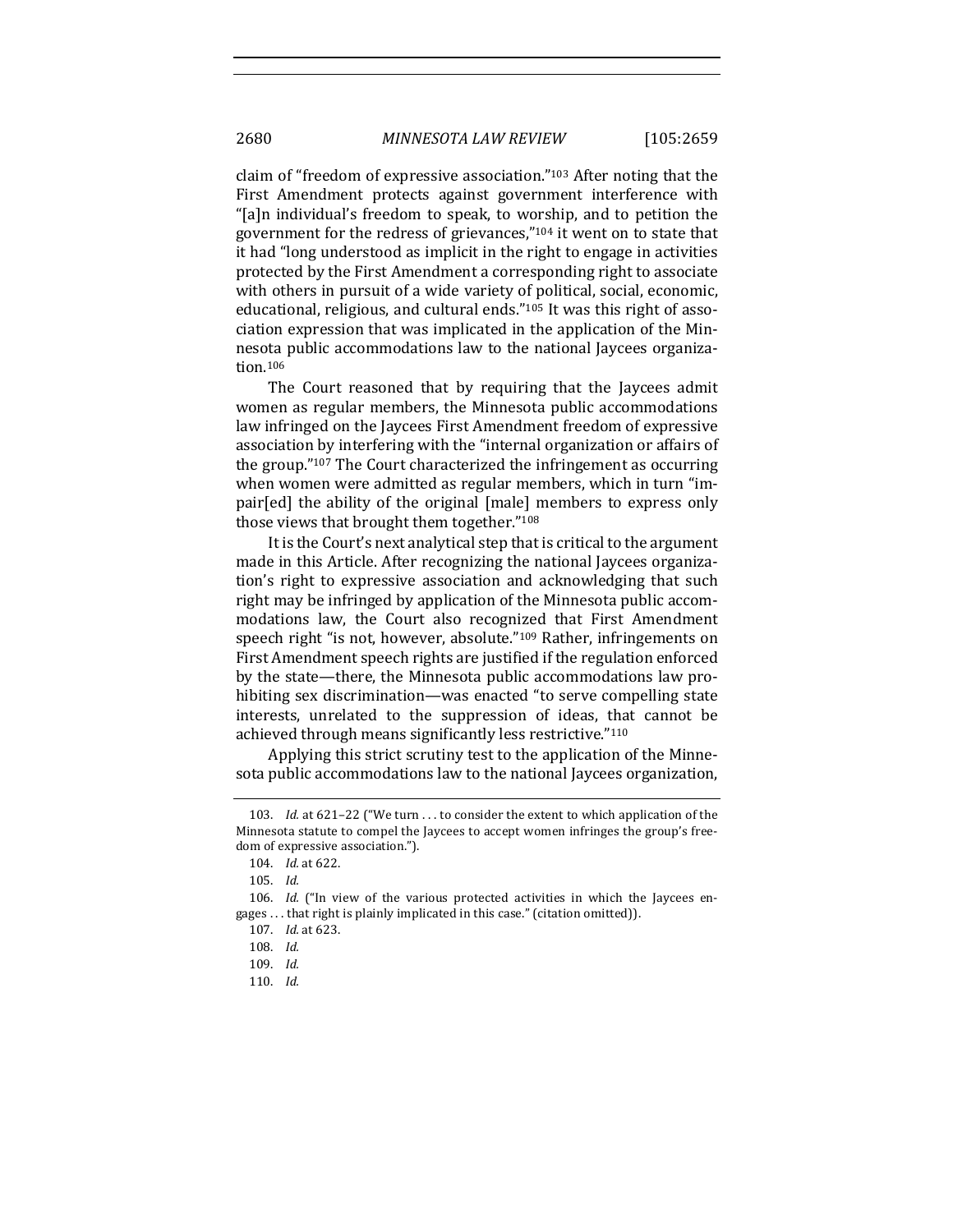claim of "freedom of expressive association." $103$  After noting that the First Amendment protects against government interference with "[a]n individual's freedom to speak, to worship, and to petition the government for the redress of grievances,"<sup>104</sup> it went on to state that it had "long understood as implicit in the right to engage in activities protected by the First Amendment a corresponding right to associate with others in pursuit of a wide variety of political, social, economic, educational, religious, and cultural ends."<sup>105</sup> It was this right of association expression that was implicated in the application of the Minnesota public accommodations law to the national Jaycees organization.106

The Court reasoned that by requiring that the Jaycees admit women as regular members, the Minnesota public accommodations law infringed on the Jaycees First Amendment freedom of expressive association by interfering with the "internal organization or affairs of the group."<sup>107</sup> The Court characterized the infringement as occurring when women were admitted as regular members, which in turn "impair[ed] the ability of the original [male] members to express only those views that brought them together."108

It is the Court's next analytical step that is critical to the argument made in this Article. After recognizing the national Jaycees organization's right to expressive association and acknowledging that such right may be infringed by application of the Minnesota public accommodations law, the Court also recognized that First Amendment speech right "is not, however, absolute."<sup>109</sup> Rather, infringements on First Amendment speech rights are justified if the regulation enforced by the state—there, the Minnesota public accommodations law prohibiting sex discrimination—was enacted "to serve compelling state interests, unrelated to the suppression of ideas, that cannot be achieved through means significantly less restrictive."110

Applying this strict scrutiny test to the application of the Minnesota public accommodations law to the national Jaycees organization,

<sup>103.</sup> *Id.* at  $621-22$  ("We turn ... to consider the extent to which application of the Minnesota statute to compel the Jaycees to accept women infringes the group's freedom of expressive association.").

<sup>104.</sup> *Id.* at 622.

<sup>105.</sup> *Id.*

<sup>106.</sup> *Id.* ("In view of the various protected activities in which the Jaycees engages ... that right is plainly implicated in this case." (citation omitted)).

<sup>107.</sup> *Id.* at 623.

<sup>108.</sup> *Id.*

<sup>109.</sup> *Id.*

<sup>110.</sup> *Id.*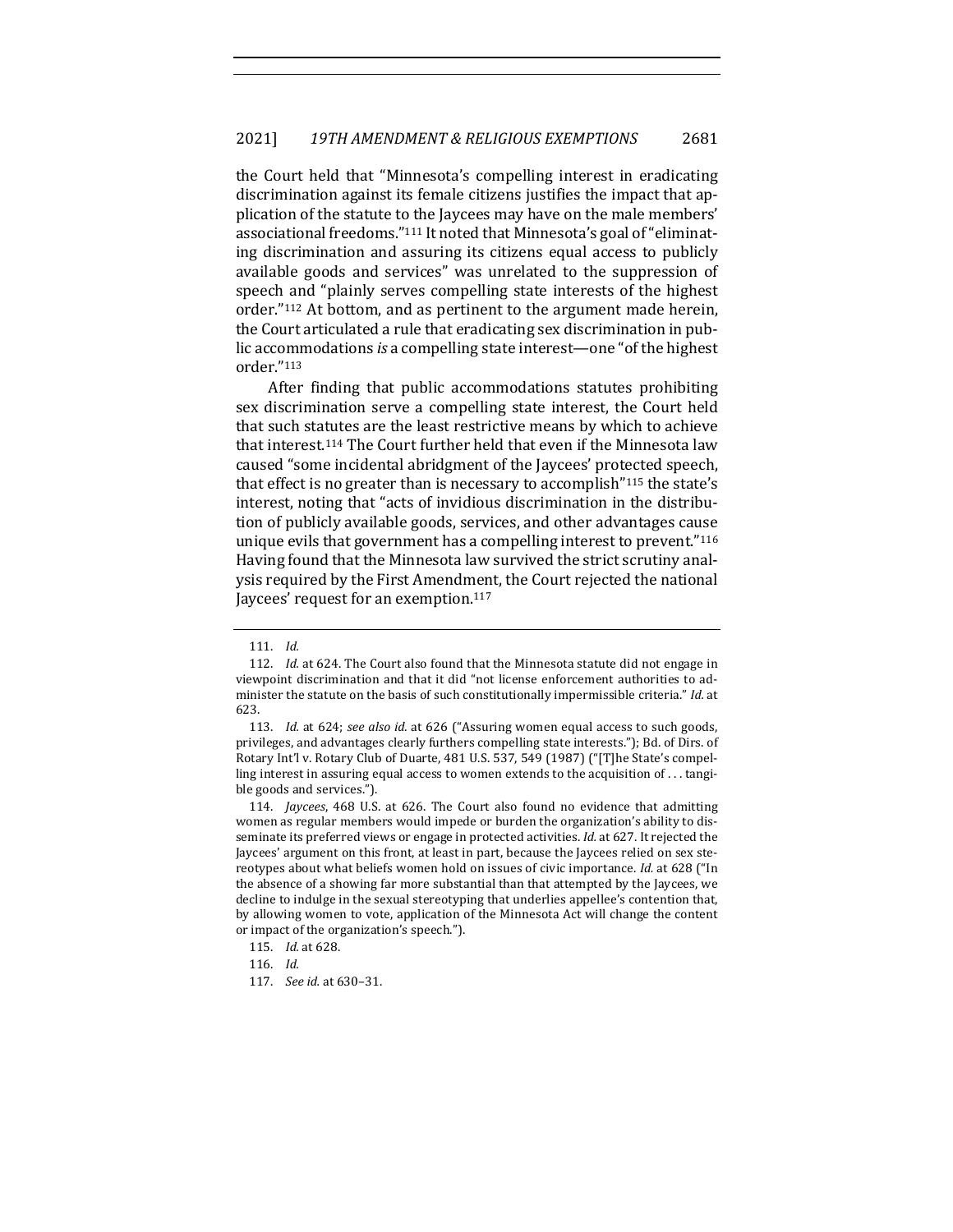the Court held that "Minnesota's compelling interest in eradicating discrimination against its female citizens justifies the impact that application of the statute to the Jaycees may have on the male members' associational freedoms."<sup>111</sup> It noted that Minnesota's goal of "eliminating discrimination and assuring its citizens equal access to publicly available goods and services" was unrelated to the suppression of speech and "plainly serves compelling state interests of the highest order."<sup>112</sup> At bottom, and as pertinent to the argument made herein, the Court articulated a rule that eradicating sex discrimination in public accommodations *is* a compelling state interest—one "of the highest order."113

After finding that public accommodations statutes prohibiting sex discrimination serve a compelling state interest, the Court held that such statutes are the least restrictive means by which to achieve that interest.<sup>114</sup> The Court further held that even if the Minnesota law caused "some incidental abridgment of the Jaycees' protected speech, that effect is no greater than is necessary to accomplish<sup>"115</sup> the state's interest, noting that "acts of invidious discrimination in the distribution of publicly available goods, services, and other advantages cause unique evils that government has a compelling interest to prevent." $116$ Having found that the Minnesota law survived the strict scrutiny analysis required by the First Amendment, the Court rejected the national Jaycees' request for an exemption.<sup>117</sup>

<sup>111.</sup> *Id.*

<sup>112.</sup> *Id.* at 624. The Court also found that the Minnesota statute did not engage in viewpoint discrimination and that it did "not license enforcement authorities to administer the statute on the basis of such constitutionally impermissible criteria." *Id.* at 623.

<sup>113.</sup> *Id.* at 624; *see also id.* at 626 ("Assuring women equal access to such goods, privileges, and advantages clearly furthers compelling state interests."); Bd. of Dirs. of Rotary Int'l v. Rotary Club of Duarte, 481 U.S. 537, 549 (1987) ("[T]he State's compelling interest in assuring equal access to women extends to the acquisition of  $\dots$  tangible goods and services.").

<sup>114.</sup> *Jaycees*, 468 U.S. at 626. The Court also found no evidence that admitting women as regular members would impede or burden the organization's ability to disseminate its preferred views or engage in protected activities. *Id.* at 627. It rejected the Jaycees' argument on this front, at least in part, because the Jaycees relied on sex stereotypes about what beliefs women hold on issues of civic importance. *Id.* at 628 ("In the absence of a showing far more substantial than that attempted by the Jaycees, we decline to indulge in the sexual stereotyping that underlies appellee's contention that, by allowing women to vote, application of the Minnesota Act will change the content or impact of the organization's speech.").

<sup>115.</sup> *Id.* at 628.

<sup>116.</sup> *Id.*

<sup>117.</sup> *See id.* at 630-31.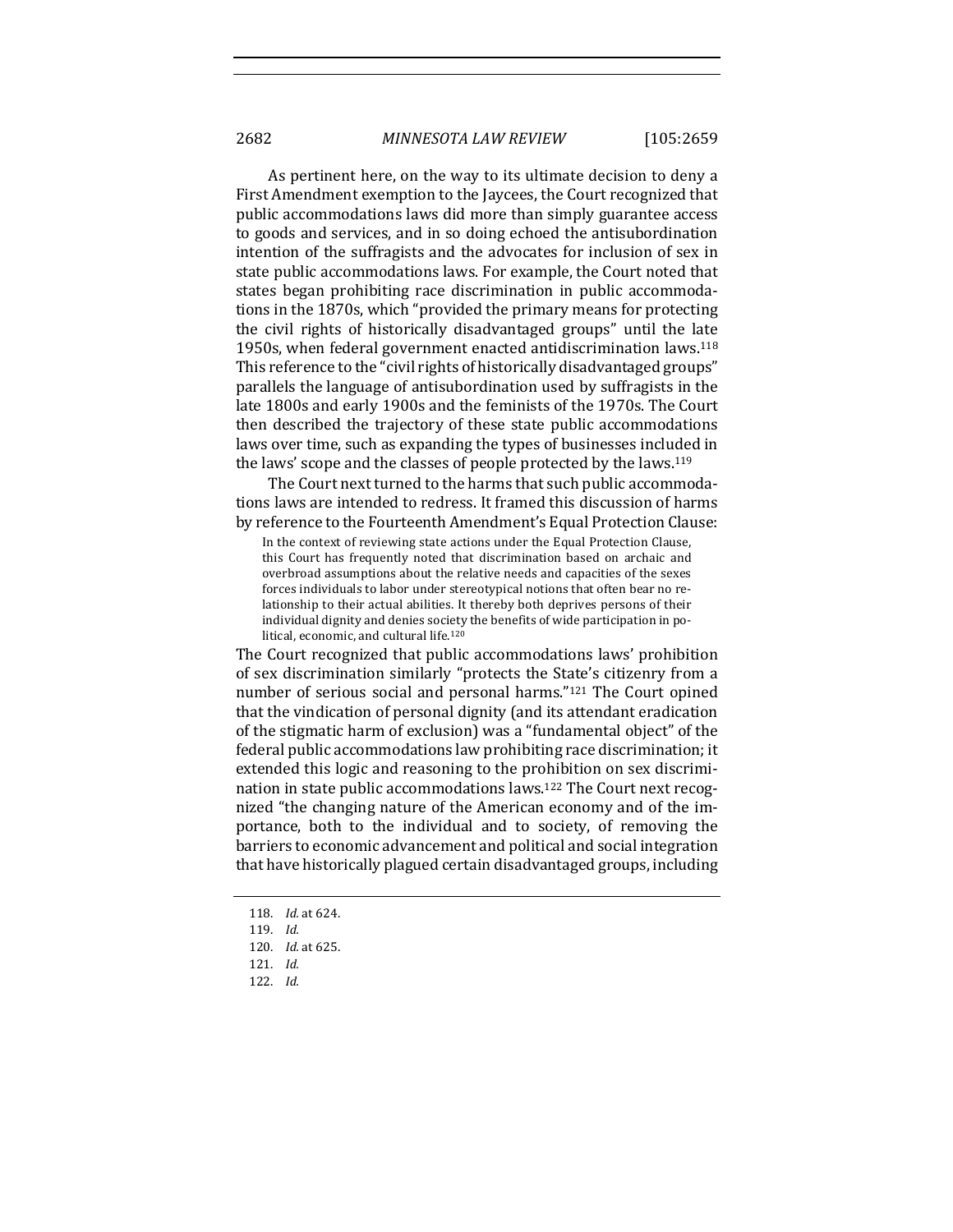As pertinent here, on the way to its ultimate decision to deny a First Amendment exemption to the Jaycees, the Court recognized that public accommodations laws did more than simply guarantee access to goods and services, and in so doing echoed the antisubordination intention of the suffragists and the advocates for inclusion of sex in state public accommodations laws. For example, the Court noted that states began prohibiting race discrimination in public accommodations in the 1870s, which "provided the primary means for protecting the civil rights of historically disadvantaged groups" until the late 1950s, when federal government enacted antidiscrimination laws.<sup>118</sup> This reference to the "civil rights of historically disadvantaged groups" parallels the language of antisubordination used by suffragists in the late 1800s and early 1900s and the feminists of the 1970s. The Court then described the trajectory of these state public accommodations laws over time, such as expanding the types of businesses included in the laws' scope and the classes of people protected by the laws.<sup>119</sup>

The Court next turned to the harms that such public accommodations laws are intended to redress. It framed this discussion of harms by reference to the Fourteenth Amendment's Equal Protection Clause:

In the context of reviewing state actions under the Equal Protection Clause, this Court has frequently noted that discrimination based on archaic and overbroad assumptions about the relative needs and capacities of the sexes forces individuals to labor under stereotypical notions that often bear no relationship to their actual abilities. It thereby both deprives persons of their individual dignity and denies society the benefits of wide participation in political, economic, and cultural life.<sup>120</sup>

The Court recognized that public accommodations laws' prohibition of sex discrimination similarly "protects the State's citizenry from a number of serious social and personal harms."<sup>121</sup> The Court opined that the vindication of personal dignity (and its attendant eradication of the stigmatic harm of exclusion) was a "fundamental object" of the federal public accommodations law prohibiting race discrimination; it extended this logic and reasoning to the prohibition on sex discrimination in state public accommodations laws.<sup>122</sup> The Court next recognized "the changing nature of the American economy and of the importance, both to the individual and to society, of removing the barriers to economic advancement and political and social integration that have historically plagued certain disadvantaged groups, including

<sup>118.</sup> *Id.* at 624.

<sup>119.</sup> *Id.*

<sup>120.</sup> *Id.* at 625.

<sup>121.</sup> *Id.*

<sup>122.</sup> *Id.*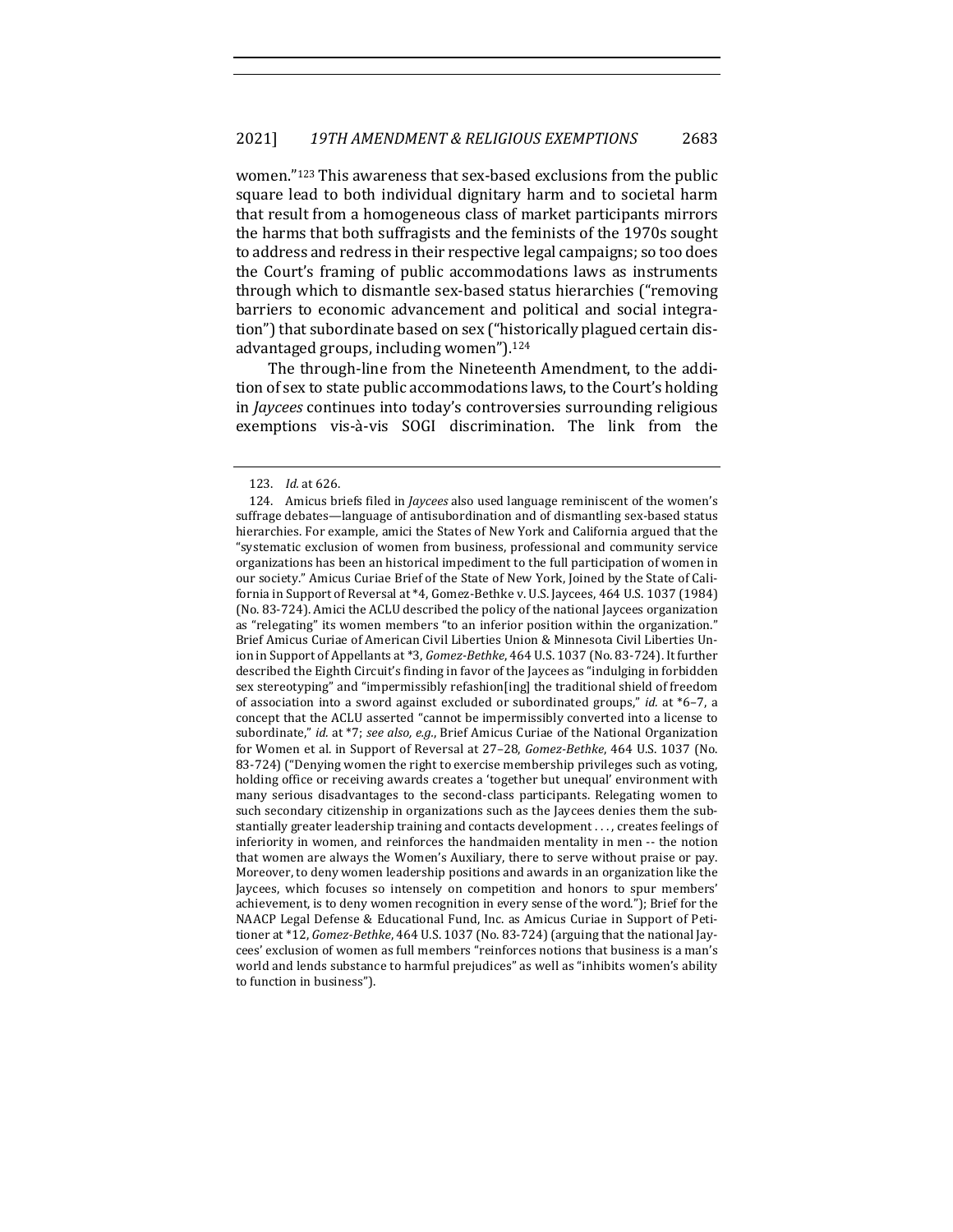women."<sup>123</sup> This awareness that sex-based exclusions from the public square lead to both individual dignitary harm and to societal harm that result from a homogeneous class of market participants mirrors the harms that both suffragists and the feminists of the 1970s sought to address and redress in their respective legal campaigns; so too does the Court's framing of public accommodations laws as instruments through which to dismantle sex-based status hierarchies ("removing barriers to economic advancement and political and social integration") that subordinate based on sex ("historically plagued certain disadvantaged groups, including women").<sup>124</sup>

The through-line from the Nineteenth Amendment, to the addition of sex to state public accommodations laws, to the Court's holding in *Jaycees* continues into today's controversies surrounding religious exemptions vis-à-vis SOGI discrimination. The link from the

<sup>123.</sup> *Id.* at 626.

<sup>124.</sup> Amicus briefs filed in *Jaycees* also used language reminiscent of the women's suffrage debates—language of antisubordination and of dismantling sex-based status hierarchies. For example, amici the States of New York and California argued that the "systematic exclusion of women from business, professional and community service organizations has been an historical impediment to the full participation of women in our society." Amicus Curiae Brief of the State of New York, Joined by the State of California in Support of Reversal at \*4, Gomez-Bethke v. U.S. Jaycees, 464 U.S. 1037 (1984) (No. 83-724). Amici the ACLU described the policy of the national Jaycees organization as "relegating" its women members "to an inferior position within the organization." Brief Amicus Curiae of American Civil Liberties Union & Minnesota Civil Liberties Union in Support of Appellants at \*3, *Gomez-Bethke*, 464 U.S. 1037 (No. 83-724). It further described the Eighth Circuit's finding in favor of the Jaycees as "indulging in forbidden sex stereotyping" and "impermissibly refashion[ing] the traditional shield of freedom of association into a sword against excluded or subordinated groups," *id.* at \*6–7, a concept that the ACLU asserted "cannot be impermissibly converted into a license to subordinate," *id.* at \*7; see also, e.g., Brief Amicus Curiae of the National Organization for Women et al. in Support of Reversal at 27-28, *Gomez-Bethke*, 464 U.S. 1037 (No. 83-724) ("Denying women the right to exercise membership privileges such as voting, holding office or receiving awards creates a 'together but unequal' environment with many serious disadvantages to the second-class participants. Relegating women to such secondary citizenship in organizations such as the Jaycees denies them the substantially greater leadership training and contacts development . . . , creates feelings of inferiority in women, and reinforces the handmaiden mentality in men -- the notion that women are always the Women's Auxiliary, there to serve without praise or pay. Moreover, to deny women leadership positions and awards in an organization like the Jaycees, which focuses so intensely on competition and honors to spur members' achievement, is to deny women recognition in every sense of the word."); Brief for the NAACP Legal Defense & Educational Fund, Inc. as Amicus Curiae in Support of Petitioner at \*12, *Gomez-Bethke*, 464 U.S. 1037 (No. 83-724) (arguing that the national Jaycees' exclusion of women as full members "reinforces notions that business is a man's world and lends substance to harmful prejudices" as well as "inhibits women's ability to function in business").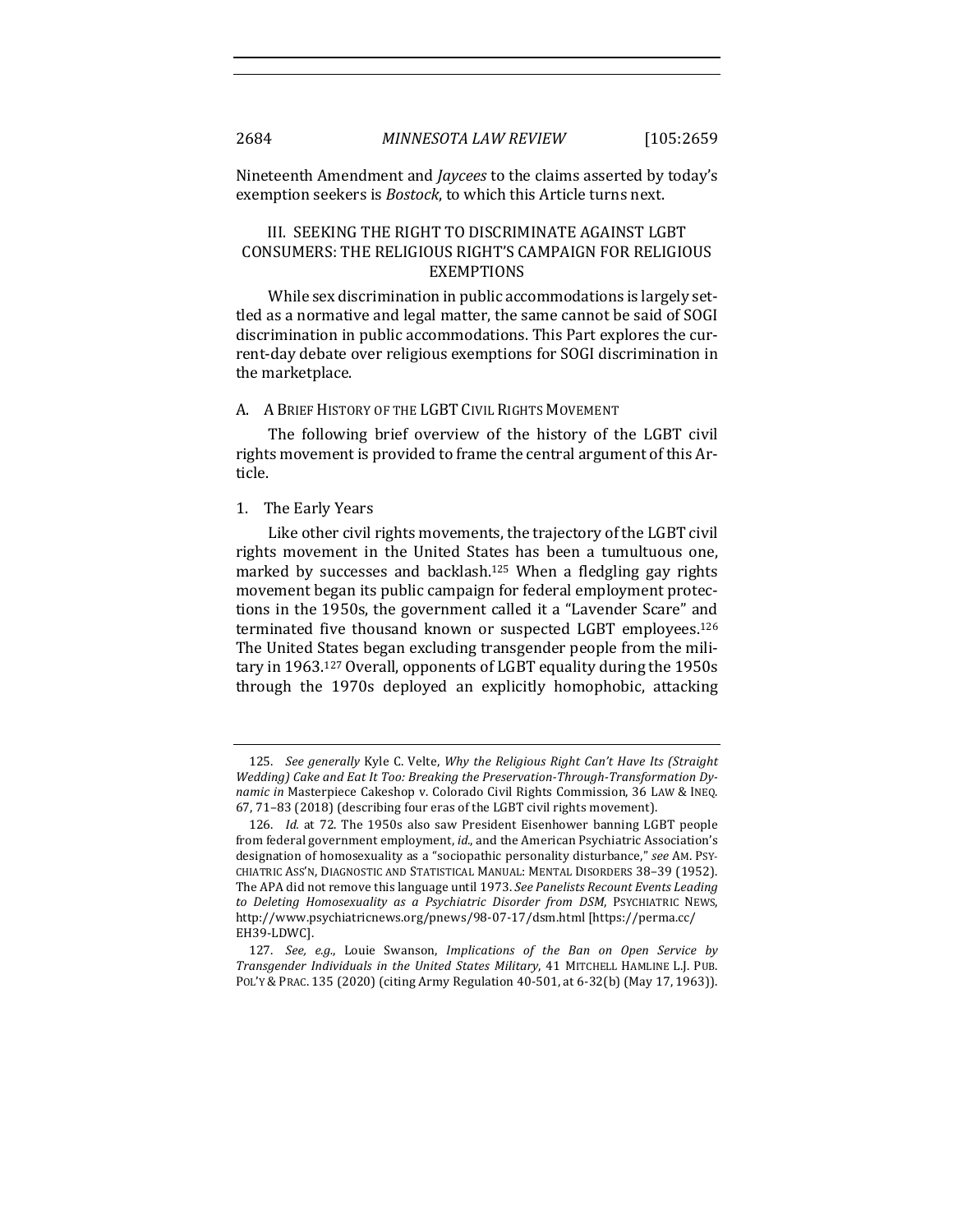Nineteenth Amendment and *Jaycees* to the claims asserted by today's exemption seekers is *Bostock*, to which this Article turns next.

## III. SEEKING THE RIGHT TO DISCRIMINATE AGAINST LGBT CONSUMERS: THE RELIGIOUS RIGHT'S CAMPAIGN FOR RELIGIOUS EXEMPTIONS

While sex discrimination in public accommodations is largely settled as a normative and legal matter, the same cannot be said of SOGI discrimination in public accommodations. This Part explores the current-day debate over religious exemptions for SOGI discrimination in the marketplace.

#### A. A BRIEF HISTORY OF THE LGBT CIVIL RIGHTS MOVEMENT

The following brief overview of the history of the LGBT civil rights movement is provided to frame the central argument of this Article.

#### 1. The Early Years

Like other civil rights movements, the trajectory of the LGBT civil rights movement in the United States has been a tumultuous one, marked by successes and backlash.<sup>125</sup> When a fledgling gay rights movement began its public campaign for federal employment protections in the 1950s, the government called it a "Lavender Scare" and terminated five thousand known or suspected LGBT employees.<sup>126</sup> The United States began excluding transgender people from the military in 1963.<sup>127</sup> Overall, opponents of LGBT equality during the 1950s through the 1970s deployed an explicitly homophobic, attacking

<sup>125.</sup> *See generally* Kyle C. Velte, *Why the Religious Right Can't Have Its (Straight* Wedding) Cake and Eat It Too: Breaking the Preservation-Through-Transformation Dy*namic in* Masterpiece Cakeshop v. Colorado Civil Rights Commission, 36 LAW & INEQ. 67, 71-83 (2018) (describing four eras of the LGBT civil rights movement).

<sup>126.</sup> *Id.* at 72. The 1950s also saw President Eisenhower banning LGBT people from federal government employment, *id.*, and the American Psychiatric Association's designation of homosexuality as a "sociopathic personality disturbance," see AM. PSY-CHIATRIC ASS'N, DIAGNOSTIC AND STATISTICAL MANUAL: MENTAL DISORDERS 38-39 (1952). The APA did not remove this language until 1973. See Panelists Recount Events Leading to Deleting Homosexuality as a Psychiatric Disorder from DSM, PSYCHIATRIC NEWS, http://www.psychiatricnews.org/pnews/98-07-17/dsm.html [https://perma.cc/ EH39-LDWC].

<sup>127.</sup> *See, e.g.*, Louie Swanson, *Implications of the Ban on Open Service by Transgender Individuals in the United States Military*, 41 MITCHELL HAMLINE L.J. PUB. POL'Y & PRAC. 135 (2020) (citing Army Regulation 40-501, at 6-32(b) (May 17, 1963)).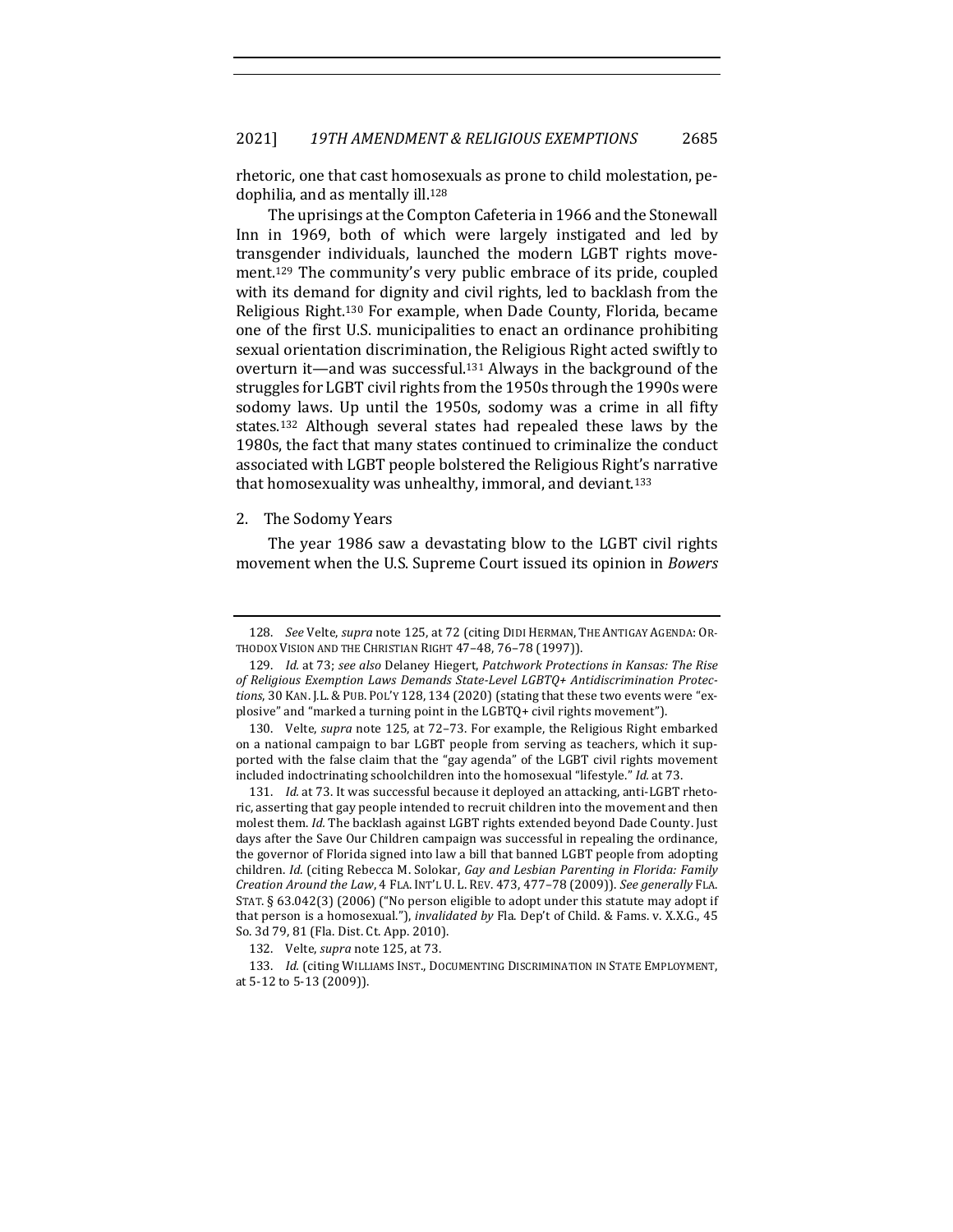rhetoric, one that cast homosexuals as prone to child molestation, pedophilia, and as mentally ill.<sup>128</sup>

The uprisings at the Compton Cafeteria in 1966 and the Stonewall Inn in 1969, both of which were largely instigated and led by transgender individuals, launched the modern LGBT rights movement.<sup>129</sup> The community's very public embrace of its pride, coupled with its demand for dignity and civil rights, led to backlash from the Religious Right.<sup>130</sup> For example, when Dade County, Florida, became one of the first U.S. municipalities to enact an ordinance prohibiting sexual orientation discrimination, the Religious Right acted swiftly to overturn it—and was successful.<sup>131</sup> Always in the background of the struggles for LGBT civil rights from the 1950s through the 1990s were sodomy laws. Up until the 1950s, sodomy was a crime in all fifty states.<sup>132</sup> Although several states had repealed these laws by the 1980s, the fact that many states continued to criminalize the conduct associated with LGBT people bolstered the Religious Right's narrative that homosexuality was unhealthy, immoral, and deviant.<sup>133</sup>

#### 2. The Sodomy Years

The year 1986 saw a devastating blow to the LGBT civil rights movement when the U.S. Supreme Court issued its opinion in *Bowers* 

<sup>128.</sup> *See Velte, supra* note 125, at 72 (citing DIDI HERMAN, THE ANTIGAY AGENDA: OR-THODOX VISION AND THE CHRISTIAN RIGHT 47-48, 76-78 (1997)).

<sup>129.</sup> *Id.* at 73; see also Delaney Hiegert, Patchwork Protections in Kansas: The Rise of Religious Exemption Laws Demands State-Level LGBTQ+ Antidiscrimination Protec*tions*, 30 KAN. J.L. & PUB. POL'Y 128, 134 (2020) (stating that these two events were "explosive" and "marked a turning point in the LGBTQ+ civil rights movement").

<sup>130.</sup> Velte, *supra* note 125, at 72-73. For example, the Religious Right embarked on a national campaign to bar LGBT people from serving as teachers, which it supported with the false claim that the "gay agenda" of the LGBT civil rights movement included indoctrinating schoolchildren into the homosexual "lifestyle." *Id.* at 73.

<sup>131.</sup> *Id.* at 73. It was successful because it deployed an attacking, anti-LGBT rhetoric, asserting that gay people intended to recruit children into the movement and then molest them. *Id.* The backlash against LGBT rights extended beyond Dade County. Just days after the Save Our Children campaign was successful in repealing the ordinance, the governor of Florida signed into law a bill that banned LGBT people from adopting children. *Id.* (citing Rebecca M. Solokar, *Gay and Lesbian Parenting in Florida: Family Creation Around the Law,* 4 FLA. INT'L U. L. REV. 473, 477-78 (2009)). See generally FLA. STAT. § 63.042(3) (2006) ("No person eligible to adopt under this statute may adopt if that person is a homosexual."), *invalidated by* Fla. Dep't of Child. & Fams. v. X.X.G., 45 So. 3d 79, 81 (Fla. Dist. Ct. App. 2010).

<sup>132.</sup> Velte, *supra* note 125, at 73.

<sup>133.</sup> *Id.* (citing WILLIAMS INST., DOCUMENTING DISCRIMINATION IN STATE EMPLOYMENT, at 5-12 to 5-13 (2009)).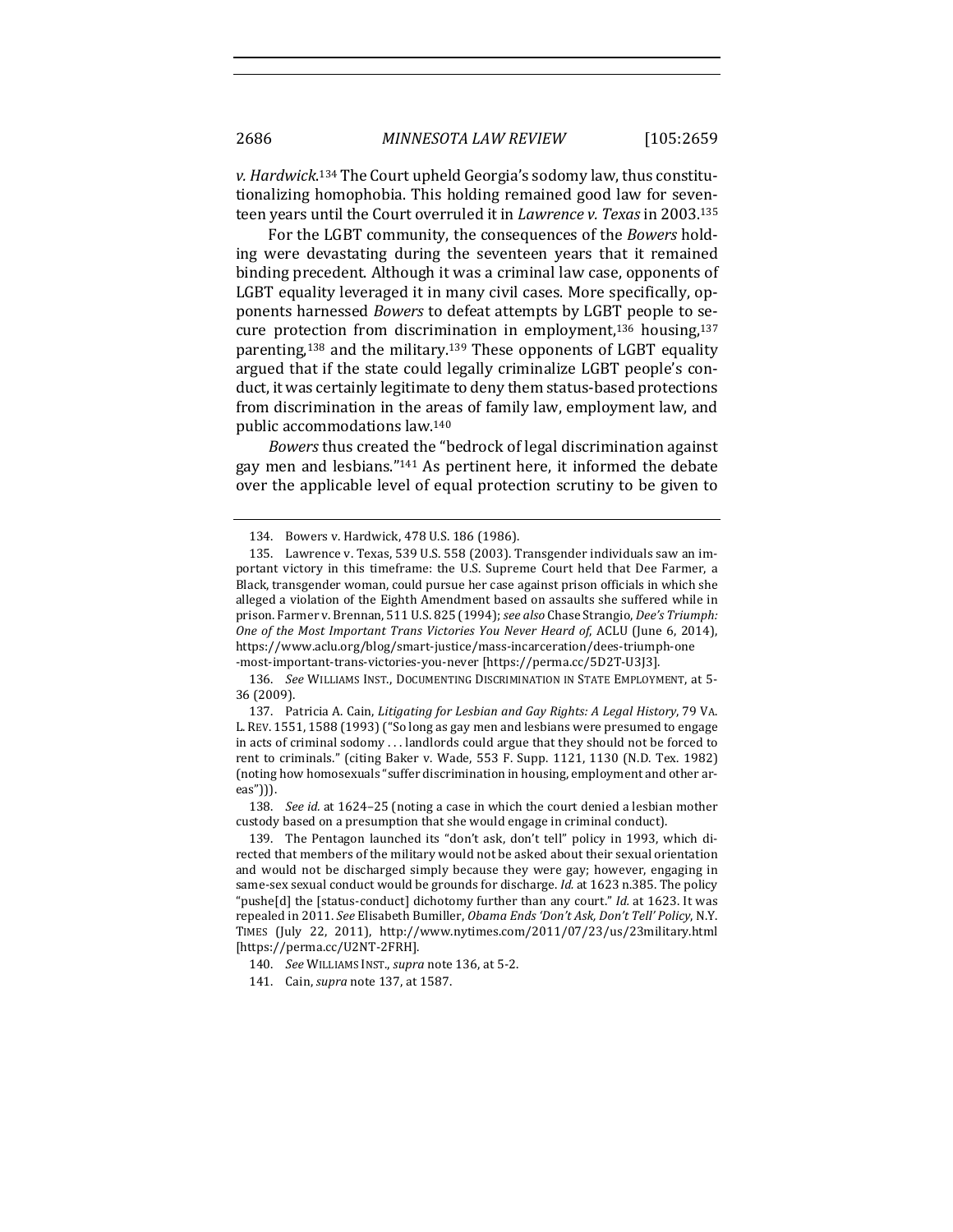v. Hardwick.<sup>134</sup> The Court upheld Georgia's sodomy law, thus constitutionalizing homophobia. This holding remained good law for seventeen years until the Court overruled it in *Lawrence v. Texas* in 2003.<sup>135</sup>

For the LGBT community, the consequences of the *Bowers* holding were devastating during the seventeen years that it remained binding precedent. Although it was a criminal law case, opponents of LGBT equality leveraged it in many civil cases. More specifically, opponents harnessed *Bowers* to defeat attempts by LGBT people to secure protection from discrimination in employment,<sup>136</sup> housing,<sup>137</sup> parenting,<sup>138</sup> and the military.<sup>139</sup> These opponents of LGBT equality argued that if the state could legally criminalize LGBT people's conduct, it was certainly legitimate to deny them status-based protections from discrimination in the areas of family law, employment law, and public accommodations law.<sup>140</sup>

*Bowers* thus created the "bedrock of legal discrimination against gay men and lesbians."<sup>141</sup> As pertinent here, it informed the debate over the applicable level of equal protection scrutiny to be given to

136. See WILLIAMS INST., DOCUMENTING DISCRIMINATION IN STATE EMPLOYMENT, at 5-36 (2009).

137. Patricia A. Cain, *Litigating for Lesbian and Gay Rights: A Legal History*, 79 VA. L. REV. 1551, 1588 (1993) ("So long as gay men and lesbians were presumed to engage in acts of criminal sodomy ... landlords could argue that they should not be forced to rent to criminals." (citing Baker v. Wade, 553 F. Supp. 1121, 1130 (N.D. Tex. 1982) (noting how homosexuals "suffer discrimination in housing, employment and other areas"))).

138. *See id.* at 1624–25 (noting a case in which the court denied a lesbian mother custody based on a presumption that she would engage in criminal conduct).

139. The Pentagon launched its "don't ask, don't tell" policy in 1993, which directed that members of the military would not be asked about their sexual orientation and would not be discharged simply because they were gay; however, engaging in same-sex sexual conduct would be grounds for discharge. *Id.* at 1623 n.385. The policy "pushe[d] the [status-conduct] dichotomy further than any court." *Id.* at 1623. It was repealed in 2011. See Elisabeth Bumiller, *Obama Ends 'Don't Ask, Don't Tell' Policy*, N.Y. TIMES (July 22, 2011), http://www.nytimes.com/2011/07/23/us/23military.html [https://perma.cc/U2NT-2FRH].

<sup>134.</sup> Bowers v. Hardwick, 478 U.S. 186 (1986).

<sup>135.</sup> Lawrence v. Texas, 539 U.S. 558 (2003). Transgender individuals saw an important victory in this timeframe: the U.S. Supreme Court held that Dee Farmer, a Black, transgender woman, could pursue her case against prison officials in which she alleged a violation of the Eighth Amendment based on assaults she suffered while in prison. Farmer v. Brennan, 511 U.S. 825 (1994); see also Chase Strangio, *Dee's Triumph: One of the Most Important Trans Victories You Never Heard of, ACLU* (June 6, 2014), https://www.aclu.org/blog/smart-justice/mass-incarceration/dees-triumph-one -most-important-trans-victories-you-never [https://perma.cc/5D2T-U3J3]. 

<sup>140.</sup> *See* WILLIAMS INST., *supra* note 136, at 5-2.

<sup>141.</sup> Cain, *supra* note 137, at 1587.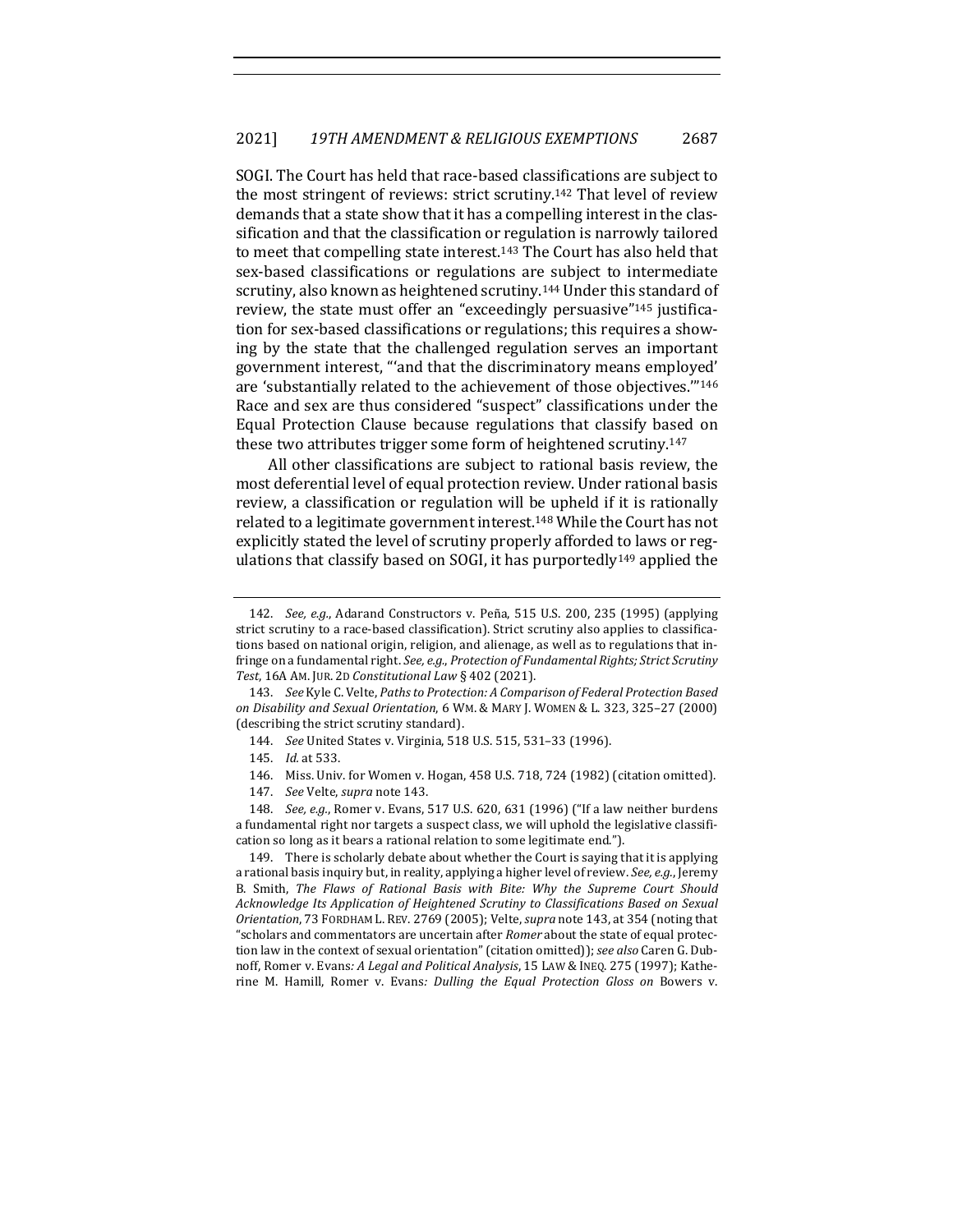SOGI. The Court has held that race-based classifications are subject to the most stringent of reviews: strict scrutiny.<sup>142</sup> That level of review demands that a state show that it has a compelling interest in the classification and that the classification or regulation is narrowly tailored to meet that compelling state interest.<sup>143</sup> The Court has also held that sex-based classifications or regulations are subject to intermediate scrutiny, also known as heightened scrutiny.<sup>144</sup> Under this standard of review, the state must offer an "exceedingly persuasive"<sup>145</sup> justification for sex-based classifications or regulations; this requires a showing by the state that the challenged regulation serves an important government interest, "'and that the discriminatory means employed' are 'substantially related to the achievement of those objectives."<sup>146</sup> Race and sex are thus considered "suspect" classifications under the Equal Protection Clause because regulations that classify based on these two attributes trigger some form of heightened scrutiny.<sup>147</sup>

All other classifications are subject to rational basis review, the most deferential level of equal protection review. Under rational basis review, a classification or regulation will be upheld if it is rationally related to a legitimate government interest.<sup>148</sup> While the Court has not explicitly stated the level of scrutiny properly afforded to laws or regulations that classify based on SOGI, it has purportedly<sup>149</sup> applied the

143. See Kyle C. Velte, Paths to Protection: A Comparison of Federal Protection Based *on Disability and Sexual Orientation*, 6 WM. & MARY J. WOMEN & L. 323, 325–27 (2000) (describing the strict scrutiny standard).

- 144. *See United States v. Virginia,* 518 U.S. 515, 531-33 (1996).
- 145. *Id.* at 533.

146. Miss. Univ. for Women v. Hogan, 458 U.S. 718, 724 (1982) (citation omitted).

147. *See* Velte, *supra* note 143.

148. *See, e.g.*, Romer v. Evans, 517 U.S. 620, 631 (1996) ("If a law neither burdens a fundamental right nor targets a suspect class, we will uphold the legislative classification so long as it bears a rational relation to some legitimate end.").

149. There is scholarly debate about whether the Court is saying that it is applying a rational basis inquiry but, in reality, applying a higher level of review. See, e.g., Jeremy B. Smith, The Flaws of Rational Basis with Bite: Why the Supreme Court Should Acknowledge Its Application of Heightened Scrutiny to Classifications Based on Sexual *Orientation*, 73 FORDHAM L. REV. 2769 (2005); Velte, *supra* note 143, at 354 (noting that "scholars and commentators are uncertain after *Romer* about the state of equal protection law in the context of sexual orientation" (citation omitted)); see also Caren G. Dubnoff, Romer v. Evans: A Legal and Political Analysis, 15 LAW & INEQ. 275 (1997); Katherine M. Hamill, Romer v. Evans: *Dulling the Equal Protection Gloss on* Bowers v.

<sup>142.</sup> *See, e.g.*, Adarand Constructors v. Peña, 515 U.S. 200, 235 (1995) (applying strict scrutiny to a race-based classification). Strict scrutiny also applies to classifications based on national origin, religion, and alienage, as well as to regulations that infringe on a fundamental right. See, e.g., Protection of Fundamental Rights; Strict Scrutiny Test, 16A AM. JUR. 2D *Constitutional Law* § 402 (2021).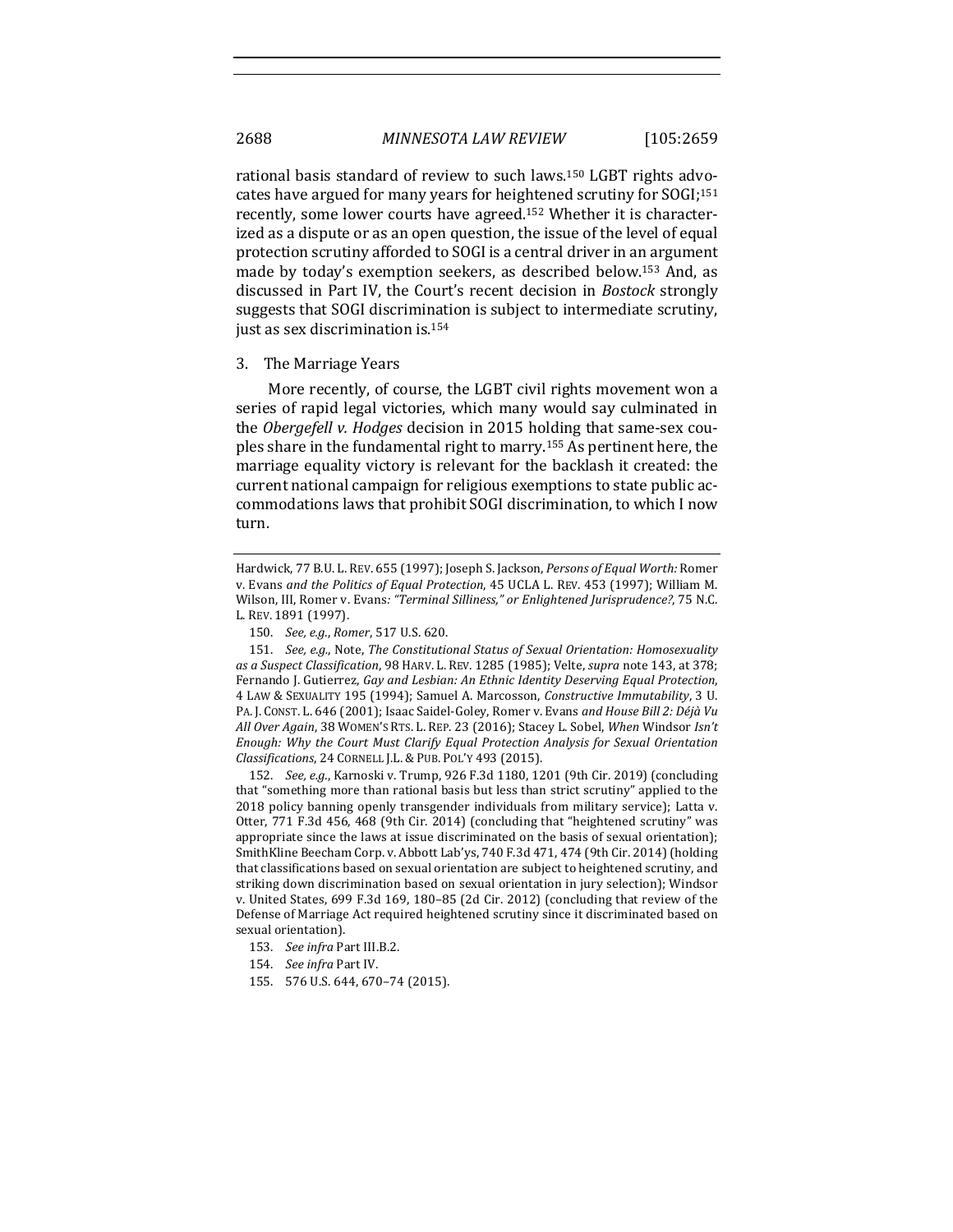rational basis standard of review to such laws.<sup>150</sup> LGBT rights advocates have argued for many years for heightened scrutiny for SOGI;<sup>151</sup> recently, some lower courts have agreed.<sup>152</sup> Whether it is characterized as a dispute or as an open question, the issue of the level of equal protection scrutiny afforded to SOGI is a central driver in an argument made by today's exemption seekers, as described below.<sup>153</sup> And, as discussed in Part IV, the Court's recent decision in *Bostock* strongly suggests that SOGI discrimination is subject to intermediate scrutiny, just as sex discrimination is.<sup>154</sup>

#### 3. The Marriage Years

More recently, of course, the LGBT civil rights movement won a series of rapid legal victories, which many would say culminated in the *Obergefell v. Hodges* decision in 2015 holding that same-sex couples share in the fundamental right to marry.<sup>155</sup> As pertinent here, the marriage equality victory is relevant for the backlash it created: the current national campaign for religious exemptions to state public accommodations laws that prohibit SOGI discrimination, to which I now turn.

151. *See, e.g.*, Note, *The Constitutional Status of Sexual Orientation: Homosexuality* as a Suspect Classification, 98 HARV. L. REV. 1285 (1985); Velte, *supra* note 143, at 378; Fernando J. Gutierrez, *Gay and Lesbian: An Ethnic Identity Deserving Equal Protection*, 4 LAW & SEXUALITY 195 (1994); Samuel A. Marcosson, *Constructive Immutability*, 3 U. PA. J. CONST. L. 646 (2001); Isaac Saidel-Goley, Romer v. Evans and House Bill 2: Déjà Vu All Over Again, 38 WOMEN'S RTS. L. REP. 23 (2016); Stacey L. Sobel, When Windsor *Isn't Enough: Why the Court Must Clarify Equal Protection Analysis for Sexual Orientation Classifications*, 24 CORNELL J.L. & PUB. POL'Y 493 (2015).

152. *See, e.g.*, Karnoski v. Trump, 926 F.3d 1180, 1201 (9th Cir. 2019) (concluding that "something more than rational basis but less than strict scrutiny" applied to the 2018 policy banning openly transgender individuals from military service); Latta v. Otter, 771 F.3d 456, 468 (9th Cir. 2014) (concluding that "heightened scrutiny" was appropriate since the laws at issue discriminated on the basis of sexual orientation); SmithKline Beecham Corp. v. Abbott Lab'ys, 740 F.3d 471, 474 (9th Cir. 2014) (holding that classifications based on sexual orientation are subject to heightened scrutiny, and striking down discrimination based on sexual orientation in jury selection); Windsor v. United States,  $699$  F.3d  $169$ ,  $180-85$  (2d Cir. 2012) (concluding that review of the Defense of Marriage Act required heightened scrutiny since it discriminated based on sexual orientation).

- 153. *See infra Part III.B.2.*
- 154. *See infra* Part IV.
- 155. 576 U.S. 644, 670-74 (2015).

Hardwick, 77 B.U. L. REV. 655 (1997); Joseph S. Jackson, *Persons of Equal Worth:* Romer v. Evans *and the Politics of Equal Protection*, 45 UCLA L. REV. 453 (1997); William M. Wilson, III, Romer v. Evans: "Terminal Silliness," or Enlightened Jurisprudence?, 75 N.C. L. REV. 1891 (1997).

<sup>150.</sup> *See, e.g., Romer*, 517 U.S. 620.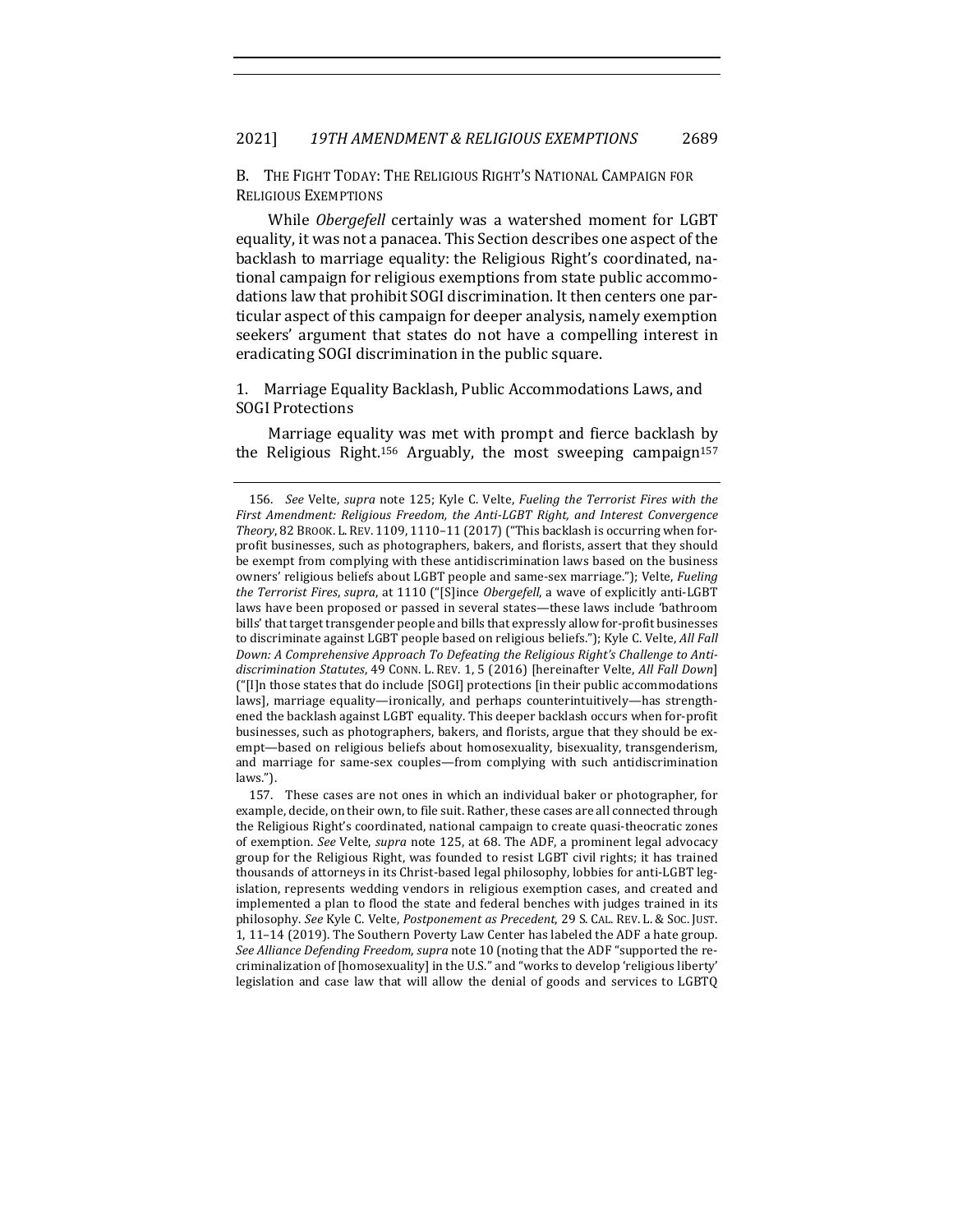B. THE FIGHT TODAY: THE RELIGIOUS RIGHT'S NATIONAL CAMPAIGN FOR RELIGIOUS EXEMPTIONS

While *Obergefell* certainly was a watershed moment for LGBT equality, it was not a panacea. This Section describes one aspect of the backlash to marriage equality: the Religious Right's coordinated, national campaign for religious exemptions from state public accommodations law that prohibit SOGI discrimination. It then centers one particular aspect of this campaign for deeper analysis, namely exemption seekers' argument that states do not have a compelling interest in eradicating SOGI discrimination in the public square.

1. Marriage Equality Backlash, Public Accommodations Laws, and **SOGI** Protections

Marriage equality was met with prompt and fierce backlash by the Religious Right.<sup>156</sup> Arguably, the most sweeping campaign<sup>157</sup>

157. These cases are not ones in which an individual baker or photographer, for example, decide, on their own, to file suit. Rather, these cases are all connected through the Religious Right's coordinated, national campaign to create quasi-theocratic zones of exemption. See Velte, *supra* note 125, at 68. The ADF, a prominent legal advocacy group for the Religious Right, was founded to resist LGBT civil rights; it has trained thousands of attorneys in its Christ-based legal philosophy, lobbies for anti-LGBT legislation, represents wedding vendors in religious exemption cases, and created and implemented a plan to flood the state and federal benches with judges trained in its philosophy. See Kyle C. Velte, *Postponement as Precedent*, 29 S. CAL. REV. L. & Soc. JUST. 1,  $11-14$  (2019). The Southern Poverty Law Center has labeled the ADF a hate group. *See Alliance Defending Freedom, supra* note 10 (noting that the ADF "supported the recriminalization of [homosexuality] in the U.S." and "works to develop 'religious liberty' legislation and case law that will allow the denial of goods and services to LGBTQ

<sup>156.</sup> *See* Velte, *supra* note 125; Kyle C. Velte, *Fueling the Terrorist Fires with the* First Amendment: Religious Freedom, the Anti-LGBT Right, and Interest Convergence Theory, 82 BROOK. L. REV. 1109, 1110-11 (2017) ("This backlash is occurring when forprofit businesses, such as photographers, bakers, and florists, assert that they should be exempt from complying with these antidiscrimination laws based on the business owners' religious beliefs about LGBT people and same-sex marriage."); Velte, *Fueling the Terrorist Fires, supra,* at 1110 ("[S]ince *Obergefell*, a wave of explicitly anti-LGBT laws have been proposed or passed in several states—these laws include 'bathroom bills' that target transgender people and bills that expressly allow for-profit businesses to discriminate against LGBT people based on religious beliefs."); Kyle C. Velte, *All Fall* Down: A Comprehensive Approach To Defeating the Religious Right's Challenge to Antidiscrimination Statutes, 49 CONN. L. REV. 1, 5 (2016) [hereinafter Velte, *All Fall Down*] ("[I]n those states that do include [SOGI] protections [in their public accommodations laws], marriage equality—ironically, and perhaps counterintuitively—has strengthened the backlash against LGBT equality. This deeper backlash occurs when for-profit businesses, such as photographers, bakers, and florists, argue that they should be exempt—based on religious beliefs about homosexuality, bisexuality, transgenderism, and marriage for same-sex couples—from complying with such antidiscrimination laws.").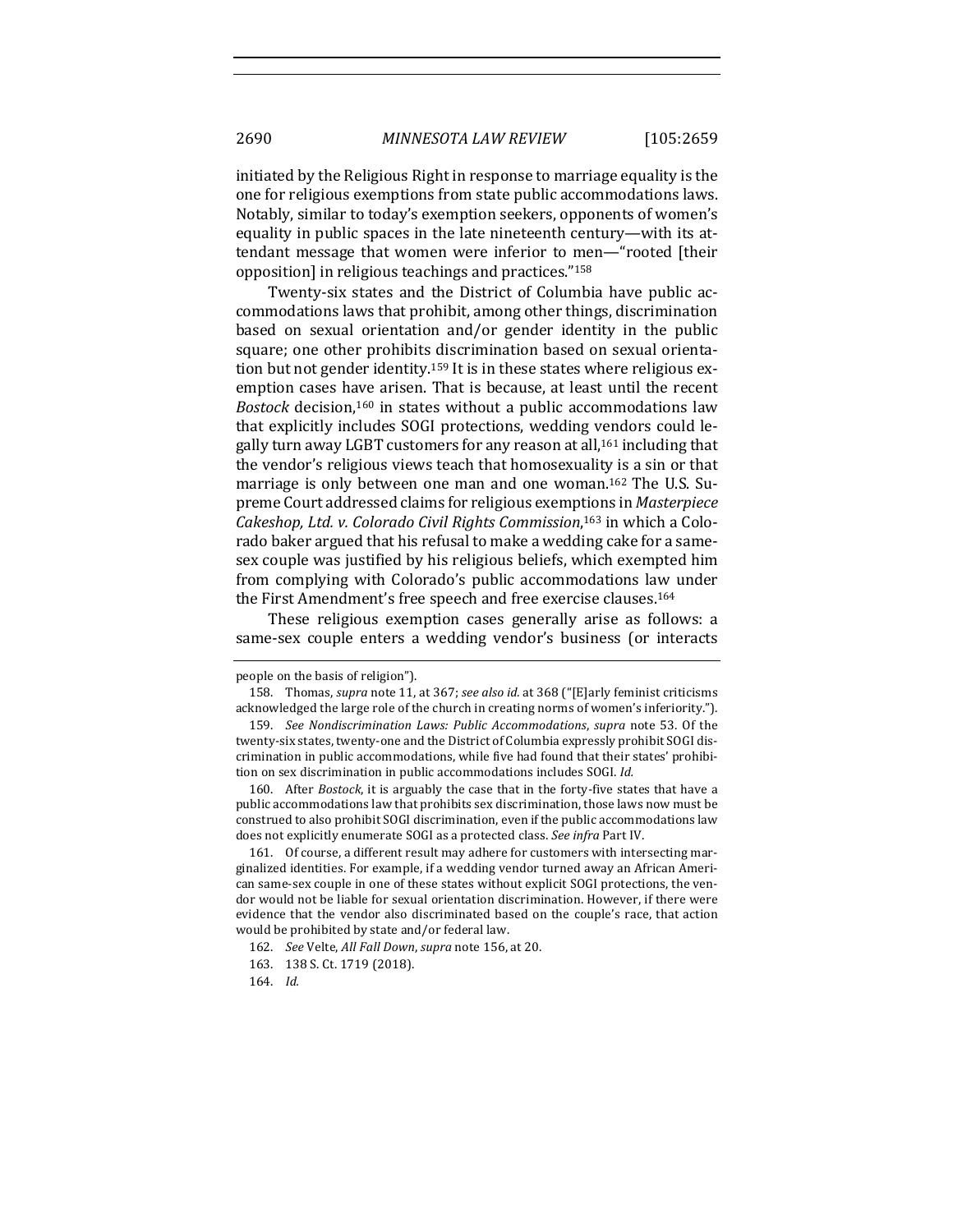initiated by the Religious Right in response to marriage equality is the one for religious exemptions from state public accommodations laws. Notably, similar to today's exemption seekers, opponents of women's equality in public spaces in the late nineteenth century—with its attendant message that women were inferior to men—"rooted [their opposition] in religious teachings and practices."<sup>158</sup>

Twenty-six states and the District of Columbia have public accommodations laws that prohibit, among other things, discrimination based on sexual orientation and/or gender identity in the public square; one other prohibits discrimination based on sexual orientation but not gender identity.<sup>159</sup> It is in these states where religious exemption cases have arisen. That is because, at least until the recent *Bostock* decision,<sup>160</sup> in states without a public accommodations law that explicitly includes SOGI protections, wedding vendors could legally turn away LGBT customers for any reason at all,<sup>161</sup> including that the vendor's religious views teach that homosexuality is a sin or that marriage is only between one man and one woman.<sup>162</sup> The U.S. Supreme Court addressed claims for religious exemptions in *Masterpiece* Cakeshop, Ltd. v. Colorado Civil Rights Commission,<sup>163</sup> in which a Colorado baker argued that his refusal to make a wedding cake for a samesex couple was justified by his religious beliefs, which exempted him from complying with Colorado's public accommodations law under the First Amendment's free speech and free exercise clauses.<sup>164</sup>

These religious exemption cases generally arise as follows: a same-sex couple enters a wedding vendor's business (or interacts

161. Of course, a different result may adhere for customers with intersecting marginalized identities. For example, if a wedding vendor turned away an African American same-sex couple in one of these states without explicit SOGI protections, the vendor would not be liable for sexual orientation discrimination. However, if there were evidence that the vendor also discriminated based on the couple's race, that action would be prohibited by state and/or federal law.

people on the basis of religion").

<sup>158.</sup> Thomas, *supra* note 11, at 367; see also id. at 368 ("[E]arly feminist criticisms acknowledged the large role of the church in creating norms of women's inferiority.").

<sup>159.</sup> *See Nondiscrimination Laws: Public Accommodations, supra note* 53. Of the twenty-six states, twenty-one and the District of Columbia expressly prohibit SOGI discrimination in public accommodations, while five had found that their states' prohibition on sex discrimination in public accommodations includes SOGI. Id.

<sup>160.</sup> After *Bostock*, it is arguably the case that in the forty-five states that have a public accommodations law that prohibits sex discrimination, those laws now must be construed to also prohibit SOGI discrimination, even if the public accommodations law does not explicitly enumerate SOGI as a protected class. See infra Part IV.

<sup>162.</sup> *See* Velte, All Fall Down, supra note 156, at 20.

<sup>163. 138</sup> S. Ct. 1719 (2018).

<sup>164.</sup> *Id.*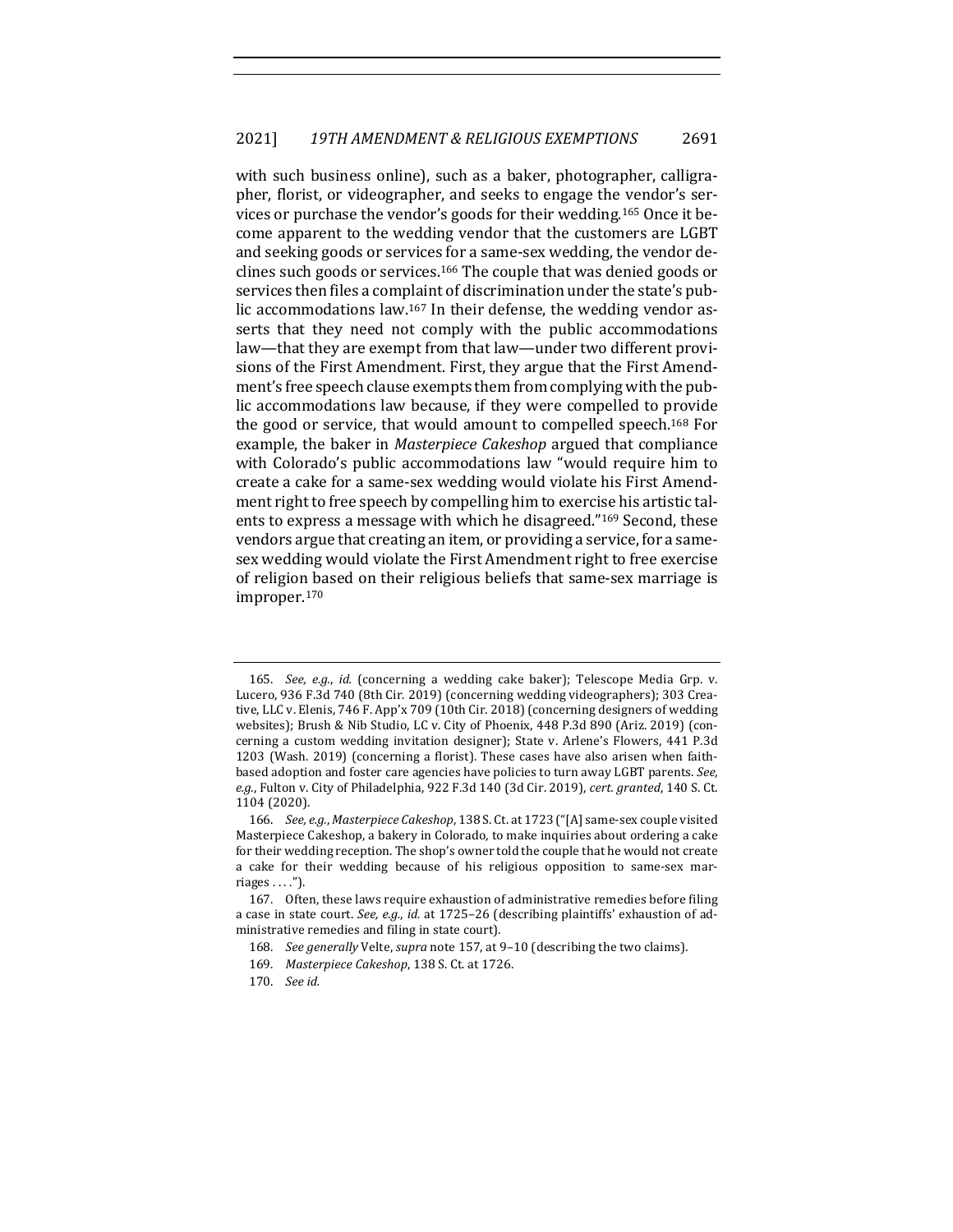with such business online), such as a baker, photographer, calligrapher, florist, or videographer, and seeks to engage the vendor's services or purchase the vendor's goods for their wedding.<sup>165</sup> Once it become apparent to the wedding vendor that the customers are LGBT and seeking goods or services for a same-sex wedding, the vendor declines such goods or services.<sup>166</sup> The couple that was denied goods or services then files a complaint of discrimination under the state's public accommodations law.<sup>167</sup> In their defense, the wedding vendor asserts that they need not comply with the public accommodations law—that they are exempt from that law—under two different provisions of the First Amendment. First, they argue that the First Amendment's free speech clause exempts them from complying with the public accommodations law because, if they were compelled to provide the good or service, that would amount to compelled speech.<sup>168</sup> For example, the baker in *Masterpiece Cakeshop* argued that compliance with Colorado's public accommodations law "would require him to create a cake for a same-sex wedding would violate his First Amendment right to free speech by compelling him to exercise his artistic talents to express a message with which he disagreed."<sup>169</sup> Second, these vendors argue that creating an item, or providing a service, for a samesex wedding would violate the First Amendment right to free exercise of religion based on their religious beliefs that same-sex marriage is improper.170

168. *See generally* Velte, *supra* note 157, at 9-10 (describing the two claims).

170. *See id.*

<sup>165.</sup> *See, e.g., id.* (concerning a wedding cake baker); Telescope Media Grp. v. Lucero, 936 F.3d 740 (8th Cir. 2019) (concerning wedding videographers); 303 Creative, LLC v. Elenis, 746 F. App'x 709 (10th Cir. 2018) (concerning designers of wedding websites); Brush & Nib Studio, LC v. City of Phoenix, 448 P.3d 890 (Ariz. 2019) (concerning a custom wedding invitation designer); State v. Arlene's Flowers, 441 P.3d 1203 (Wash. 2019) (concerning a florist). These cases have also arisen when faithbased adoption and foster care agencies have policies to turn away LGBT parents. See, e.g., Fulton v. City of Philadelphia, 922 F.3d 140 (3d Cir. 2019), cert. granted, 140 S. Ct. 1104 (2020).

<sup>166.</sup> *See, e.g., Masterpiece Cakeshop,* 138 S. Ct. at 1723 ("[A] same-sex couple visited Masterpiece Cakeshop, a bakery in Colorado, to make inquiries about ordering a cake for their wedding reception. The shop's owner told the couple that he would not create a cake for their wedding because of his religious opposition to same-sex marriages . . . .").

<sup>167.</sup> Often, these laws require exhaustion of administrative remedies before filing a case in state court. See, e.g., id. at 1725-26 (describing plaintiffs' exhaustion of administrative remedies and filing in state court).

<sup>169.</sup> *Masterpiece Cakeshop*, 138 S. Ct. at 1726.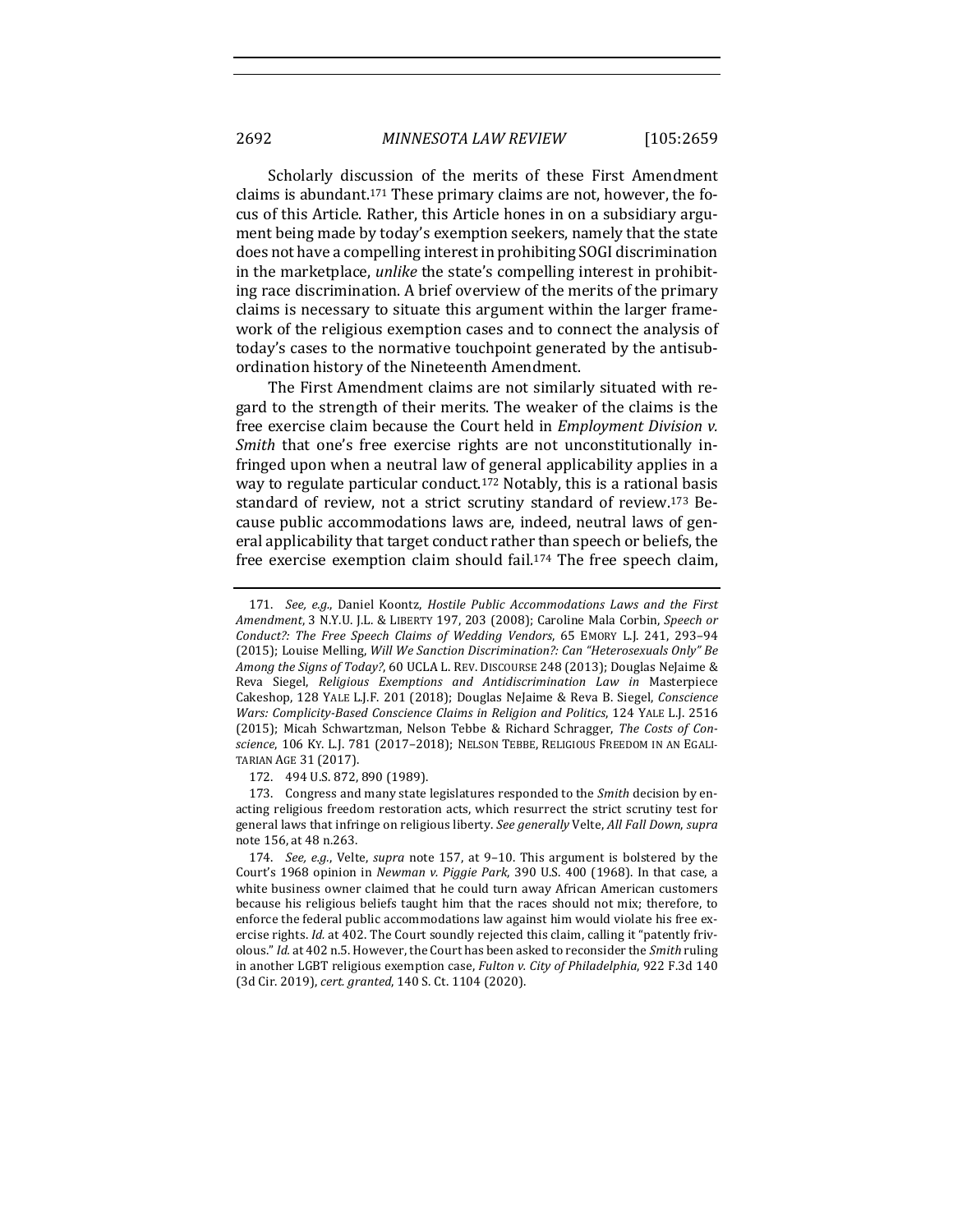Scholarly discussion of the merits of these First Amendment claims is abundant.<sup>171</sup> These primary claims are not, however, the focus of this Article. Rather, this Article hones in on a subsidiary argument being made by today's exemption seekers, namely that the state does not have a compelling interest in prohibiting SOGI discrimination in the marketplace, *unlike* the state's compelling interest in prohibiting race discrimination. A brief overview of the merits of the primary claims is necessary to situate this argument within the larger framework of the religious exemption cases and to connect the analysis of today's cases to the normative touchpoint generated by the antisubordination history of the Nineteenth Amendment.

The First Amendment claims are not similarly situated with regard to the strength of their merits. The weaker of the claims is the free exercise claim because the Court held in *Employment Division v. Smith* that one's free exercise rights are not unconstitutionally infringed upon when a neutral law of general applicability applies in a way to regulate particular conduct.<sup>172</sup> Notably, this is a rational basis standard of review, not a strict scrutiny standard of review.<sup>173</sup> Because public accommodations laws are, indeed, neutral laws of general applicability that target conduct rather than speech or beliefs, the free exercise exemption claim should fail.<sup>174</sup> The free speech claim,

<sup>171.</sup> *See, e.g.*, Daniel Koontz, Hostile Public Accommodations Laws and the First *Amendment*, 3 N.Y.U. J.L. & LIBERTY 197, 203 (2008); Caroline Mala Corbin, Speech or Conduct?: The Free Speech Claims of Wedding Vendors, 65 EMORY L.J. 241, 293-94 (2015); Louise Melling, *Will We Sanction Discrimination?: Can "Heterosexuals Only" Be* Among the Signs of Today?, 60 UCLA L. REV. DISCOURSE 248 (2013); Douglas NeJaime & Reva Siegel, *Religious Exemptions and Antidiscrimination Law in*  Masterpiece Cakeshop, 128 YALE L.J.F. 201 (2018); Douglas NeJaime & Reva B. Siegel, *Conscience Wars: Complicity-Based Conscience Claims in Religion and Politics*, 124 YALE L.J. 2516 (2015); Micah Schwartzman, Nelson Tebbe & Richard Schragger, *The Costs of Con*science, 106 KY. L.J. 781 (2017-2018); NELSON TEBBE, RELIGIOUS FREEDOM IN AN EGALI-TARIAN AGE 31 (2017).

<sup>172. 494</sup> U.S. 872, 890 (1989).

<sup>173.</sup> Congress and many state legislatures responded to the *Smith* decision by enacting religious freedom restoration acts, which resurrect the strict scrutiny test for general laws that infringe on religious liberty. *See generally* Velte, *All Fall Down*, *supra* note 156, at 48 n.263.

<sup>174.</sup> *See, e.g.*, Velte, *supra* note 157, at 9-10. This argument is bolstered by the Court's 1968 opinion in *Newman v. Piggie Park*, 390 U.S. 400 (1968). In that case, a white business owner claimed that he could turn away African American customers because his religious beliefs taught him that the races should not mix; therefore, to enforce the federal public accommodations law against him would violate his free exercise rights. *Id.* at 402. The Court soundly rejected this claim, calling it "patently frivolous." *Id.* at 402 n.5. However, the Court has been asked to reconsider the *Smith* ruling in another LGBT religious exemption case, *Fulton v. City of Philadelphia*, 922 F.3d 140 (3d Cir. 2019), cert. granted, 140 S. Ct. 1104 (2020).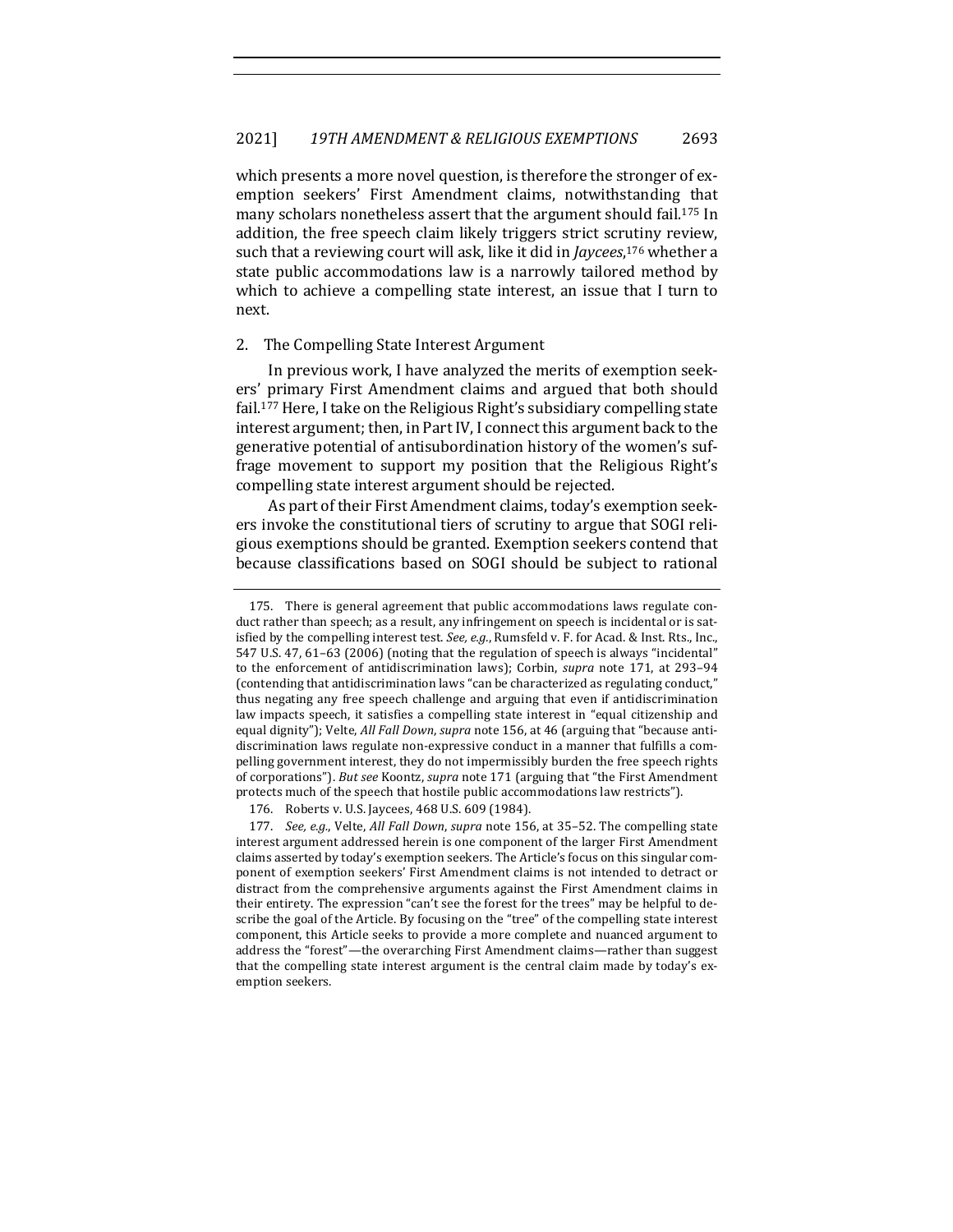which presents a more novel question, is therefore the stronger of exemption seekers' First Amendment claims, notwithstanding that many scholars nonetheless assert that the argument should fail.<sup>175</sup> In addition, the free speech claim likely triggers strict scrutiny review, such that a reviewing court will ask, like it did in *Jaycees*,<sup>176</sup> whether a state public accommodations law is a narrowly tailored method by which to achieve a compelling state interest, an issue that I turn to next. 

#### 2. The Compelling State Interest Argument

In previous work, I have analyzed the merits of exemption seekers' primary First Amendment claims and argued that both should fail.<sup>177</sup> Here, I take on the Religious Right's subsidiary compelling state interest argument; then, in Part IV, I connect this argument back to the generative potential of antisubordination history of the women's suffrage movement to support my position that the Religious Right's compelling state interest argument should be rejected.

As part of their First Amendment claims, today's exemption seekers invoke the constitutional tiers of scrutiny to argue that SOGI religious exemptions should be granted. Exemption seekers contend that because classifications based on SOGI should be subject to rational

176. Roberts v. U.S. Jaycees, 468 U.S. 609 (1984).

177. *See, e.g.*, Velte, *All Fall Down, supra* note 156, at 35-52. The compelling state interest argument addressed herein is one component of the larger First Amendment claims asserted by today's exemption seekers. The Article's focus on this singular component of exemption seekers' First Amendment claims is not intended to detract or distract from the comprehensive arguments against the First Amendment claims in their entirety. The expression "can't see the forest for the trees" may be helpful to describe the goal of the Article. By focusing on the "tree" of the compelling state interest component, this Article seeks to provide a more complete and nuanced argument to address the "forest"—the overarching First Amendment claims—rather than suggest that the compelling state interest argument is the central claim made by today's exemption seekers.

<sup>175.</sup> There is general agreement that public accommodations laws regulate conduct rather than speech; as a result, any infringement on speech is incidental or is satisfied by the compelling interest test. See, e.g., Rumsfeld v. F. for Acad. & Inst. Rts., Inc., 547 U.S. 47, 61–63 (2006) (noting that the regulation of speech is always "incidental" to the enforcement of antidiscrimination laws); Corbin, *supra* note 171, at 293-94 (contending that antidiscrimination laws "can be characterized as regulating conduct," thus negating any free speech challenge and arguing that even if antidiscrimination law impacts speech, it satisfies a compelling state interest in "equal citizenship and equal dignity"); Velte, *All Fall Down*, *supra* note 156, at 46 (arguing that "because antidiscrimination laws regulate non-expressive conduct in a manner that fulfills a compelling government interest, they do not impermissibly burden the free speech rights of corporations"). *But see* Koontz, *supra* note 171 (arguing that "the First Amendment protects much of the speech that hostile public accommodations law restricts").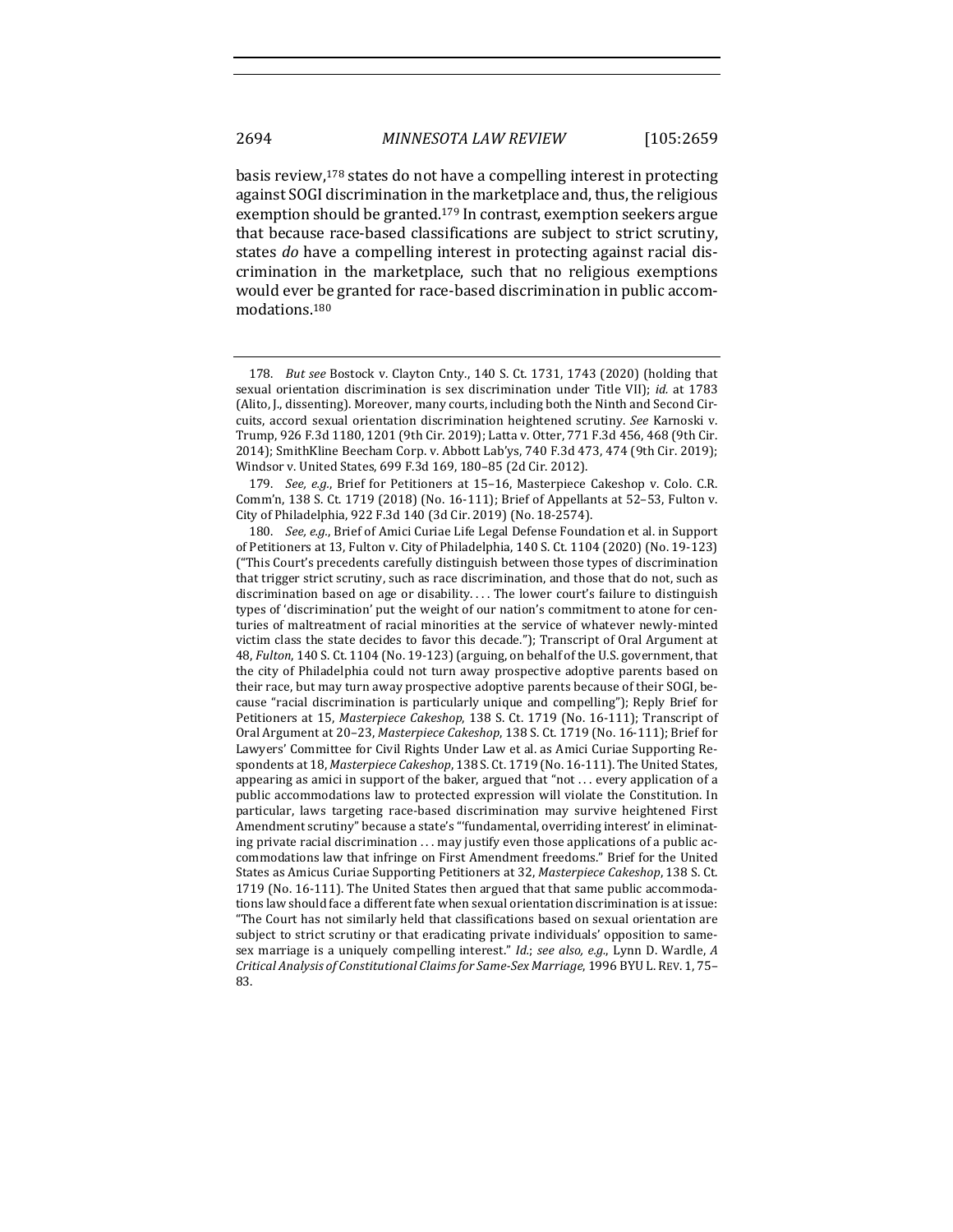basis review,  $178$  states do not have a compelling interest in protecting against SOGI discrimination in the marketplace and, thus, the religious exemption should be granted.<sup>179</sup> In contrast, exemption seekers argue that because race-based classifications are subject to strict scrutiny, states *do* have a compelling interest in protecting against racial discrimination in the marketplace, such that no religious exemptions would ever be granted for race-based discrimination in public accommodations.180

179. *See, e.g.*, Brief for Petitioners at 15-16, Masterpiece Cakeshop v. Colo. C.R. Comm'n, 138 S. Ct. 1719 (2018) (No. 16-111); Brief of Appellants at  $52-53$ , Fulton v. City of Philadelphia, 922 F.3d 140 (3d Cir. 2019) (No. 18-2574).

<sup>178.</sup> *But see* Bostock v. Clayton Cnty., 140 S. Ct. 1731, 1743 (2020) (holding that sexual orientation discrimination is sex discrimination under Title VII); *id.* at 1783 (Alito, J., dissenting). Moreover, many courts, including both the Ninth and Second Circuits, accord sexual orientation discrimination heightened scrutiny. See Karnoski v. Trump, 926 F.3d 1180, 1201 (9th Cir. 2019); Latta v. Otter, 771 F.3d 456, 468 (9th Cir. 2014); SmithKline Beecham Corp. v. Abbott Lab'ys, 740 F.3d 473, 474 (9th Cir. 2019); Windsor v. United States, 699 F.3d 169, 180-85 (2d Cir. 2012).

<sup>180.</sup> *See, e.g.*, Brief of Amici Curiae Life Legal Defense Foundation et al. in Support of Petitioners at 13, Fulton v. City of Philadelphia, 140 S. Ct. 1104 (2020) (No. 19-123) ("This Court's precedents carefully distinguish between those types of discrimination that trigger strict scrutiny, such as race discrimination, and those that do not, such as discrimination based on age or disability.... The lower court's failure to distinguish types of 'discrimination' put the weight of our nation's commitment to atone for centuries of maltreatment of racial minorities at the service of whatever newly-minted victim class the state decides to favor this decade."); Transcript of Oral Argument at 48, *Fulton*, 140 S. Ct. 1104 (No. 19-123) (arguing, on behalf of the U.S. government, that the city of Philadelphia could not turn away prospective adoptive parents based on their race, but may turn away prospective adoptive parents because of their SOGI, because "racial discrimination is particularly unique and compelling"); Reply Brief for Petitioners at 15, Masterpiece Cakeshop, 138 S. Ct. 1719 (No. 16-111); Transcript of Oral Argument at 20-23, Masterpiece Cakeshop, 138 S. Ct. 1719 (No. 16-111); Brief for Lawyers' Committee for Civil Rights Under Law et al. as Amici Curiae Supporting Respondents at 18, Masterpiece Cakeshop, 138 S. Ct. 1719 (No. 16-111). The United States, appearing as amici in support of the baker, argued that "not . . . every application of a public accommodations law to protected expression will violate the Constitution. In particular, laws targeting race-based discrimination may survive heightened First Amendment scrutiny" because a state's "'fundamental, overriding interest' in eliminating private racial discrimination  $\dots$  may justify even those applications of a public accommodations law that infringe on First Amendment freedoms." Brief for the United States as Amicus Curiae Supporting Petitioners at 32, Masterpiece Cakeshop, 138 S. Ct. 1719 (No. 16-111). The United States then argued that that same public accommodations law should face a different fate when sexual orientation discrimination is at issue: "The Court has not similarly held that classifications based on sexual orientation are subject to strict scrutiny or that eradicating private individuals' opposition to samesex marriage is a uniquely compelling interest." *Id.*; see also, e.g., Lynn D. Wardle, A *Critical Analysis of Constitutional Claims for Same-Sex Marriage*, 1996 BYU L. REV. 1, 75– 83.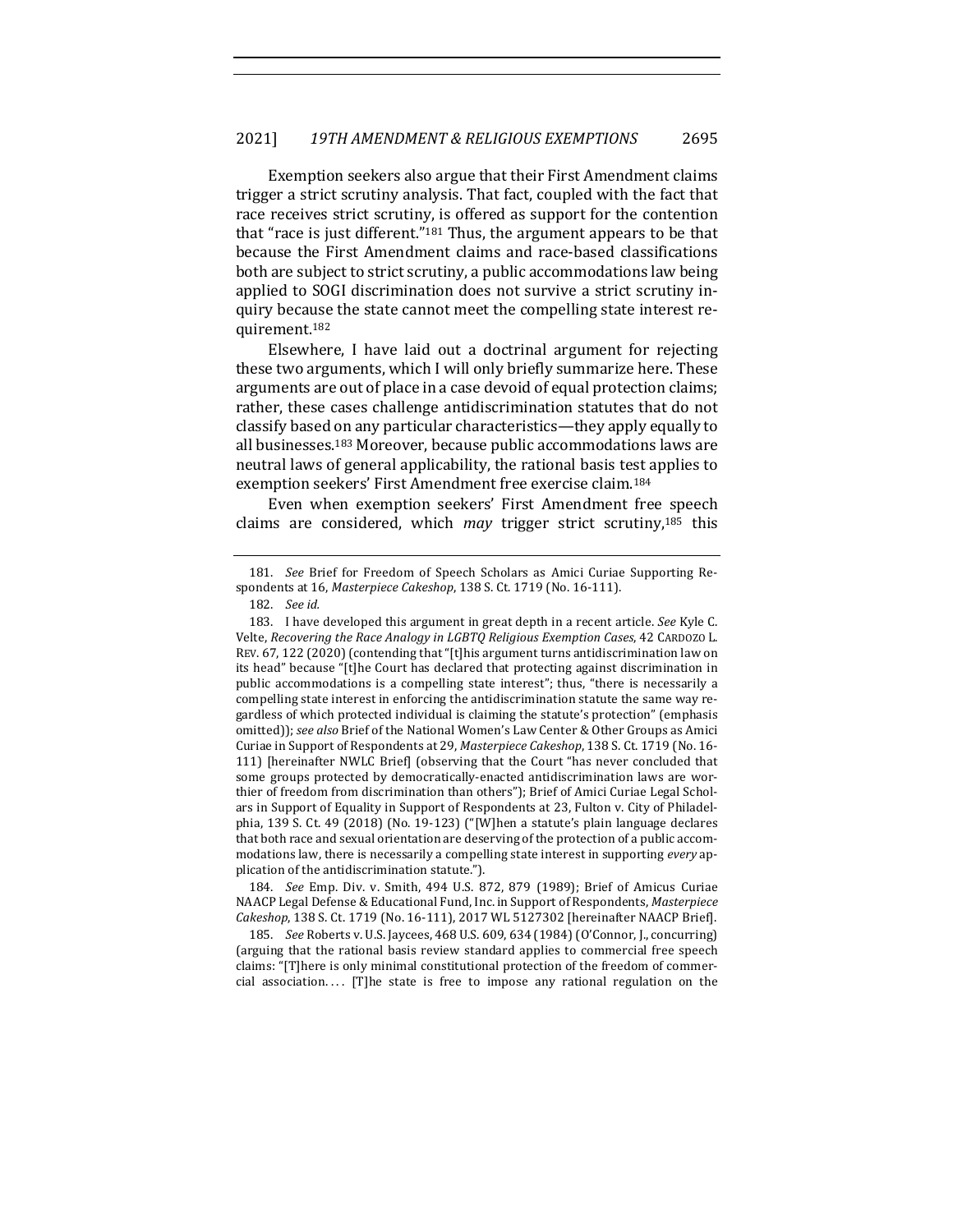Exemption seekers also argue that their First Amendment claims trigger a strict scrutiny analysis. That fact, coupled with the fact that race receives strict scrutiny, is offered as support for the contention that "race is just different."<sup>181</sup> Thus, the argument appears to be that because the First Amendment claims and race-based classifications both are subject to strict scrutiny, a public accommodations law being applied to SOGI discrimination does not survive a strict scrutiny inquiry because the state cannot meet the compelling state interest requirement.182

Elsewhere, I have laid out a doctrinal argument for rejecting these two arguments, which I will only briefly summarize here. These arguments are out of place in a case devoid of equal protection claims; rather, these cases challenge antidiscrimination statutes that do not classify based on any particular characteristics—they apply equally to all businesses.<sup>183</sup> Moreover, because public accommodations laws are neutral laws of general applicability, the rational basis test applies to exemption seekers' First Amendment free exercise claim.<sup>184</sup>

Even when exemption seekers' First Amendment free speech claims are considered, which *may* trigger strict scrutiny,<sup>185</sup> this

184. *See* Emp. Div. v. Smith, 494 U.S. 872, 879 (1989); Brief of Amicus Curiae NAACP Legal Defense & Educational Fund, Inc. in Support of Respondents, Masterpiece *Cakeshop*, 138 S. Ct. 1719 (No. 16-111), 2017 WL 5127302 [hereinafter NAACP Brief].

185. *See* Roberts v. U.S. Jaycees, 468 U.S. 609, 634 (1984) (O'Connor, J., concurring) (arguing that the rational basis review standard applies to commercial free speech claims: "[T]here is only minimal constitutional protection of the freedom of commercial association.... [T]he state is free to impose any rational regulation on the

<sup>181.</sup> *See* Brief for Freedom of Speech Scholars as Amici Curiae Supporting Respondents at 16, Masterpiece Cakeshop, 138 S. Ct. 1719 (No. 16-111).

<sup>182.</sup> *See id.*

<sup>183.</sup> I have developed this argument in great depth in a recent article. See Kyle C. Velte, *Recovering the Race Analogy in LGBTQ Religious Exemption Cases*, 42 CARDOZO L. REV.  $67, 122$  (2020) (contending that "[t]his argument turns antidiscrimination law on its head" because "[t]he Court has declared that protecting against discrimination in public accommodations is a compelling state interest"; thus, "there is necessarily a compelling state interest in enforcing the antidiscrimination statute the same way regardless of which protected individual is claiming the statute's protection" (emphasis omitted)); see also Brief of the National Women's Law Center & Other Groups as Amici Curiae in Support of Respondents at 29, *Masterpiece Cakeshop*, 138 S. Ct. 1719 (No. 16-111) [hereinafter NWLC Brief] (observing that the Court "has never concluded that some groups protected by democratically-enacted antidiscrimination laws are worthier of freedom from discrimination than others"); Brief of Amici Curiae Legal Scholars in Support of Equality in Support of Respondents at 23, Fulton v. City of Philadelphia, 139 S. Ct. 49 (2018) (No. 19-123) ("[W]hen a statute's plain language declares that both race and sexual orientation are deserving of the protection of a public accommodations law, there is necessarily a compelling state interest in supporting *every* application of the antidiscrimination statute.").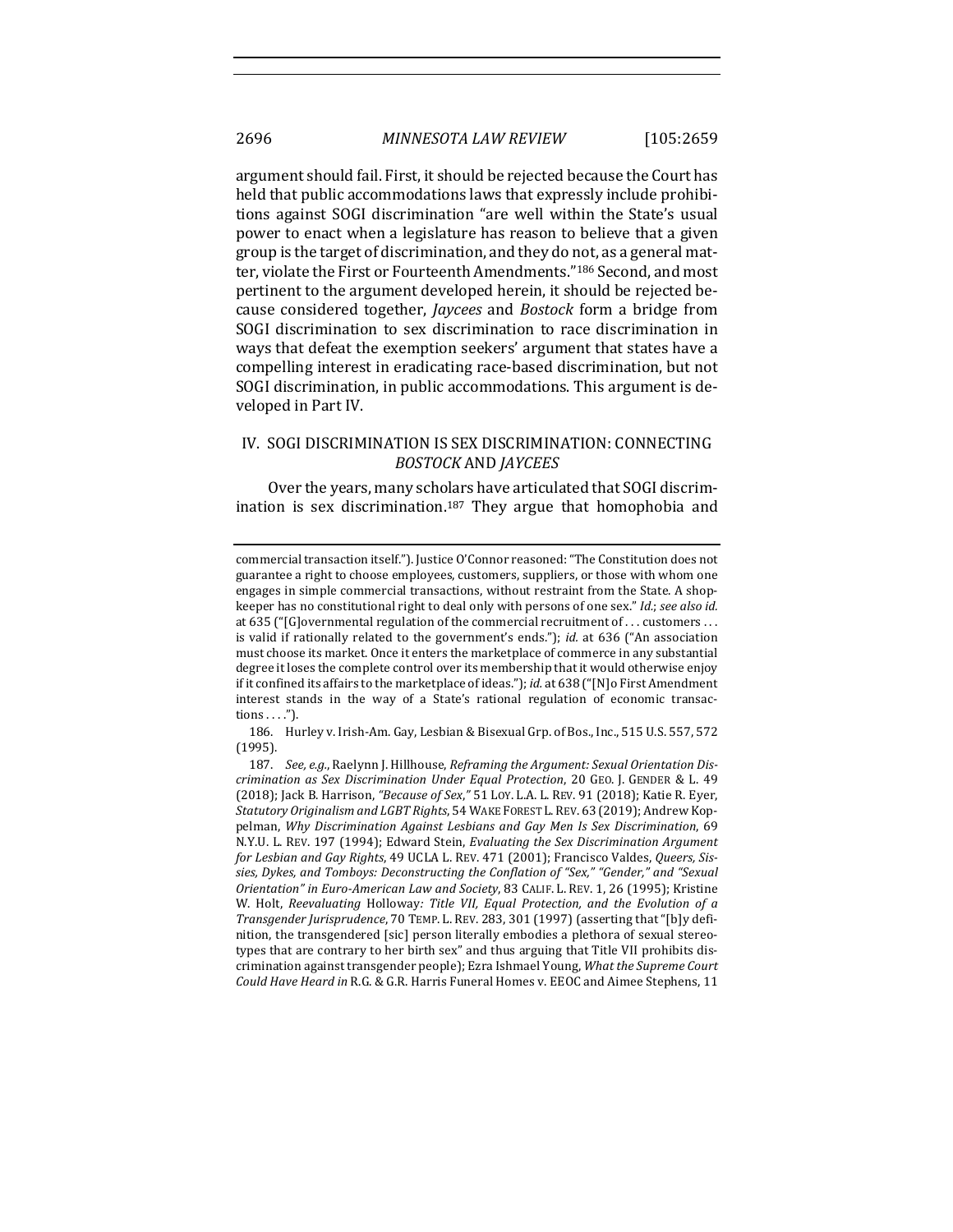argument should fail. First, it should be rejected because the Court has held that public accommodations laws that expressly include prohibitions against SOGI discrimination "are well within the State's usual power to enact when a legislature has reason to believe that a given group is the target of discrimination, and they do not, as a general matter, violate the First or Fourteenth Amendments."<sup>186</sup> Second, and most pertinent to the argument developed herein, it should be rejected because considered together, *Jaycees* and *Bostock* form a bridge from SOGI discrimination to sex discrimination to race discrimination in ways that defeat the exemption seekers' argument that states have a compelling interest in eradicating race-based discrimination, but not SOGI discrimination, in public accommodations. This argument is developed in Part IV.

## IV. SOGI DISCRIMINATION IS SEX DISCRIMINATION: CONNECTING *BOSTOCK* AND *JAYCEES*

Over the years, many scholars have articulated that SOGI discrimination is sex discrimination.<sup>187</sup> They argue that homophobia and

186. Hurley v. Irish-Am. Gay, Lesbian & Bisexual Grp. of Bos., Inc., 515 U.S. 557, 572 (1995).

commercial transaction itself."). Justice O'Connor reasoned: "The Constitution does not guarantee a right to choose employees, customers, suppliers, or those with whom one engages in simple commercial transactions, without restraint from the State. A shopkeeper has no constitutional right to deal only with persons of one sex." *Id.*; *see also id.* at  $635$  ("[G]overnmental regulation of the commercial recruitment of ... customers ... is valid if rationally related to the government's ends."); *id.* at 636 ("An association must choose its market. Once it enters the marketplace of commerce in any substantial degree it loses the complete control over its membership that it would otherwise enjoy if it confined its affairs to the marketplace of ideas."); *id.* at 638 ("[N]o First Amendment interest stands in the way of a State's rational regulation of economic transactions . . . .").

<sup>187.</sup> See, e.g., Raelynn J. Hillhouse, *Reframing the Argument: Sexual Orientation Discrimination as Sex Discrimination Under Equal Protection*, 20 GEO. J. GENDER & L. 49 (2018); Jack B. Harrison, "Because of Sex," 51 Loy. L.A. L. REV. 91 (2018); Katie R. Eyer, *Statutory Originalism and LGBT Rights*, 54 WAKE FOREST L.REV. 63 (2019); Andrew Koppelman, *Why Discrimination Against Lesbians and Gay Men Is Sex Discrimination*, 69 N.Y.U. L. REV. 197 (1994); Edward Stein, *Evaluating the Sex Discrimination Argument* for Lesbian and Gay Rights, 49 UCLA L. REV. 471 (2001); Francisco Valdes, Queers, Sissies, Dykes, and Tomboys: Deconstructing the Conflation of "Sex," "Gender," and "Sexual *Orientation"* in Euro-American Law and Society, 83 CALIF. L. REV. 1, 26 (1995); Kristine W. Holt, *Reevaluating* Holloway: Title VII, Equal Protection, and the Evolution of a *Transgender Jurisprudence*, 70 TEMP. L. REV. 283, 301 (1997) (asserting that "[b]y definition, the transgendered [sic] person literally embodies a plethora of sexual stereotypes that are contrary to her birth sex" and thus arguing that Title VII prohibits discrimination against transgender people); Ezra Ishmael Young, What the Supreme Court *Could Have Heard in R.G. & G.R. Harris Funeral Homes v. EEOC and Aimee Stephens, 11*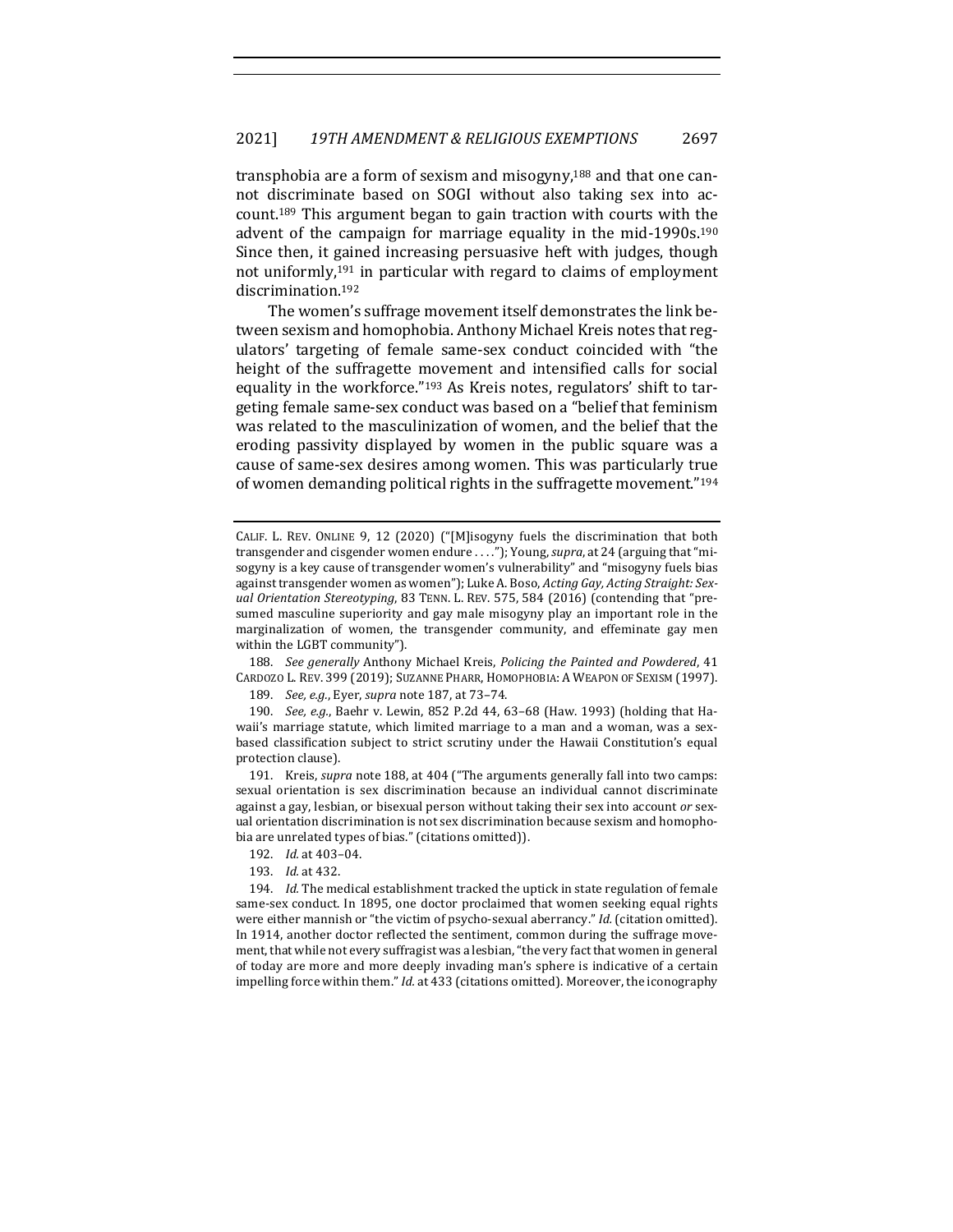transphobia are a form of sexism and misogyny,<sup>188</sup> and that one cannot discriminate based on SOGI without also taking sex into account.<sup>189</sup> This argument began to gain traction with courts with the advent of the campaign for marriage equality in the mid-1990s.<sup>190</sup> Since then, it gained increasing persuasive heft with judges, though not uniformly, $191$  in particular with regard to claims of employment discrimination.192

The women's suffrage movement itself demonstrates the link between sexism and homophobia. Anthony Michael Kreis notes that regulators' targeting of female same-sex conduct coincided with "the height of the suffragette movement and intensified calls for social equality in the workforce."<sup>193</sup> As Kreis notes, regulators' shift to targeting female same-sex conduct was based on a "belief that feminism was related to the masculinization of women, and the belief that the eroding passivity displayed by women in the public square was a cause of same-sex desires among women. This was particularly true of women demanding political rights in the suffragette movement." $194$ 

188. *See generally* Anthony Michael Kreis, *Policing the Painted and Powdered*, 41 CARDOZO L. REV. 399 (2019); SUZANNE PHARR, HOMOPHOBIA: A WEAPON OF SEXISM (1997).

189. *See, e.g.*, Eyer, *supra* note 187, at 73-74.

190. *See, e.g.*, Baehr v. Lewin, 852 P.2d 44, 63-68 (Haw. 1993) (holding that Hawaii's marriage statute, which limited marriage to a man and a woman, was a sexbased classification subject to strict scrutiny under the Hawaii Constitution's equal protection clause).

191. Kreis, *supra* note 188, at 404 ("The arguments generally fall into two camps: sexual orientation is sex discrimination because an individual cannot discriminate against a gay, lesbian, or bisexual person without taking their sex into account or sexual orientation discrimination is not sex discrimination because sexism and homophobia are unrelated types of bias." (citations omitted)).

193. *Id.* at 432.

194. *Id.* The medical establishment tracked the uptick in state regulation of female same-sex conduct. In 1895, one doctor proclaimed that women seeking equal rights were either mannish or "the victim of psycho-sexual aberrancy." *Id.* (citation omitted). In 1914, another doctor reflected the sentiment, common during the suffrage movement, that while not every suffragist was a lesbian, "the very fact that women in general of today are more and more deeply invading man's sphere is indicative of a certain impelling force within them." *Id.* at 433 (citations omitted). Moreover, the iconography

CALIF. L. REV. ONLINE 9, 12 (2020) ("[M]isogyny fuels the discrimination that both transgender and cisgender women endure ...."); Young, supra, at 24 (arguing that "misogyny is a key cause of transgender women's vulnerability" and "misogyny fuels bias against transgender women as women"); Luke A. Boso, *Acting Gay*, Acting Straight: Sexual Orientation Stereotyping, 83 TENN. L. REV. 575, 584 (2016) (contending that "presumed masculine superiority and gay male misogyny play an important role in the marginalization of women, the transgender community, and effeminate gay men within the LGBT community").

<sup>192.</sup> *Id.* at 403-04.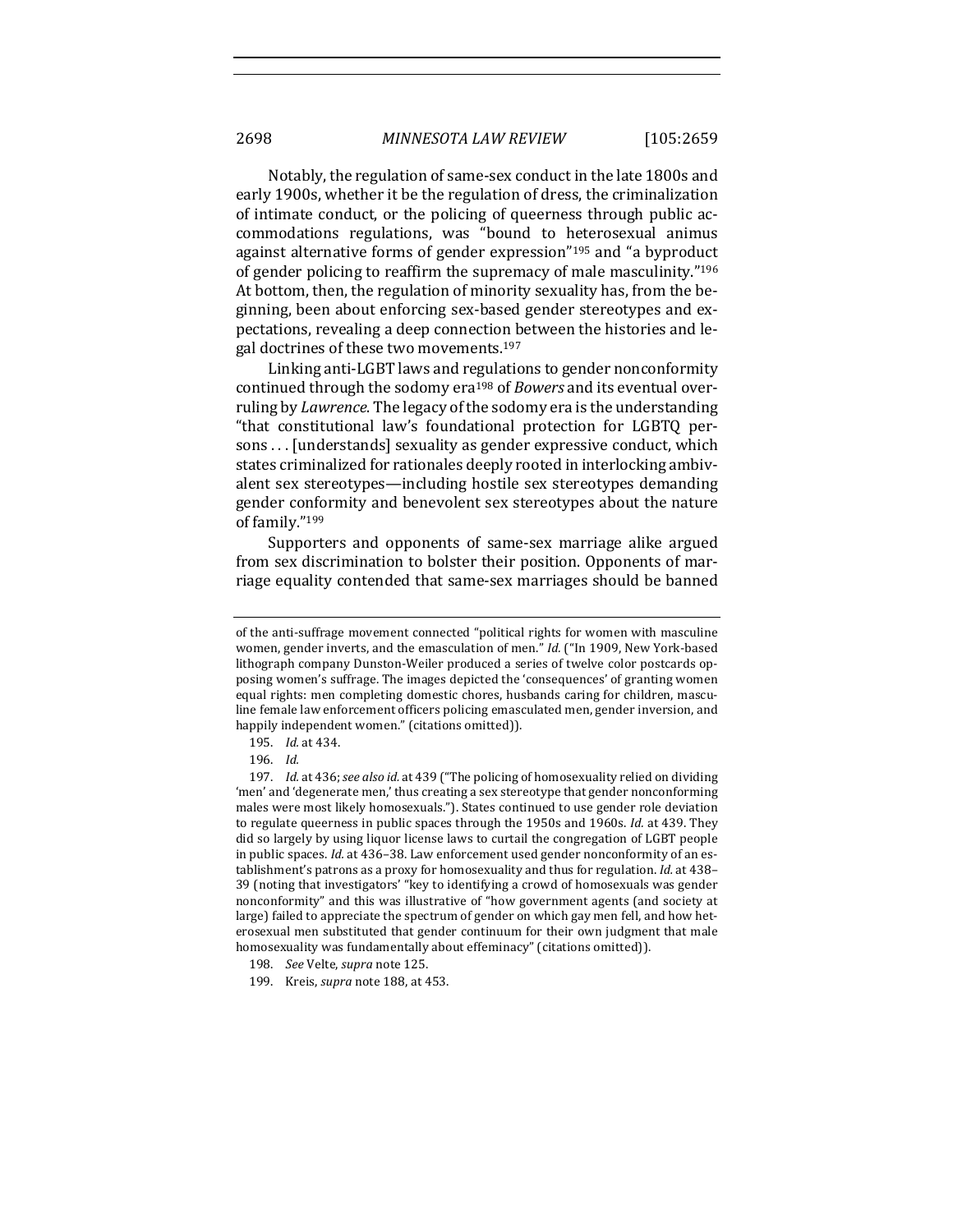Notably, the regulation of same-sex conduct in the late 1800s and early 1900s, whether it be the regulation of dress, the criminalization of intimate conduct, or the policing of queerness through public accommodations regulations, was "bound to heterosexual animus against alternative forms of gender expression"<sup>195</sup> and "a byproduct of gender policing to reaffirm the supremacy of male masculinity." $196$ At bottom, then, the regulation of minority sexuality has, from the beginning, been about enforcing sex-based gender stereotypes and expectations, revealing a deep connection between the histories and legal doctrines of these two movements.<sup>197</sup>

Linking anti-LGBT laws and regulations to gender nonconformity continued through the sodomy era<sup>198</sup> of *Bowers* and its eventual overruling by *Lawrence*. The legacy of the sodomy era is the understanding "that constitutional law's foundational protection for LGBTQ persons . . . [understands] sexuality as gender expressive conduct, which states criminalized for rationales deeply rooted in interlocking ambivalent sex stereotypes—including hostile sex stereotypes demanding gender conformity and benevolent sex stereotypes about the nature of family."199

Supporters and opponents of same-sex marriage alike argued from sex discrimination to bolster their position. Opponents of marriage equality contended that same-sex marriages should be banned

of the anti-suffrage movement connected "political rights for women with masculine women, gender inverts, and the emasculation of men." Id. ("In 1909, New York-based lithograph company Dunston-Weiler produced a series of twelve color postcards opposing women's suffrage. The images depicted the 'consequences' of granting women equal rights: men completing domestic chores, husbands caring for children, masculine female law enforcement officers policing emasculated men, gender inversion, and happily independent women." (citations omitted)).

<sup>195.</sup> *Id.* at 434.

<sup>196.</sup> *Id.*

<sup>197.</sup> *Id.* at 436; *see also id.* at 439 ("The policing of homosexuality relied on dividing 'men' and 'degenerate men,' thus creating a sex stereotype that gender nonconforming males were most likely homosexuals."). States continued to use gender role deviation to regulate queerness in public spaces through the 1950s and 1960s. *Id.* at 439. They did so largely by using liquor license laws to curtail the congregation of LGBT people in public spaces. *Id.* at 436–38. Law enforcement used gender nonconformity of an establishment's patrons as a proxy for homosexuality and thus for regulation. *Id.* at 438-39 (noting that investigators' "key to identifying a crowd of homosexuals was gender nonconformity" and this was illustrative of "how government agents (and society at large) failed to appreciate the spectrum of gender on which gay men fell, and how heterosexual men substituted that gender continuum for their own judgment that male homosexuality was fundamentally about effeminacy" (citations omitted)).

<sup>198.</sup> See Velte, *supra* note 125.

<sup>199.</sup> Kreis, *supra* note 188, at 453.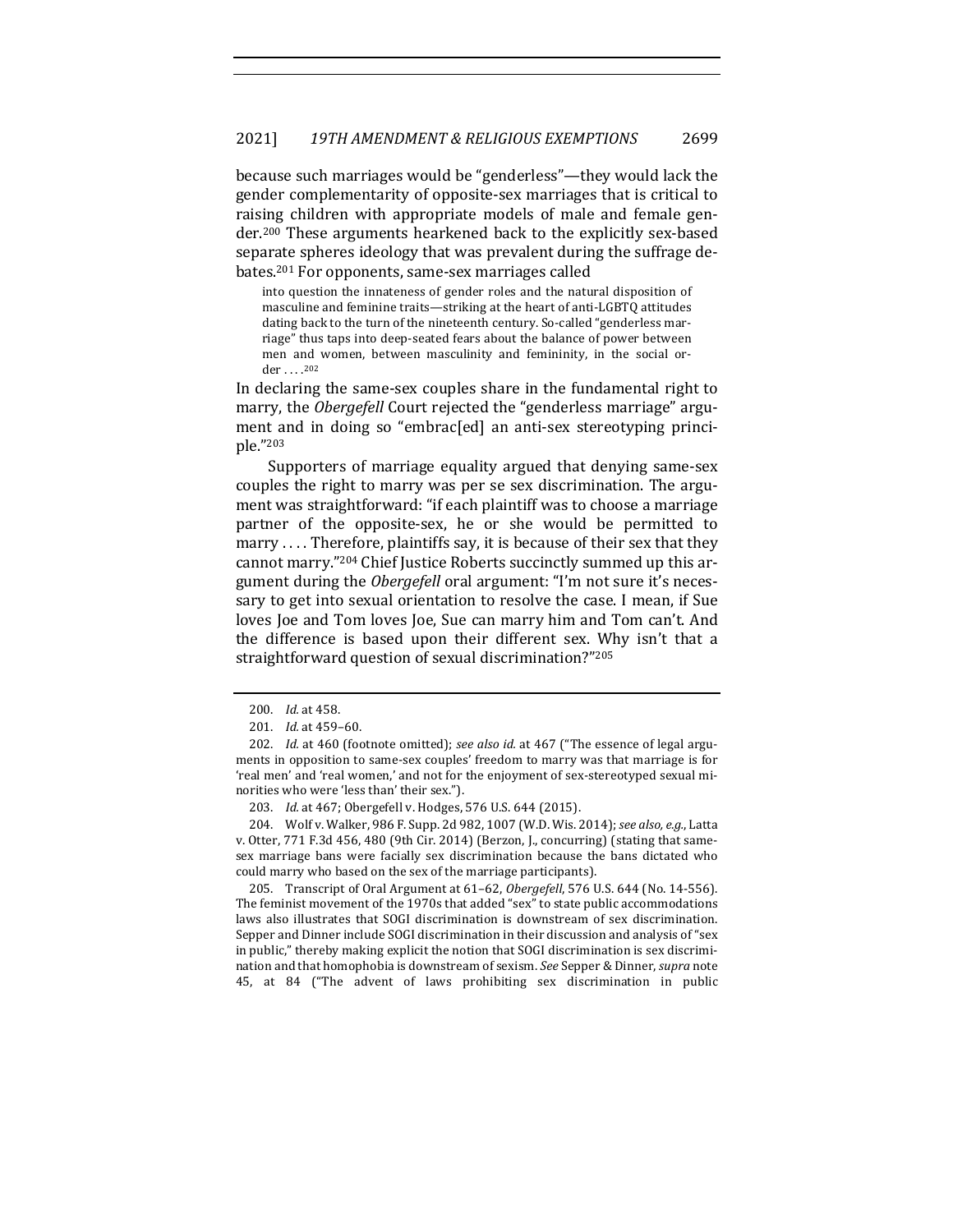because such marriages would be "genderless"—they would lack the gender complementarity of opposite-sex marriages that is critical to raising children with appropriate models of male and female gender.<sup>200</sup> These arguments hearkened back to the explicitly sex-based separate spheres ideology that was prevalent during the suffrage debates.<sup>201</sup> For opponents, same-sex marriages called

into question the innateness of gender roles and the natural disposition of masculine and feminine traits—striking at the heart of anti-LGBTQ attitudes dating back to the turn of the nineteenth century. So-called "genderless marriage" thus taps into deep-seated fears about the balance of power between men and women, between masculinity and femininity, in the social order . . . . 202

In declaring the same-sex couples share in the fundamental right to marry, the *Obergefell* Court rejected the "genderless marriage" argument and in doing so "embrac[ed] an anti-sex stereotyping principle."203

Supporters of marriage equality argued that denying same-sex couples the right to marry was per se sex discrimination. The argument was straightforward: "if each plaintiff was to choose a marriage partner of the opposite-sex, he or she would be permitted to marry .... Therefore, plaintiffs say, it is because of their sex that they cannot marry."<sup>204</sup> Chief Justice Roberts succinctly summed up this argument during the *Obergefell* oral argument: "I'm not sure it's necessary to get into sexual orientation to resolve the case. I mean, if Sue loves Joe and Tom loves Joe, Sue can marry him and Tom can't. And the difference is based upon their different sex. Why isn't that a straightforward question of sexual discrimination?"<sup>205</sup>

204. Wolf v. Walker, 986 F. Supp. 2d 982, 1007 (W.D. Wis. 2014); see also, e.g., Latta v. Otter, 771 F.3d 456, 480 (9th Cir. 2014) (Berzon, J., concurring) (stating that samesex marriage bans were facially sex discrimination because the bans dictated who could marry who based on the sex of the marriage participants).

205. Transcript of Oral Argument at 61–62, *Obergefell*, 576 U.S. 644 (No. 14-556). The feminist movement of the 1970s that added "sex" to state public accommodations laws also illustrates that SOGI discrimination is downstream of sex discrimination. Sepper and Dinner include SOGI discrimination in their discussion and analysis of "sex in public," thereby making explicit the notion that SOGI discrimination is sex discrimination and that homophobia is downstream of sexism. See Sepper & Dinner, *supra* note 45, at 84 ("The advent of laws prohibiting sex discrimination in public 

<sup>200.</sup> *Id.* at 458.

<sup>201.</sup> *Id.* at 459-60.

<sup>202.</sup> *Id.* at 460 (footnote omitted); see also id. at 467 ("The essence of legal arguments in opposition to same-sex couples' freedom to marry was that marriage is for 'real men' and 'real women,' and not for the enjoyment of sex-stereotyped sexual minorities who were 'less than' their sex.").

<sup>203.</sup> *Id.* at 467; Obergefell v. Hodges, 576 U.S. 644 (2015).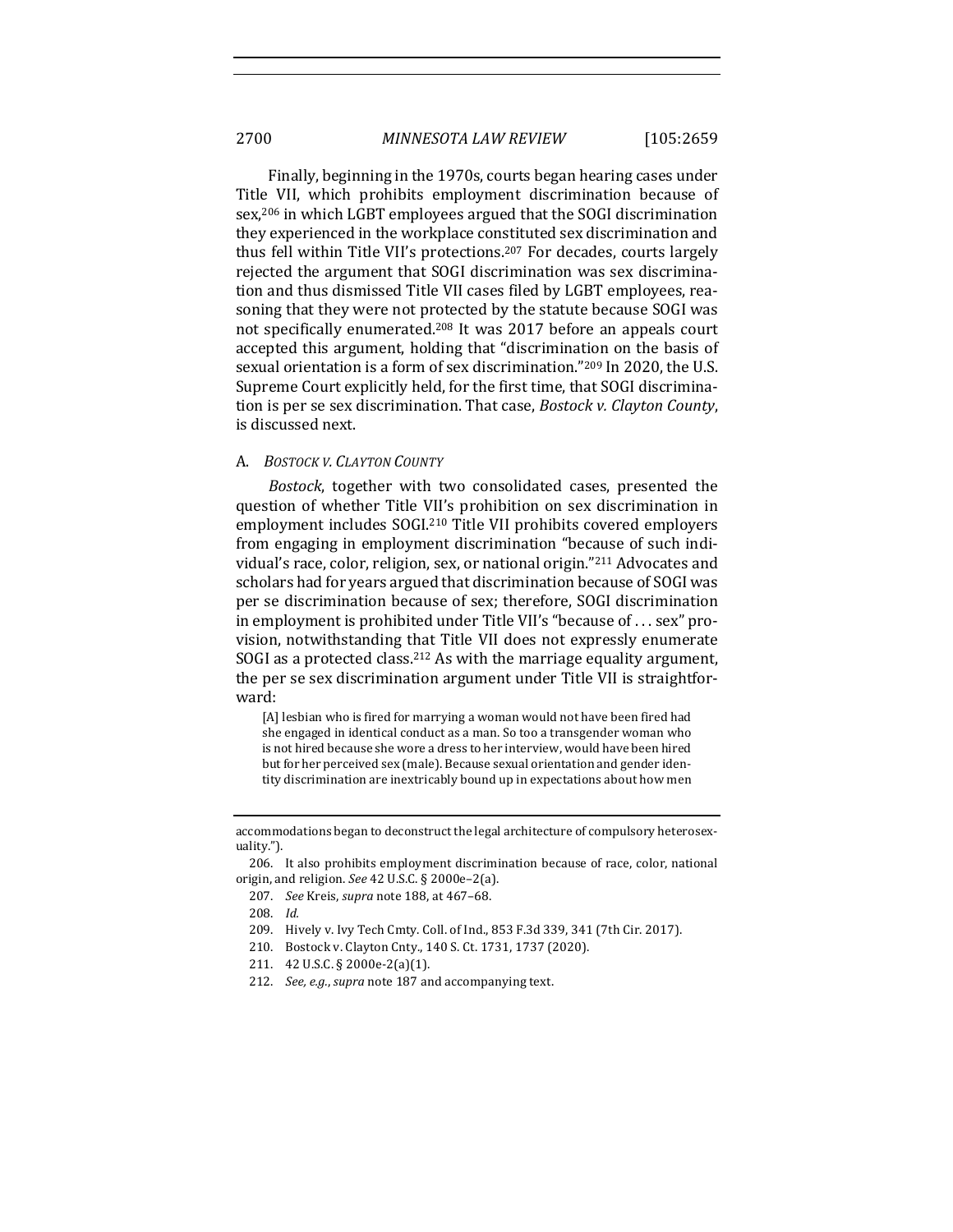Finally, beginning in the 1970s, courts began hearing cases under Title VII, which prohibits employment discrimination because of sex,<sup>206</sup> in which LGBT employees argued that the SOGI discrimination they experienced in the workplace constituted sex discrimination and thus fell within Title VII's protections.<sup>207</sup> For decades, courts largely rejected the argument that SOGI discrimination was sex discrimination and thus dismissed Title VII cases filed by LGBT employees, reasoning that they were not protected by the statute because SOGI was not specifically enumerated.<sup>208</sup> It was 2017 before an appeals court accepted this argument, holding that "discrimination on the basis of sexual orientation is a form of sex discrimination."<sup>209</sup> In 2020, the U.S. Supreme Court explicitly held, for the first time, that SOGI discrimination is per se sex discrimination. That case, *Bostock v. Clayton County*, is discussed next.

#### A. *BOSTOCK V. CLAYTON COUNTY*

*Bostock*, together with two consolidated cases, presented the question of whether Title VII's prohibition on sex discrimination in employment includes SOGI.<sup>210</sup> Title VII prohibits covered employers from engaging in employment discrimination "because of such individual's race, color, religion, sex, or national origin."<sup>211</sup> Advocates and scholars had for years argued that discrimination because of SOGI was per se discrimination because of sex; therefore, SOGI discrimination in employment is prohibited under Title VII's "because of ... sex" provision, notwithstanding that Title VII does not expressly enumerate SOGI as a protected class.<sup>212</sup> As with the marriage equality argument, the per se sex discrimination argument under Title VII is straightforward: 

[A] lesbian who is fired for marrying a woman would not have been fired had she engaged in identical conduct as a man. So too a transgender woman who is not hired because she wore a dress to her interview, would have been hired but for her perceived sex (male). Because sexual orientation and gender identity discrimination are inextricably bound up in expectations about how men

- 209. Hively v. Ivy Tech Cmty. Coll. of Ind., 853 F.3d 339, 341 (7th Cir. 2017).
- 210. Bostock v. Clayton Cnty., 140 S. Ct. 1731, 1737 (2020).
- 211. 42 U.S.C. § 2000e-2(a)(1).
- 212. *See, e.g., supra* note 187 and accompanying text.

accommodations began to deconstruct the legal architecture of compulsory heterosexuality.").

<sup>206.</sup> It also prohibits employment discrimination because of race, color, national origin, and religion. See 42 U.S.C. § 2000e-2(a).

<sup>207.</sup> *See* Kreis, *supra* note 188, at 467-68.

<sup>208.</sup> *Id.*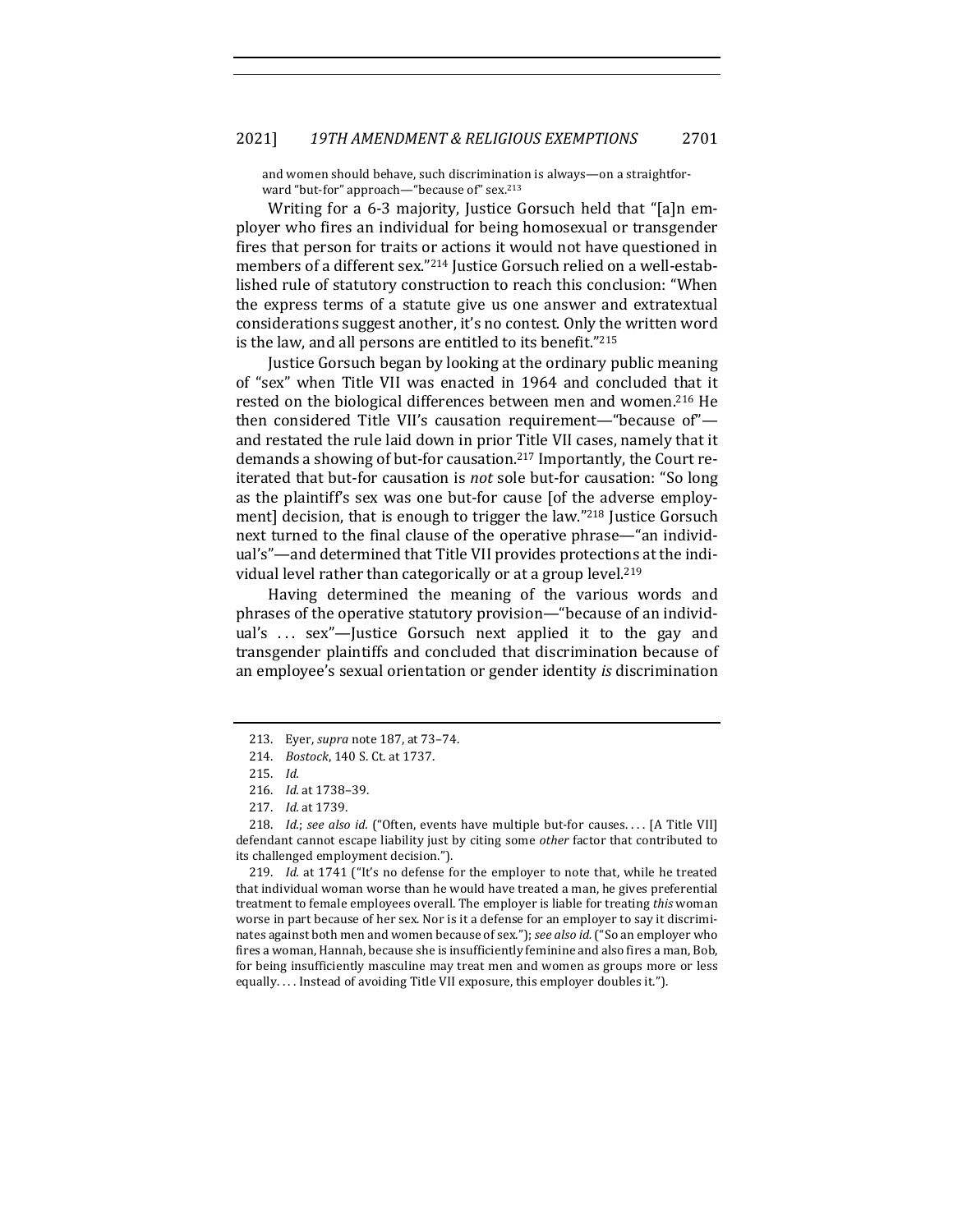### 2021] *19TH AMENDMENT & RELIGIOUS EXEMPTIONS* 2701

and women should behave, such discrimination is always—on a straightforward "but-for" approach—"because of" sex.<sup>213</sup>

Writing for a 6-3 majority, Justice Gorsuch held that "[a]n employer who fires an individual for being homosexual or transgender fires that person for traits or actions it would not have questioned in members of a different sex."214 Justice Gorsuch relied on a well-established rule of statutory construction to reach this conclusion: "When the express terms of a statute give us one answer and extratextual considerations suggest another, it's no contest. Only the written word is the law, and all persons are entitled to its benefit."215

Justice Gorsuch began by looking at the ordinary public meaning of "sex" when Title VII was enacted in 1964 and concluded that it rested on the biological differences between men and women.<sup>216</sup> He then considered Title VII's causation requirement—"because of" and restated the rule laid down in prior Title VII cases, namely that it demands a showing of but-for causation.<sup>217</sup> Importantly, the Court reiterated that but-for causation is *not* sole but-for causation: "So long as the plaintiff's sex was one but-for cause [of the adverse employment] decision, that is enough to trigger the law."218 Justice Gorsuch next turned to the final clause of the operative phrase—"an individual's"-and determined that Title VII provides protections at the individual level rather than categorically or at a group level.<sup>219</sup>

Having determined the meaning of the various words and phrases of the operative statutory provision—"because of an individual's ... sex"-Justice Gorsuch next applied it to the gay and transgender plaintiffs and concluded that discrimination because of an employee's sexual orientation or gender identity *is* discrimination

<sup>213.</sup> Eyer, *supra* note 187, at 73–74.

<sup>214.</sup> *Bostock*, 140 S. Ct. at 1737.

<sup>215.</sup> *Id.*

<sup>216.</sup> *Id.* at 1738-39.

<sup>217.</sup> *Id.* at 1739.

<sup>218.</sup> *Id.*; see also id. ("Often, events have multiple but-for causes.... [A Title VII] defendant cannot escape liability just by citing some *other* factor that contributed to its challenged employment decision.").

<sup>219.</sup> *Id.* at 1741 ("It's no defense for the employer to note that, while he treated that individual woman worse than he would have treated a man, he gives preferential treatment to female employees overall. The employer is liable for treating *this* woman worse in part because of her sex. Nor is it a defense for an employer to say it discriminates against both men and women because of sex."); *see also id.* ("So an employer who fires a woman, Hannah, because she is insufficiently feminine and also fires a man, Bob, for being insufficiently masculine may treat men and women as groups more or less equally.... Instead of avoiding Title VII exposure, this employer doubles it.").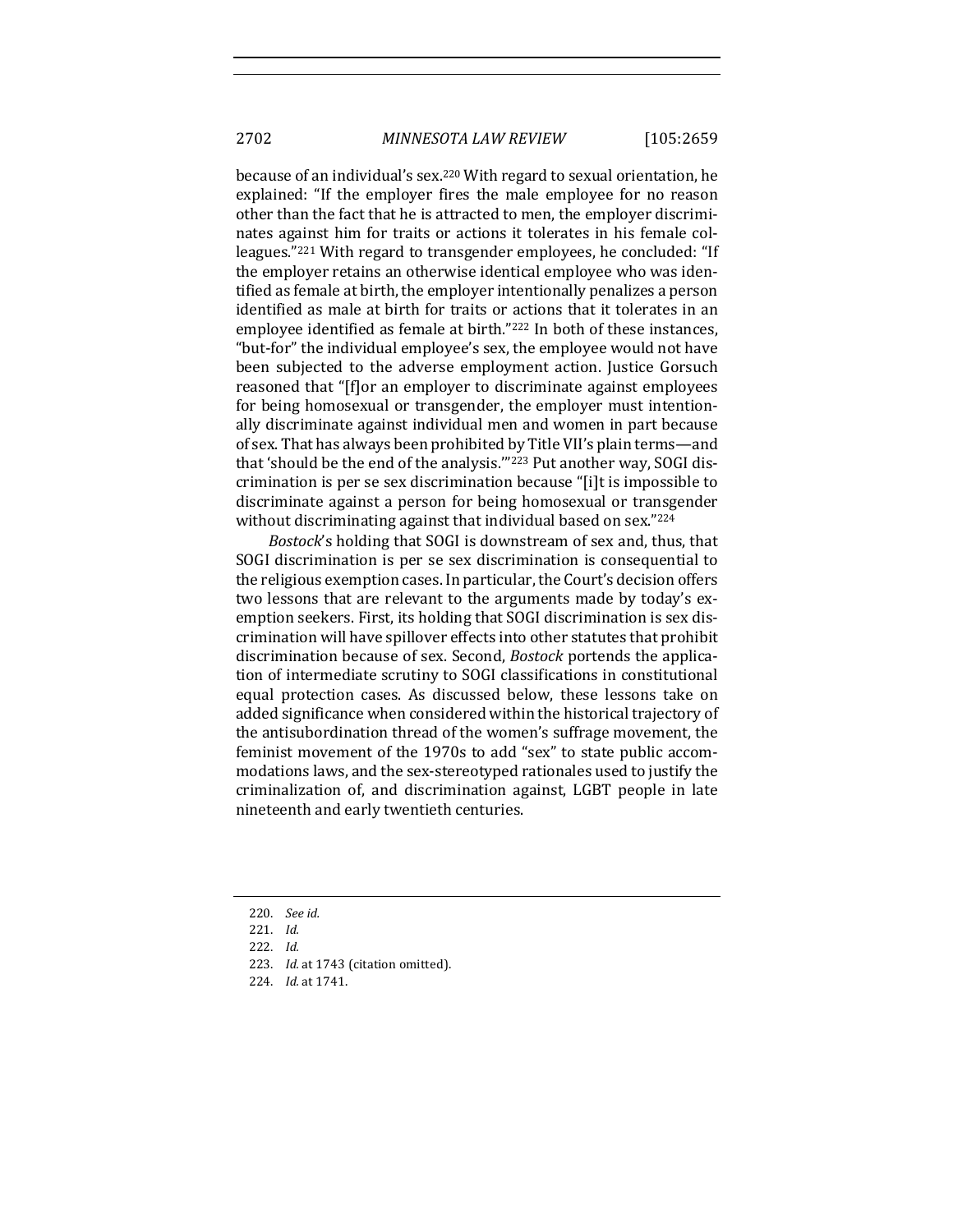2702 *MINNESOTA LAW REVIEW* [105:2659

because of an individual's sex.<sup>220</sup> With regard to sexual orientation, he explained: "If the employer fires the male employee for no reason other than the fact that he is attracted to men, the employer discriminates against him for traits or actions it tolerates in his female colleagues."<sup>221</sup> With regard to transgender employees, he concluded: "If the employer retains an otherwise identical employee who was identified as female at birth, the employer intentionally penalizes a person identified as male at birth for traits or actions that it tolerates in an employee identified as female at birth."<sup>222</sup> In both of these instances, "but-for" the individual employee's sex, the employee would not have been subjected to the adverse employment action. Justice Gorsuch reasoned that "[f]or an employer to discriminate against employees for being homosexual or transgender, the employer must intentionally discriminate against individual men and women in part because of sex. That has always been prohibited by Title VII's plain terms—and that 'should be the end of the analysis.""<sup>223</sup> Put another way, SOGI discrimination is per se sex discrimination because "[i]t is impossible to discriminate against a person for being homosexual or transgender without discriminating against that individual based on sex."224

*Bostock*'s holding that SOGI is downstream of sex and, thus, that SOGI discrimination is per se sex discrimination is consequential to the religious exemption cases. In particular, the Court's decision offers two lessons that are relevant to the arguments made by today's exemption seekers. First, its holding that SOGI discrimination is sex discrimination will have spillover effects into other statutes that prohibit discrimination because of sex. Second, *Bostock* portends the application of intermediate scrutiny to SOGI classifications in constitutional equal protection cases. As discussed below, these lessons take on added significance when considered within the historical trajectory of the antisubordination thread of the women's suffrage movement, the feminist movement of the 1970s to add "sex" to state public accommodations laws, and the sex-stereotyped rationales used to justify the criminalization of, and discrimination against, LGBT people in late nineteenth and early twentieth centuries.

- 220. *See id.*
- 221. *Id.*
- 222. *Id.*
- 223. *Id.* at 1743 (citation omitted).
- 224. *Id.* at 1741.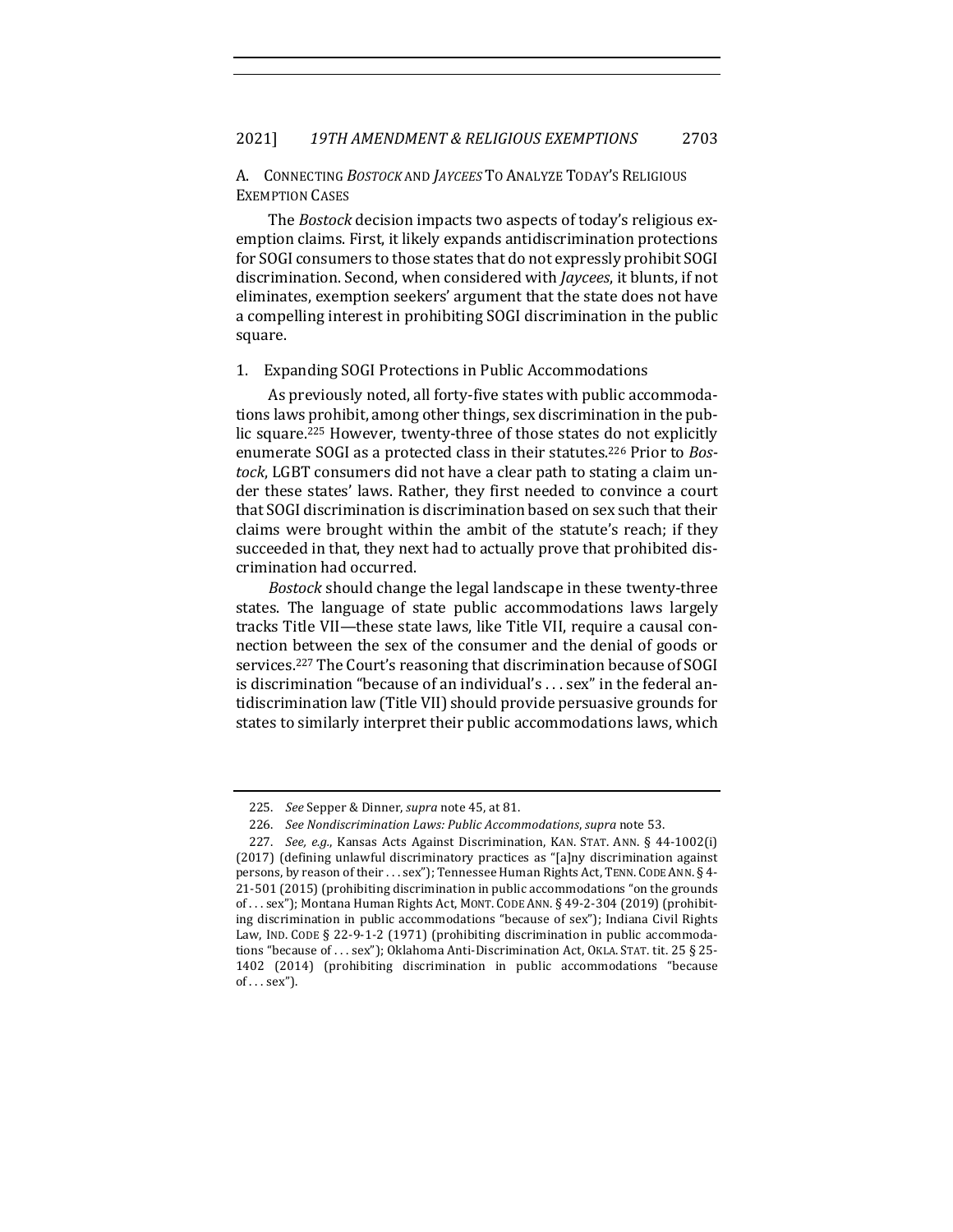## A. CONNECTING *BOSTOCK* AND *JAYCEES* TO ANALYZE TODAY'S RELIGIOUS **EXEMPTION CASES**

The *Bostock* decision impacts two aspects of today's religious exemption claims. First, it likely expands antidiscrimination protections for SOGI consumers to those states that do not expressly prohibit SOGI discrimination. Second, when considered with *Jaycees*, it blunts, if not eliminates, exemption seekers' argument that the state does not have a compelling interest in prohibiting SOGI discrimination in the public square.

#### 1. Expanding SOGI Protections in Public Accommodations

As previously noted, all forty-five states with public accommodations laws prohibit, among other things, sex discrimination in the public square.<sup>225</sup> However, twenty-three of those states do not explicitly enumerate SOGI as a protected class in their statutes.<sup>226</sup> Prior to *Bostock*, LGBT consumers did not have a clear path to stating a claim under these states' laws. Rather, they first needed to convince a court that SOGI discrimination is discrimination based on sex such that their claims were brought within the ambit of the statute's reach; if they succeeded in that, they next had to actually prove that prohibited discrimination had occurred.

*Bostock* should change the legal landscape in these twenty-three states. The language of state public accommodations laws largely tracks Title VII—these state laws, like Title VII, require a causal connection between the sex of the consumer and the denial of goods or services.<sup>227</sup> The Court's reasoning that discrimination because of SOGI is discrimination "because of an individual's ... sex" in the federal antidiscrimination law (Title VII) should provide persuasive grounds for states to similarly interpret their public accommodations laws, which

<sup>225.</sup> *See* Sepper & Dinner, *supra* note 45, at 81.

<sup>226.</sup> *See Nondiscrimination Laws: Public Accommodations, supra* note 53.

<sup>227.</sup> *See, e.g.*, Kansas Acts Against Discrimination, KAN. STAT. ANN. § 44-1002(i)  $(2017)$  (defining unlawful discriminatory practices as "[a]ny discrimination against persons, by reason of their . . . sex"); Tennessee Human Rights Act, TENN. CODE ANN. § 4- $21-501$  (2015) (prohibiting discrimination in public accommodations "on the grounds of ... sex"); Montana Human Rights Act, MONT. CODE ANN.  $\S$  49-2-304 (2019) (prohibiting discrimination in public accommodations "because of sex"); Indiana Civil Rights Law, IND. CODE  $\S$  22-9-1-2 (1971) (prohibiting discrimination in public accommodations "because of ... sex"); Oklahoma Anti-Discrimination Act, OKLA. STAT. tit. 25 § 25-1402 (2014) (prohibiting discrimination in public accommodations "because  $of \dots sex$ ").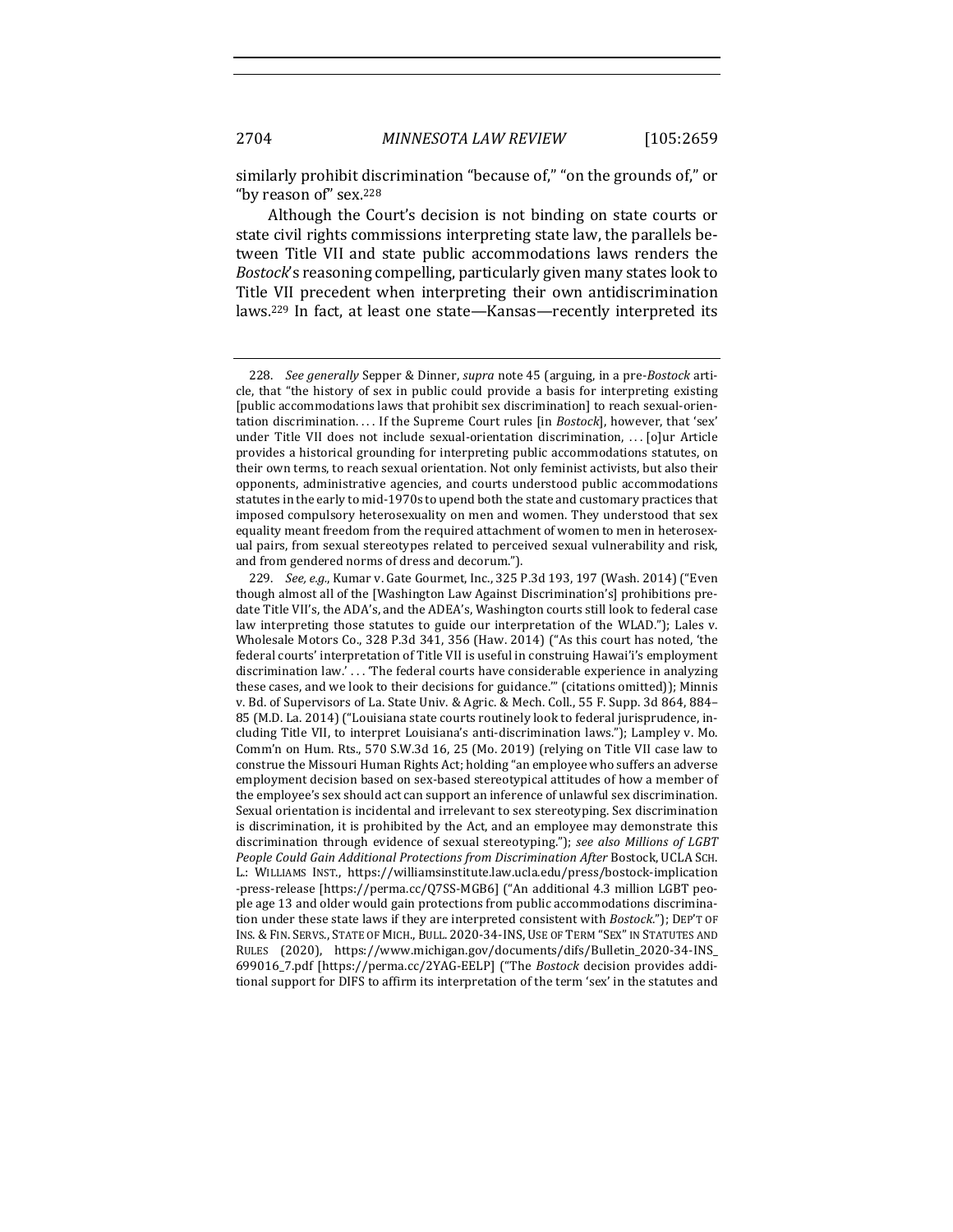similarly prohibit discrimination "because of," "on the grounds of," or "by reason of" sex.<sup>228</sup>

Although the Court's decision is not binding on state courts or state civil rights commissions interpreting state law, the parallels between Title VII and state public accommodations laws renders the *Bostock's* reasoning compelling, particularly given many states look to Title VII precedent when interpreting their own antidiscrimination laws.<sup>229</sup> In fact, at least one state—Kansas—recently interpreted its

<sup>228.</sup> *See generally* Sepper & Dinner, *supra* note 45 (arguing, in a pre-*Bostock* article, that "the history of sex in public could provide a basis for interpreting existing [public accommodations laws that prohibit sex discrimination] to reach sexual-orientation discrimination.... If the Supreme Court rules [in *Bostock*], however, that 'sex' under Title VII does not include sexual-orientation discrimination, ... [o]ur Article provides a historical grounding for interpreting public accommodations statutes, on their own terms, to reach sexual orientation. Not only feminist activists, but also their opponents, administrative agencies, and courts understood public accommodations statutes in the early to mid-1970s to upend both the state and customary practices that imposed compulsory heterosexuality on men and women. They understood that sex equality meant freedom from the required attachment of women to men in heterosexual pairs, from sexual stereotypes related to perceived sexual vulnerability and risk, and from gendered norms of dress and decorum.").

<sup>229.</sup> *See, e.g.*, Kumar v. Gate Gourmet, Inc., 325 P.3d 193, 197 (Wash. 2014) ("Even though almost all of the [Washington Law Against Discrimination's] prohibitions predate Title VII's, the ADA's, and the ADEA's, Washington courts still look to federal case law interpreting those statutes to guide our interpretation of the WLAD."); Lales v. Wholesale Motors Co., 328 P.3d 341, 356 (Haw. 2014) ("As this court has noted, 'the federal courts' interpretation of Title VII is useful in construing Hawai'i's employment discrimination law.'... 'The federal courts have considerable experience in analyzing these cases, and we look to their decisions for guidance."" (citations omitted)); Minnis v. Bd. of Supervisors of La. State Univ. & Agric. & Mech. Coll., 55 F. Supp. 3d 864, 884– 85 (M.D. La. 2014) ("Louisiana state courts routinely look to federal jurisprudence, including Title VII, to interpret Louisiana's anti-discrimination laws."); Lampley v. Mo. Comm'n on Hum. Rts., 570 S.W.3d 16, 25 (Mo. 2019) (relying on Title VII case law to construe the Missouri Human Rights Act; holding "an employee who suffers an adverse employment decision based on sex-based stereotypical attitudes of how a member of the employee's sex should act can support an inference of unlawful sex discrimination. Sexual orientation is incidental and irrelevant to sex stereotyping. Sex discrimination is discrimination, it is prohibited by the Act, and an employee may demonstrate this discrimination through evidence of sexual stereotyping."); see also Millions of LGBT People Could Gain Additional Protections from Discrimination After Bostock, UCLA SCH. L.: WILLIAMS INST., https://williamsinstitute.law.ucla.edu/press/bostock-implication -press-release [https://perma.cc/Q7SS-MGB6] ("An additional 4.3 million LGBT people age 13 and older would gain protections from public accommodations discrimination under these state laws if they are interpreted consistent with *Bostock*."); DEP'T OF INS. & FIN. SERVS., STATE OF MICH., BULL. 2020-34-INS, USE OF TERM "SEX" IN STATUTES AND RULES (2020), https://www.michigan.gov/documents/difs/Bulletin\_2020-34-INS\_ 699016\_7.pdf [https://perma.cc/2YAG-EELP] ("The *Bostock* decision provides additional support for DIFS to affirm its interpretation of the term 'sex' in the statutes and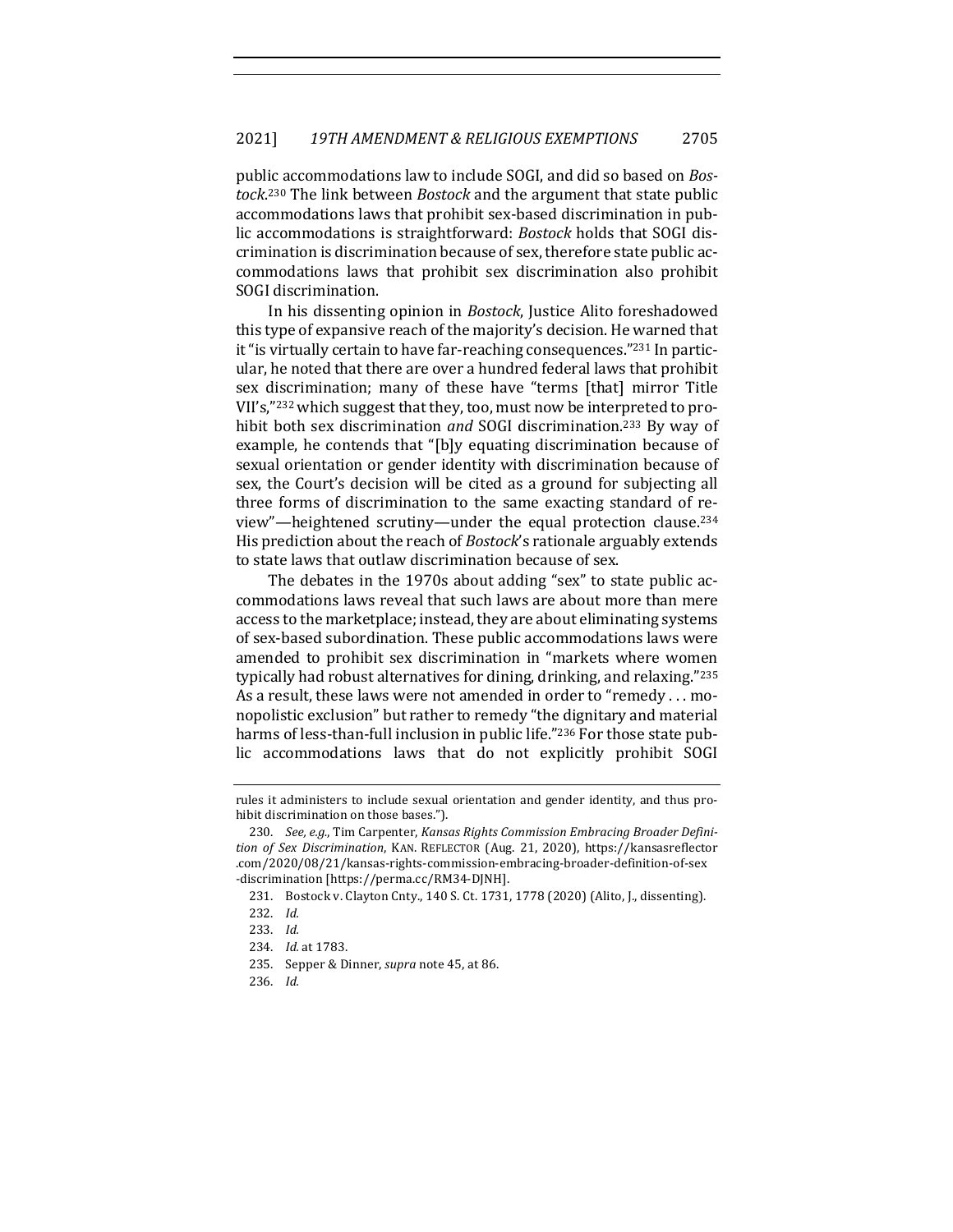public accommodations law to include SOGI, and did so based on *Bos*tock.<sup>230</sup> The link between *Bostock* and the argument that state public accommodations laws that prohibit sex-based discrimination in public accommodations is straightforward: *Bostock* holds that SOGI discrimination is discrimination because of sex, therefore state public accommodations laws that prohibit sex discrimination also prohibit SOGI discrimination.

In his dissenting opinion in *Bostock*, Justice Alito foreshadowed this type of expansive reach of the majority's decision. He warned that it "is virtually certain to have far-reaching consequences."<sup>231</sup> In particular, he noted that there are over a hundred federal laws that prohibit sex discrimination; many of these have "terms [that] mirror Title VII's,"232 which suggest that they, too, must now be interpreted to prohibit both sex discrimination and SOGI discrimination.<sup>233</sup> By way of example, he contends that "[b]y equating discrimination because of sexual orientation or gender identity with discrimination because of sex, the Court's decision will be cited as a ground for subjecting all three forms of discrimination to the same exacting standard of review"—heightened scrutiny—under the equal protection clause.<sup>234</sup> His prediction about the reach of *Bostock*'s rationale arguably extends to state laws that outlaw discrimination because of sex.

The debates in the 1970s about adding "sex" to state public accommodations laws reveal that such laws are about more than mere access to the marketplace; instead, they are about eliminating systems of sex-based subordination. These public accommodations laws were amended to prohibit sex discrimination in "markets where women typically had robust alternatives for dining, drinking, and relaxing."235 As a result, these laws were not amended in order to "remedy ... monopolistic exclusion" but rather to remedy "the dignitary and material harms of less-than-full inclusion in public life."236 For those state public accommodations laws that do not explicitly prohibit SOGI

rules it administers to include sexual orientation and gender identity, and thus prohibit discrimination on those bases.").

<sup>230.</sup> See, e.g., Tim Carpenter, *Kansas Rights Commission Embracing Broader Definition of Sex Discrimination*, KAN. REFLECTOR (Aug. 21, 2020), https://kansasreflector .com/2020/08/21/kansas-rights-commission-embracing-broader-definition-of-sex -discrimination [https://perma.cc/RM34-DJNH].

<sup>231.</sup> Bostock v. Clayton Cnty., 140 S. Ct. 1731, 1778 (2020) (Alito, J., dissenting).

<sup>232.</sup> *Id.*

<sup>233.</sup> *Id.*

<sup>234.</sup> *Id.* at 1783.

<sup>235.</sup> Sepper & Dinner, *supra* note 45, at 86.

<sup>236.</sup> *Id.*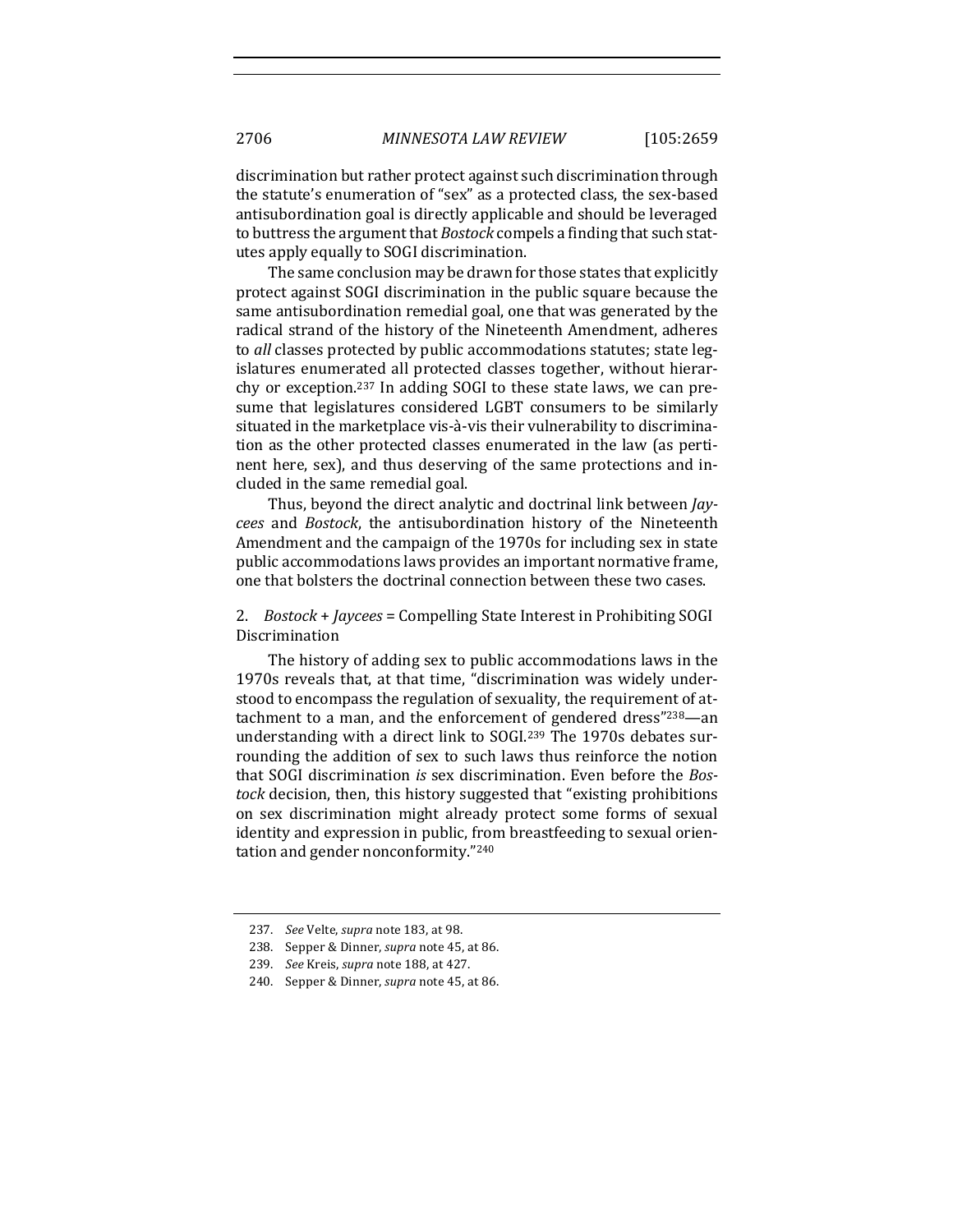discrimination but rather protect against such discrimination through the statute's enumeration of "sex" as a protected class, the sex-based antisubordination goal is directly applicable and should be leveraged to buttress the argument that *Bostock* compels a finding that such statutes apply equally to SOGI discrimination.

The same conclusion may be drawn for those states that explicitly protect against SOGI discrimination in the public square because the same antisubordination remedial goal, one that was generated by the radical strand of the history of the Nineteenth Amendment, adheres to *all* classes protected by public accommodations statutes; state legislatures enumerated all protected classes together, without hierarchy or exception.<sup>237</sup> In adding SOGI to these state laws, we can presume that legislatures considered LGBT consumers to be similarly situated in the marketplace vis-à-vis their vulnerability to discrimination as the other protected classes enumerated in the law (as pertinent here, sex), and thus deserving of the same protections and included in the same remedial goal.

Thus, beyond the direct analytic and doctrinal link between *Jaycees*  and *Bostock*, the antisubordination history of the Nineteenth Amendment and the campaign of the 1970s for including sex in state public accommodations laws provides an important normative frame, one that bolsters the doctrinal connection between these two cases.

## 2. *Bostock* + *Jaycees* = Compelling State Interest in Prohibiting SOGI Discrimination

The history of adding sex to public accommodations laws in the 1970s reveals that, at that time, "discrimination was widely understood to encompass the regulation of sexuality, the requirement of attachment to a man, and the enforcement of gendered dress" $238$ —an understanding with a direct link to SOGI.<sup>239</sup> The 1970s debates surrounding the addition of sex to such laws thus reinforce the notion that SOGI discrimination *is* sex discrimination. Even before the *Bostock* decision, then, this history suggested that "existing prohibitions on sex discrimination might already protect some forms of sexual identity and expression in public, from breastfeeding to sexual orientation and gender nonconformity."240

<sup>237.</sup> *See* Velte, *supra* note 183, at 98.

<sup>238.</sup> Sepper & Dinner, *supra* note 45, at 86.

<sup>239.</sup> *See* Kreis, *supra* note 188, at 427.

<sup>240.</sup> Sepper & Dinner, *supra* note 45, at 86.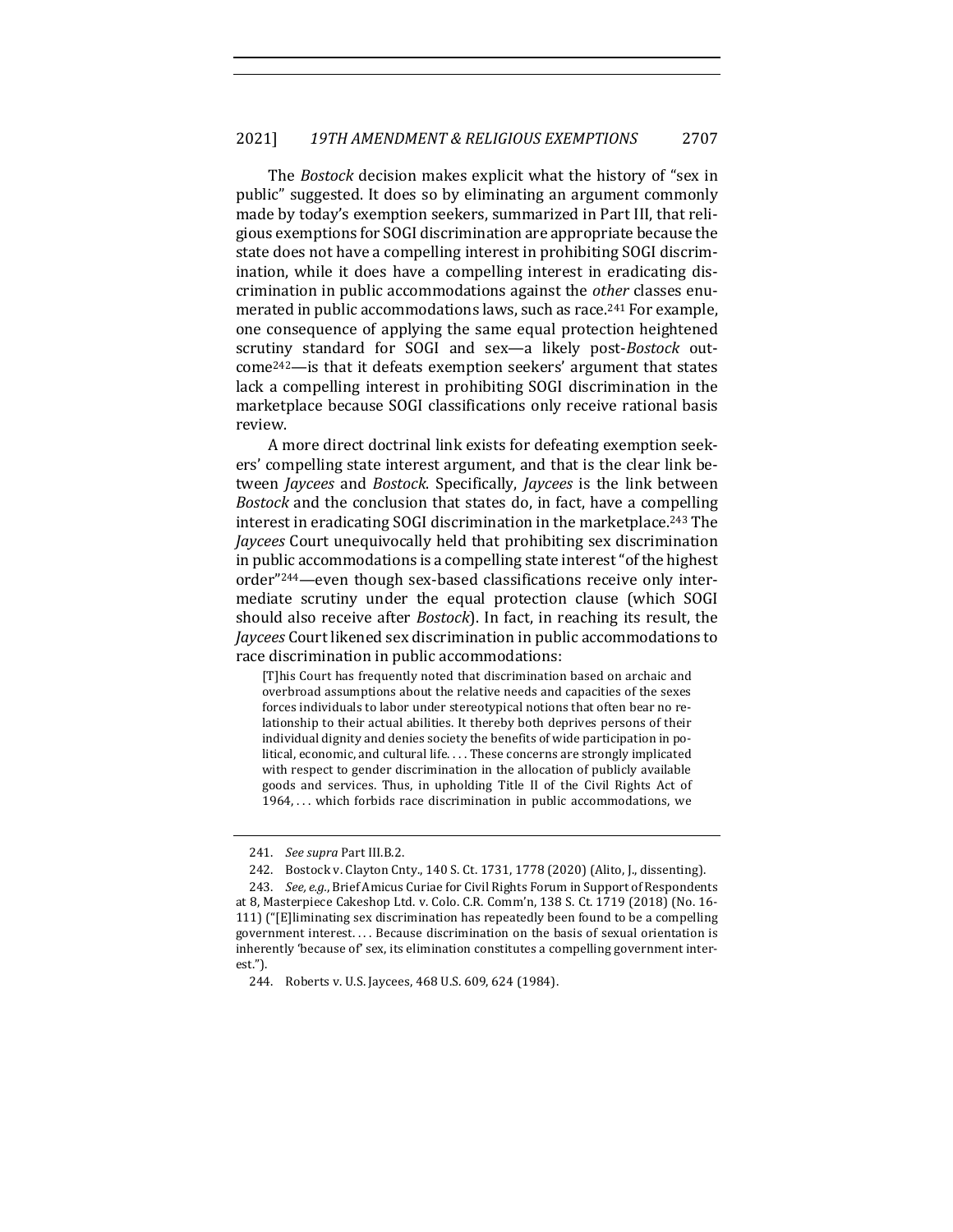The *Bostock* decision makes explicit what the history of "sex in public" suggested. It does so by eliminating an argument commonly made by today's exemption seekers, summarized in Part III, that religious exemptions for SOGI discrimination are appropriate because the state does not have a compelling interest in prohibiting SOGI discrimination, while it does have a compelling interest in eradicating discrimination in public accommodations against the *other* classes enumerated in public accommodations laws, such as race.<sup>241</sup> For example, one consequence of applying the same equal protection heightened scrutiny standard for SOGI and sex—a likely post-*Bostock* outcome<sup>242</sup>—is that it defeats exemption seekers' argument that states lack a compelling interest in prohibiting SOGI discrimination in the marketplace because SOGI classifications only receive rational basis review.

A more direct doctrinal link exists for defeating exemption seekers' compelling state interest argument, and that is the clear link between *Jaycees* and *Bostock*. Specifically, *Jaycees* is the link between *Bostock* and the conclusion that states do, in fact, have a compelling interest in eradicating SOGI discrimination in the marketplace.<sup>243</sup> The *Jaycees* Court unequivocally held that prohibiting sex discrimination in public accommodations is a compelling state interest "of the highest" order"<sup>244</sup>—even though sex-based classifications receive only intermediate scrutiny under the equal protection clause (which SOGI should also receive after *Bostock*). In fact, in reaching its result, the *Jaycees* Court likened sex discrimination in public accommodations to race discrimination in public accommodations:

[T]his Court has frequently noted that discrimination based on archaic and overbroad assumptions about the relative needs and capacities of the sexes forces individuals to labor under stereotypical notions that often bear no relationship to their actual abilities. It thereby both deprives persons of their individual dignity and denies society the benefits of wide participation in political, economic, and cultural life. . . . These concerns are strongly implicated with respect to gender discrimination in the allocation of publicly available goods and services. Thus, in upholding Title II of the Civil Rights Act of  $1964, \ldots$  which forbids race discrimination in public accommodations, we

<sup>241.</sup> *See supra Part III.B.2.* 

<sup>242.</sup> Bostock v. Clayton Cnty., 140 S. Ct. 1731, 1778 (2020) (Alito, J., dissenting).

<sup>243.</sup> *See, e.g.*, Brief Amicus Curiae for Civil Rights Forum in Support of Respondents at 8, Masterpiece Cakeshop Ltd. v. Colo. C.R. Comm'n, 138 S. Ct. 1719 (2018) (No. 16-111) ("[E]liminating sex discrimination has repeatedly been found to be a compelling government interest.... Because discrimination on the basis of sexual orientation is inherently 'because of' sex, its elimination constitutes a compelling government interest.").

<sup>244.</sup> Roberts v. U.S. Jaycees, 468 U.S. 609, 624 (1984).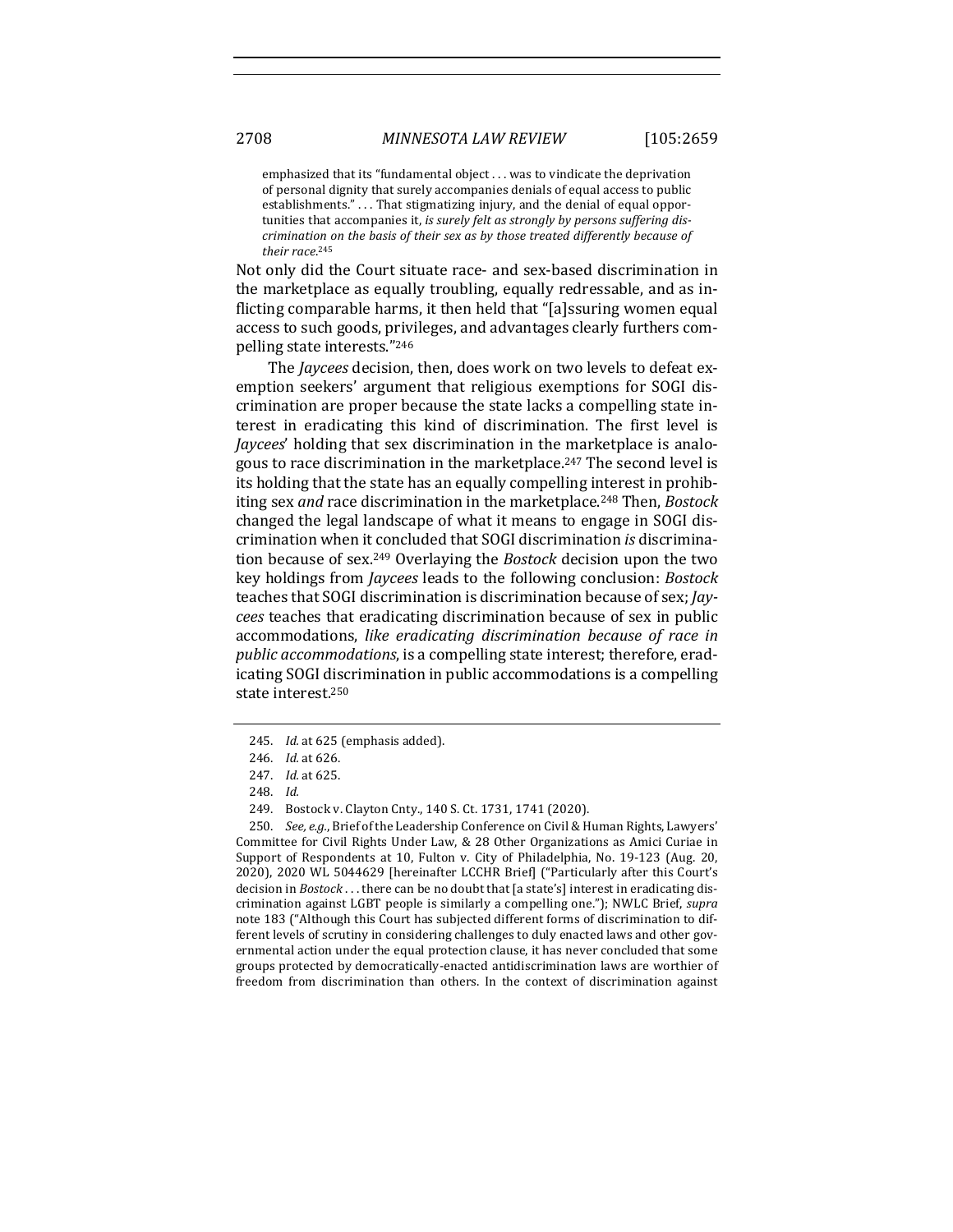emphasized that its "fundamental  $object \dots$  was to vindicate the deprivation of personal dignity that surely accompanies denials of equal access to public establishments." . . . That stigmatizing injury, and the denial of equal opportunities that accompanies it, *is surely felt as strongly by persons suffering discrimination on the basis of their sex as by those treated differently because of their race*. 245

Not only did the Court situate race- and sex-based discrimination in the marketplace as equally troubling, equally redressable, and as inflicting comparable harms, it then held that "[a]ssuring women equal access to such goods, privileges, and advantages clearly furthers compelling state interests."246

The *Jaycees* decision, then, does work on two levels to defeat exemption seekers' argument that religious exemptions for SOGI discrimination are proper because the state lacks a compelling state interest in eradicating this kind of discrimination. The first level is *Jaycees'* holding that sex discrimination in the marketplace is analogous to race discrimination in the marketplace.<sup>247</sup> The second level is its holding that the state has an equally compelling interest in prohibiting sex *and* race discrimination in the marketplace.<sup>248</sup> Then, *Bostock* changed the legal landscape of what it means to engage in SOGI discrimination when it concluded that SOGI discrimination *is* discrimination because of sex.<sup>249</sup> Overlaying the *Bostock* decision upon the two key holdings from *Jaycees* leads to the following conclusion: *Bostock* teaches that SOGI discrimination is discrimination because of sex; *Jaycees* teaches that eradicating discrimination because of sex in public accommodations, like eradicating discrimination because of race in *public accommodations*, is a compelling state interest; therefore, eradicating SOGI discrimination in public accommodations is a compelling state interest.<sup>250</sup>

250. *See, e.g.*, Brief of the Leadership Conference on Civil & Human Rights, Lawyers' Committee for Civil Rights Under Law, & 28 Other Organizations as Amici Curiae in Support of Respondents at 10, Fulton v. City of Philadelphia, No. 19-123 (Aug. 20, 2020), 2020 WL 5044629 [hereinafter LCCHR Brief] ("Particularly after this Court's decision in *Bostock* . . . there can be no doubt that [a state's] interest in eradicating discrimination against LGBT people is similarly a compelling one."); NWLC Brief, *supra* note 183 ("Although this Court has subjected different forms of discrimination to different levels of scrutiny in considering challenges to duly enacted laws and other governmental action under the equal protection clause, it has never concluded that some groups protected by democratically-enacted antidiscrimination laws are worthier of freedom from discrimination than others. In the context of discrimination against

<sup>245.</sup> *Id.* at 625 (emphasis added).

<sup>246.</sup> *Id.* at 626.

<sup>247.</sup> *Id.* at 625.

<sup>248.</sup> *Id.*

<sup>249.</sup> Bostock v. Clayton Cnty., 140 S. Ct. 1731, 1741 (2020).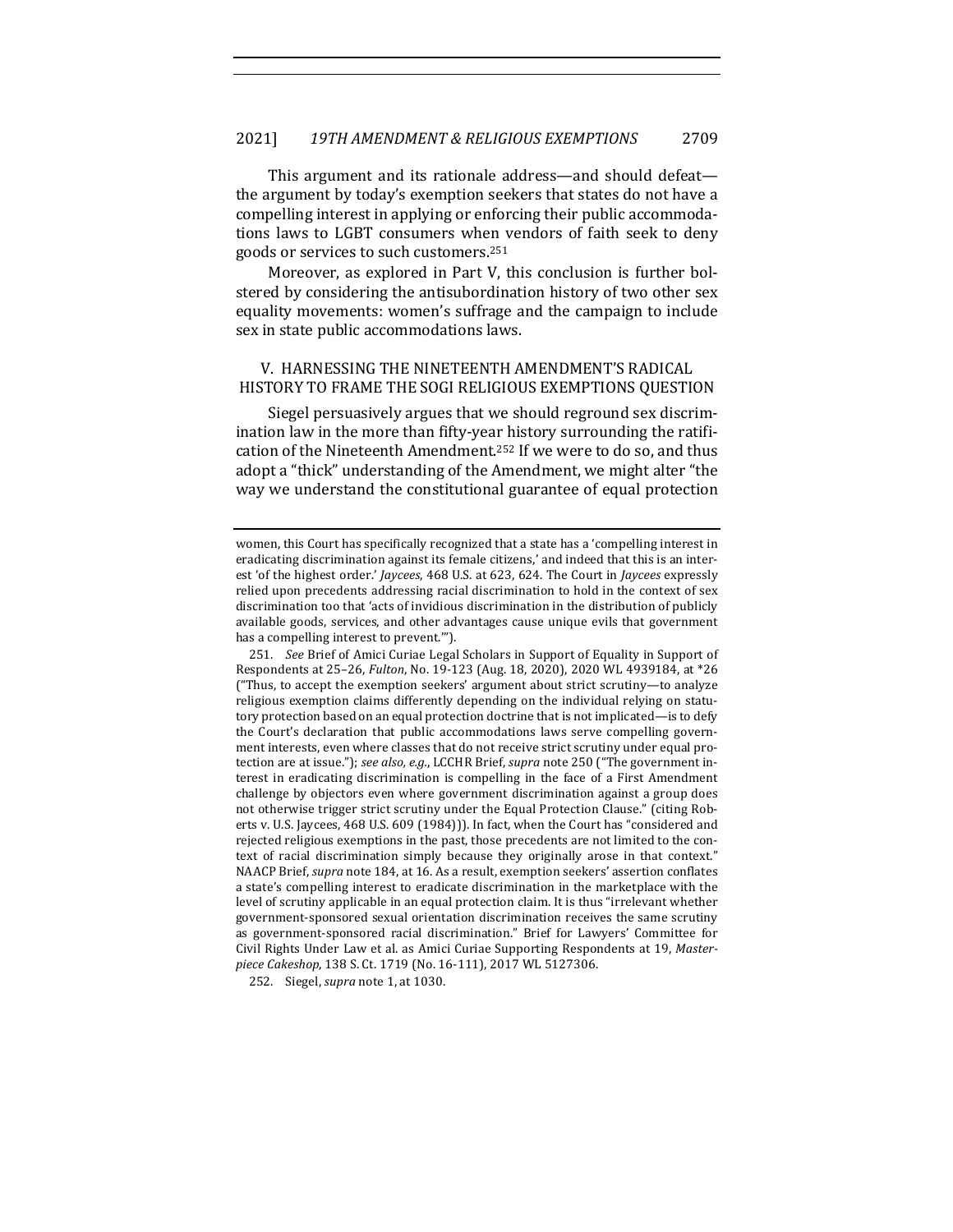This argument and its rationale address—and should defeat the argument by today's exemption seekers that states do not have a compelling interest in applying or enforcing their public accommodations laws to LGBT consumers when vendors of faith seek to deny goods or services to such customers.<sup>251</sup>

Moreover, as explored in Part V, this conclusion is further bolstered by considering the antisubordination history of two other sex equality movements: women's suffrage and the campaign to include sex in state public accommodations laws.

## V. HARNESSING THE NINETEENTH AMENDMENT'S RADICAL HISTORY TO FRAME THE SOGI RELIGIOUS EXEMPTIONS OUESTION

Siegel persuasively argues that we should reground sex discrimination law in the more than fifty-year history surrounding the ratification of the Nineteenth Amendment.<sup>252</sup> If we were to do so, and thus adopt a "thick" understanding of the Amendment, we might alter "the way we understand the constitutional guarantee of equal protection

251. *See* Brief of Amici Curiae Legal Scholars in Support of Equality in Support of Respondents at 25-26, *Fulton*, No. 19-123 (Aug. 18, 2020), 2020 WL 4939184, at \*26 ("Thus, to accept the exemption seekers' argument about strict scrutiny-to analyze religious exemption claims differently depending on the individual relying on statutory protection based on an equal protection doctrine that is not implicated—is to defy the Court's declaration that public accommodations laws serve compelling government interests, even where classes that do not receive strict scrutiny under equal protection are at issue."); see also, e.g., LCCHR Brief, supra note 250 ("The government interest in eradicating discrimination is compelling in the face of a First Amendment challenge by objectors even where government discrimination against a group does not otherwise trigger strict scrutiny under the Equal Protection Clause." (citing Roberts v. U.S. Jaycees, 468 U.S. 609 (1984))). In fact, when the Court has "considered and rejected religious exemptions in the past, those precedents are not limited to the context of racial discrimination simply because they originally arose in that context." NAACP Brief, *supra* note 184, at 16. As a result, exemption seekers' assertion conflates a state's compelling interest to eradicate discrimination in the marketplace with the level of scrutiny applicable in an equal protection claim. It is thus "irrelevant whether government-sponsored sexual orientation discrimination receives the same scrutiny as government-sponsored racial discrimination." Brief for Lawyers' Committee for Civil Rights Under Law et al. as Amici Curiae Supporting Respondents at 19, Master*piece Cakeshop*, 138 S. Ct. 1719 (No. 16-111), 2017 WL 5127306.

252. Siegel, *supra* note 1, at 1030.

women, this Court has specifically recognized that a state has a 'compelling interest in eradicating discrimination against its female citizens,' and indeed that this is an interest 'of the highest order.' *Jaycees*, 468 U.S. at 623, 624. The Court in *Jaycees* expressly relied upon precedents addressing racial discrimination to hold in the context of sex discrimination too that 'acts of invidious discrimination in the distribution of publicly available goods, services, and other advantages cause unique evils that government has a compelling interest to prevent."").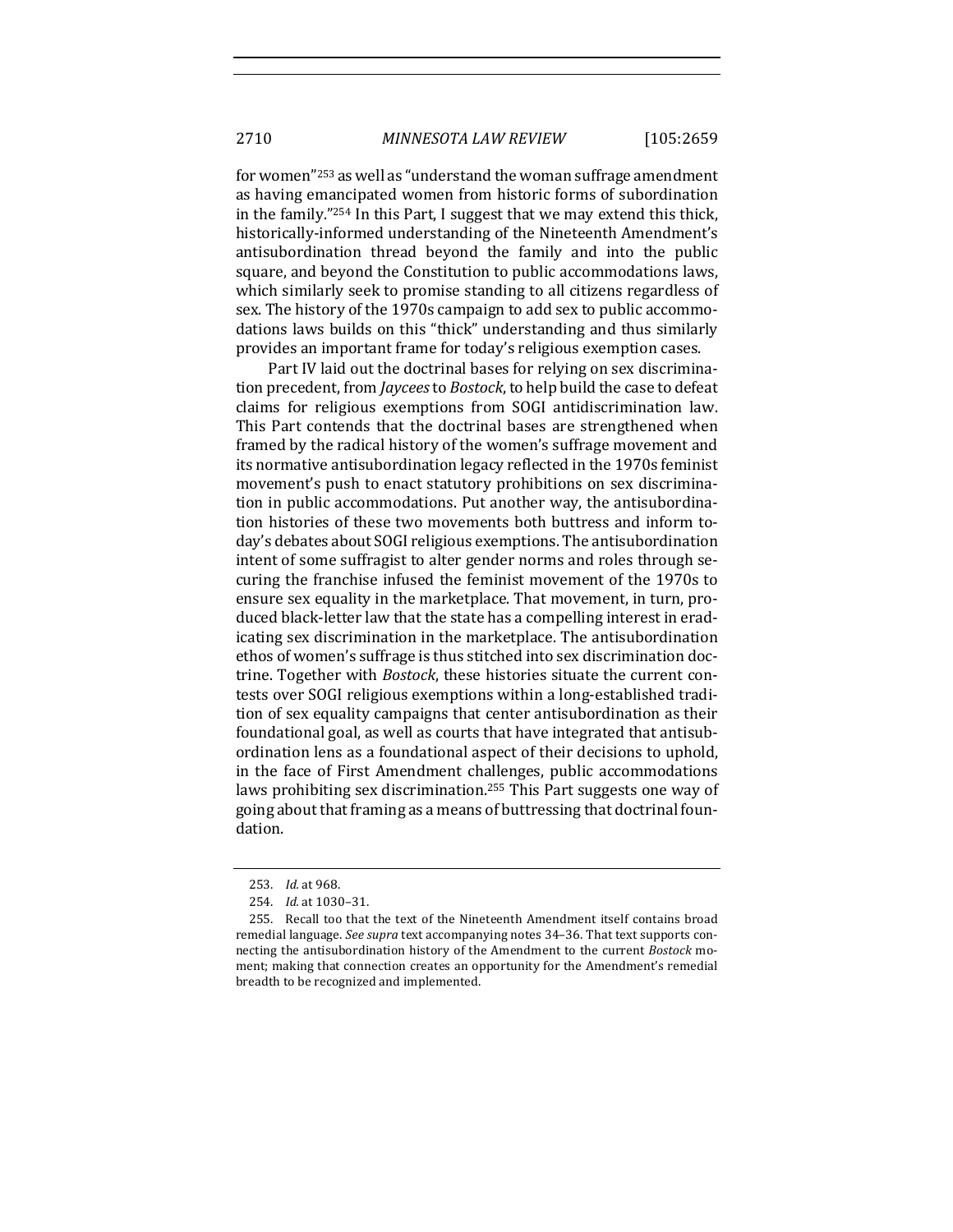for women"<sup>253</sup> as well as "understand the woman suffrage amendment as having emancipated women from historic forms of subordination in the family."254 In this Part, I suggest that we may extend this thick, historically-informed understanding of the Nineteenth Amendment's antisubordination thread beyond the family and into the public square, and beyond the Constitution to public accommodations laws, which similarly seek to promise standing to all citizens regardless of sex. The history of the 1970s campaign to add sex to public accommodations laws builds on this "thick" understanding and thus similarly provides an important frame for today's religious exemption cases.

Part IV laid out the doctrinal bases for relying on sex discrimination precedent, from *Jaycees* to *Bostock*, to help build the case to defeat claims for religious exemptions from SOGI antidiscrimination law. This Part contends that the doctrinal bases are strengthened when framed by the radical history of the women's suffrage movement and its normative antisubordination legacy reflected in the 1970s feminist movement's push to enact statutory prohibitions on sex discrimination in public accommodations. Put another way, the antisubordination histories of these two movements both buttress and inform today's debates about SOGI religious exemptions. The antisubordination intent of some suffragist to alter gender norms and roles through securing the franchise infused the feminist movement of the 1970s to ensure sex equality in the marketplace. That movement, in turn, produced black-letter law that the state has a compelling interest in eradicating sex discrimination in the marketplace. The antisubordination ethos of women's suffrage is thus stitched into sex discrimination doctrine. Together with *Bostock*, these histories situate the current contests over SOGI religious exemptions within a long-established tradition of sex equality campaigns that center antisubordination as their foundational goal, as well as courts that have integrated that antisubordination lens as a foundational aspect of their decisions to uphold, in the face of First Amendment challenges, public accommodations laws prohibiting sex discrimination.<sup>255</sup> This Part suggests one way of going about that framing as a means of buttressing that doctrinal foundation.

<sup>253.</sup> *Id.* at 968.

<sup>254.</sup> *Id.* at 1030-31.

<sup>255.</sup> Recall too that the text of the Nineteenth Amendment itself contains broad remedial language. *See supra* text accompanying notes 34–36. That text supports connecting the antisubordination history of the Amendment to the current *Bostock* moment; making that connection creates an opportunity for the Amendment's remedial breadth to be recognized and implemented.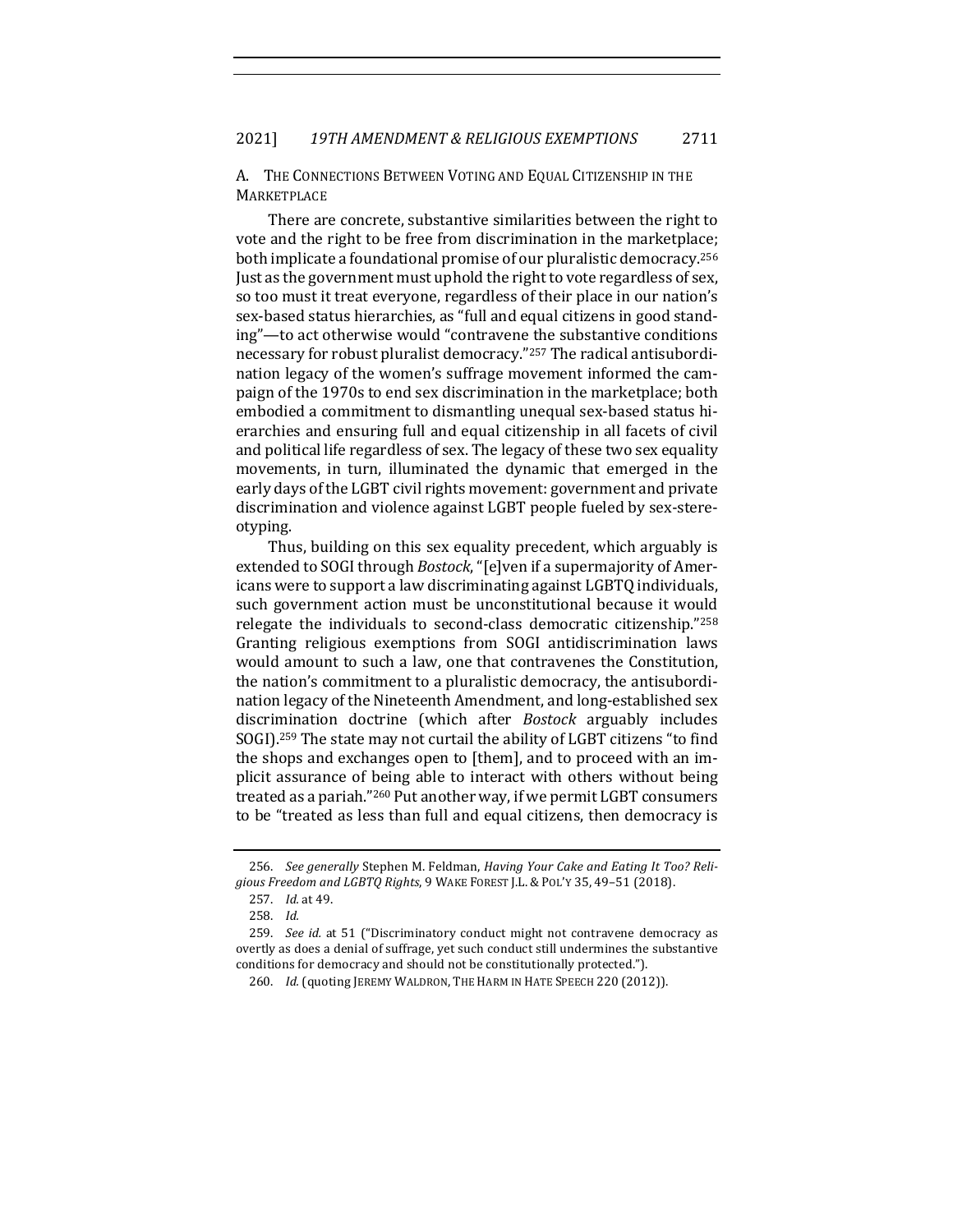A. THE CONNECTIONS BETWEEN VOTING AND EQUAL CITIZENSHIP IN THE **MARKETPLACE** 

There are concrete, substantive similarities between the right to vote and the right to be free from discrimination in the marketplace; both implicate a foundational promise of our pluralistic democracy.<sup>256</sup> Just as the government must uphold the right to vote regardless of sex, so too must it treat everyone, regardless of their place in our nation's sex-based status hierarchies, as "full and equal citizens in good standing"—to act otherwise would "contravene the substantive conditions necessary for robust pluralist democracy."<sup>257</sup> The radical antisubordination legacy of the women's suffrage movement informed the campaign of the 1970s to end sex discrimination in the marketplace; both embodied a commitment to dismantling unequal sex-based status hierarchies and ensuring full and equal citizenship in all facets of civil and political life regardless of sex. The legacy of these two sex equality movements, in turn, illuminated the dynamic that emerged in the early days of the LGBT civil rights movement: government and private discrimination and violence against LGBT people fueled by sex-stereotyping.

Thus, building on this sex equality precedent, which arguably is extended to SOGI through *Bostock*, "[e]ven if a supermajority of Americans were to support a law discriminating against LGBTQ individuals, such government action must be unconstitutional because it would relegate the individuals to second-class democratic citizenship."258 Granting religious exemptions from SOGI antidiscrimination laws would amount to such a law, one that contravenes the Constitution, the nation's commitment to a pluralistic democracy, the antisubordination legacy of the Nineteenth Amendment, and long-established sex discrimination doctrine (which after *Bostock* arguably includes SOGI).<sup>259</sup> The state may not curtail the ability of LGBT citizens "to find the shops and exchanges open to [them], and to proceed with an implicit assurance of being able to interact with others without being treated as a pariah."<sup>260</sup> Put another way, if we permit LGBT consumers to be "treated as less than full and equal citizens, then democracy is

<sup>256.</sup> See generally Stephen M. Feldman, *Having Your Cake and Eating It Too? Reli*gious Freedom and LGBTQ Rights, 9 WAKE FOREST J.L. & POL'Y 35, 49-51 (2018).

<sup>257.</sup> *Id.* at 49.

<sup>258.</sup> *Id.*

<sup>259.</sup> *See id.* at 51 ("Discriminatory conduct might not contravene democracy as overtly as does a denial of suffrage, yet such conduct still undermines the substantive conditions for democracy and should not be constitutionally protected.").

<sup>260.</sup> *Id.* (quoting JEREMY WALDRON, THE HARM IN HATE SPEECH 220 (2012)).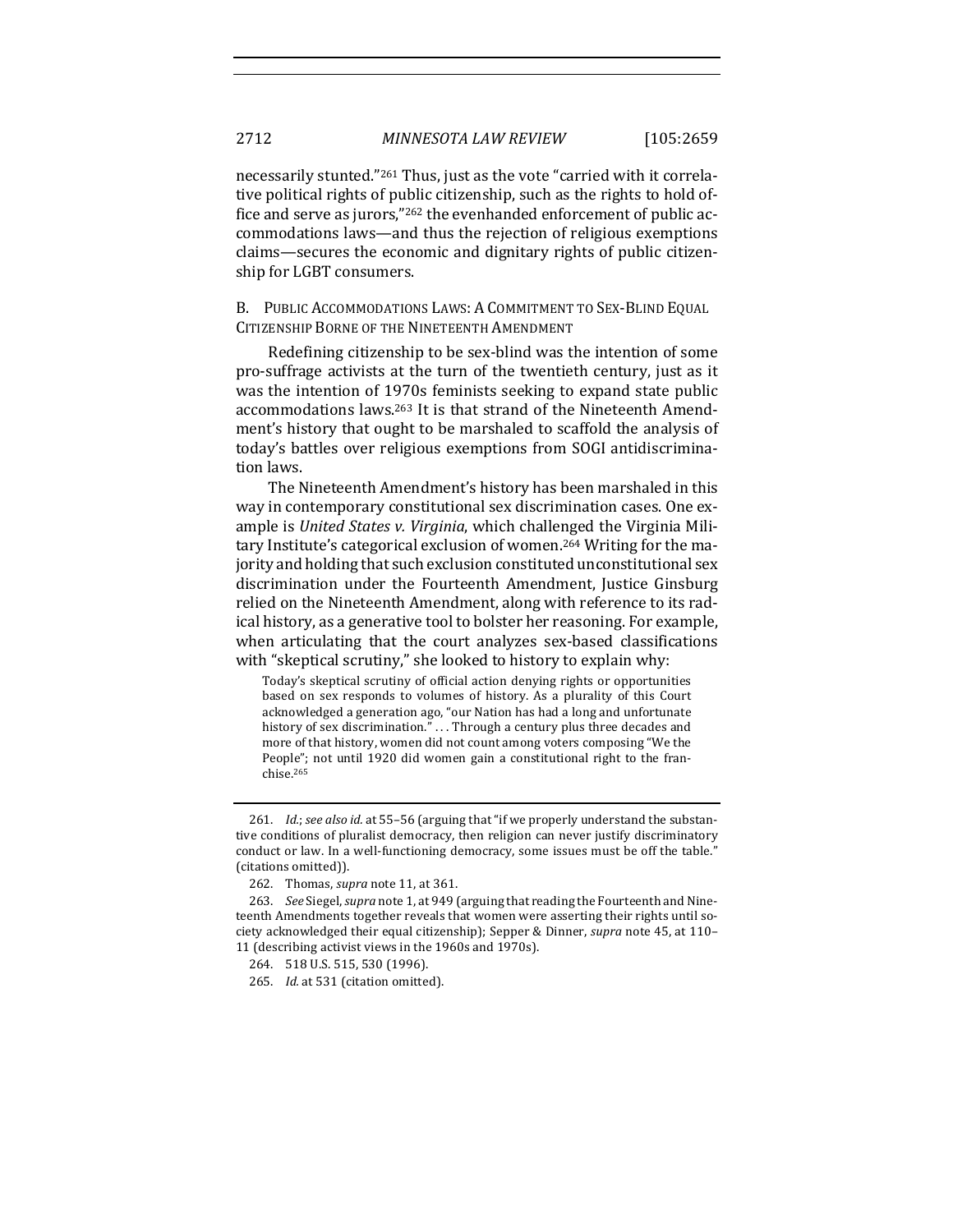necessarily stunted."<sup>261</sup> Thus, just as the vote "carried with it correlative political rights of public citizenship, such as the rights to hold office and serve as jurors,"<sup>262</sup> the evenhanded enforcement of public accommodations laws—and thus the rejection of religious exemptions claims—secures the economic and dignitary rights of public citizenship for LGBT consumers.

B. PUBLIC ACCOMMODATIONS LAWS: A COMMITMENT TO SEX-BLIND EQUAL CITIZENSHIP BORNE OF THE NINETEENTH AMENDMENT

Redefining citizenship to be sex-blind was the intention of some pro-suffrage activists at the turn of the twentieth century, just as it was the intention of 1970s feminists seeking to expand state public accommodations laws.<sup>263</sup> It is that strand of the Nineteenth Amendment's history that ought to be marshaled to scaffold the analysis of today's battles over religious exemptions from SOGI antidiscrimination laws.

The Nineteenth Amendment's history has been marshaled in this way in contemporary constitutional sex discrimination cases. One example is *United States v. Virginia*, which challenged the Virginia Military Institute's categorical exclusion of women.<sup>264</sup> Writing for the majority and holding that such exclusion constituted unconstitutional sex discrimination under the Fourteenth Amendment, Justice Ginsburg relied on the Nineteenth Amendment, along with reference to its radical history, as a generative tool to bolster her reasoning. For example, when articulating that the court analyzes sex-based classifications with "skeptical scrutiny," she looked to history to explain why:

Today's skeptical scrutiny of official action denying rights or opportunities based on sex responds to volumes of history. As a plurality of this Court acknowledged a generation ago, "our Nation has had a long and unfortunate history of sex discrimination." $\dots$  Through a century plus three decades and more of that history, women did not count among voters composing "We the People"; not until 1920 did women gain a constitutional right to the franchise.265

<sup>261.</sup> *Id.; see also id.* at 55-56 (arguing that "if we properly understand the substantive conditions of pluralist democracy, then religion can never justify discriminatory conduct or law. In a well-functioning democracy, some issues must be off the table." (citations omitted)).

<sup>262.</sup> Thomas, *supra* note 11, at 361.

<sup>263.</sup> *See* Siegel, *supra* note 1, at 949 (arguing that reading the Fourteenth and Nineteenth Amendments together reveals that women were asserting their rights until society acknowledged their equal citizenship); Sepper & Dinner, *supra* note 45, at 110-11 (describing activist views in the 1960s and 1970s).

<sup>264. 518</sup> U.S. 515, 530 (1996).

<sup>265.</sup> *Id.* at 531 (citation omitted).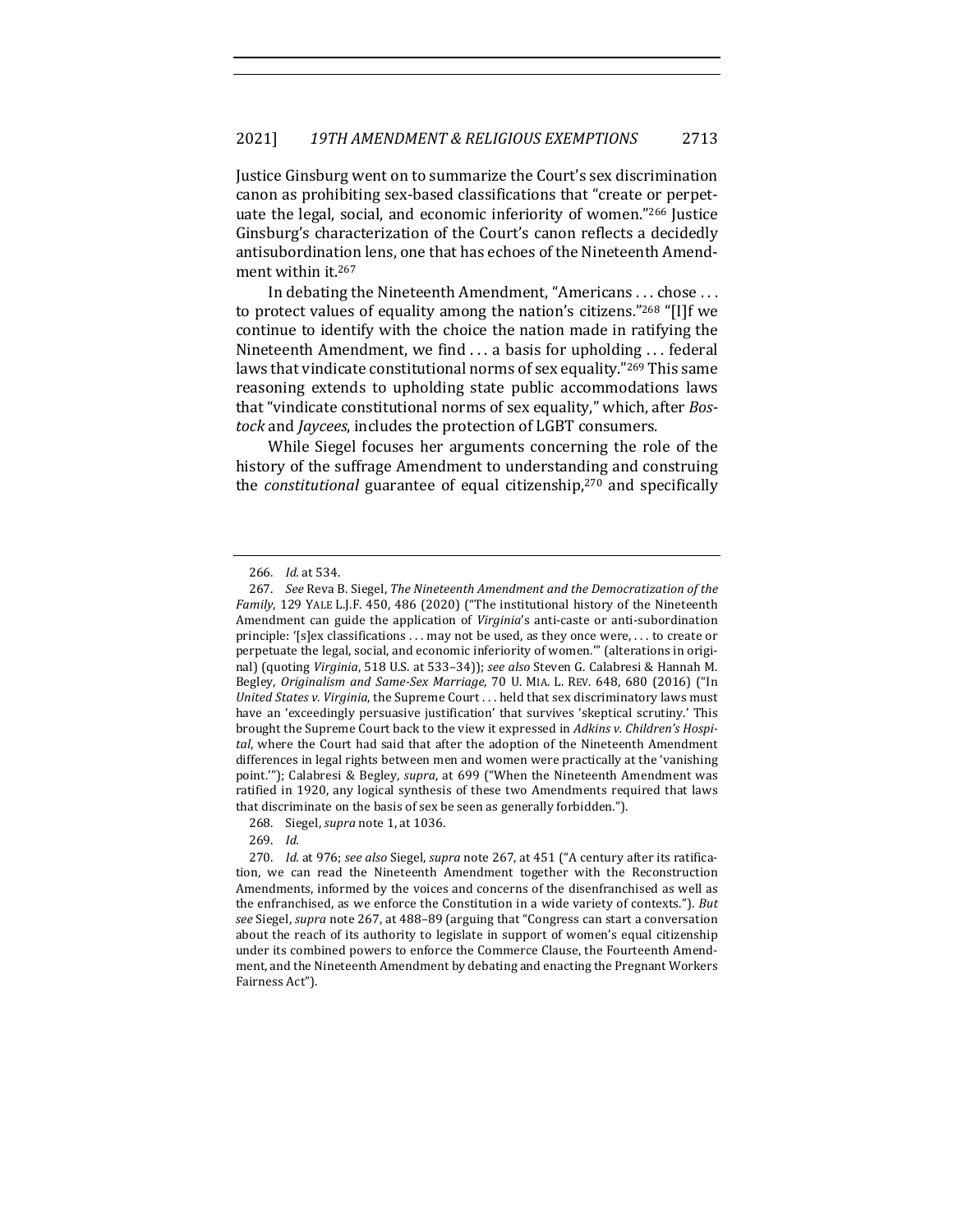Justice Ginsburg went on to summarize the Court's sex discrimination canon as prohibiting sex-based classifications that "create or perpetuate the legal, social, and economic inferiority of women."266 Justice Ginsburg's characterization of the Court's canon reflects a decidedly antisubordination lens, one that has echoes of the Nineteenth Amendment within it.<sup>267</sup>

In debating the Nineteenth Amendment, "Americans  $\dots$  chose  $\dots$ to protect values of equality among the nation's citizens." $268$  "[I]f we continue to identify with the choice the nation made in ratifying the Nineteenth Amendment, we find  $\dots$  a basis for upholding  $\dots$  federal laws that vindicate constitutional norms of sex equality."<sup>269</sup> This same reasoning extends to upholding state public accommodations laws that "vindicate constitutional norms of sex equality," which, after *Bostock* and *Jaycees*, includes the protection of LGBT consumers.

While Siegel focuses her arguments concerning the role of the history of the suffrage Amendment to understanding and construing the *constitutional* guarantee of equal citizenship,<sup>270</sup> and specifically

269. *Id.*

<sup>266.</sup> *Id.* at 534.

<sup>267.</sup> *See* Reva B. Siegel, *The Nineteenth Amendment and the Democratization of the Family*, 129 YALE L.J.F. 450, 486 (2020) ("The institutional history of the Nineteenth Amendment can guide the application of *Virginia's* anti-caste or anti-subordination principle: '[s]ex classifications ... may not be used, as they once were, ... to create or perpetuate the legal, social, and economic inferiority of women." (alterations in original) (quoting Virginia, 518 U.S. at 533-34)); see also Steven G. Calabresi & Hannah M. Begley, *Originalism and Same-Sex Marriage*, 70 U. MIA. L. REV. 648, 680 (2016) ("In *United States v. Virginia*, the Supreme Court . . . held that sex discriminatory laws must have an 'exceedingly persuasive justification' that survives 'skeptical scrutiny.' This brought the Supreme Court back to the view it expressed in *Adkins v. Children's Hospi*tal, where the Court had said that after the adoption of the Nineteenth Amendment differences in legal rights between men and women were practically at the 'vanishing point.""); Calabresi & Begley, *supra*, at 699 ("When the Nineteenth Amendment was ratified in 1920, any logical synthesis of these two Amendments required that laws that discriminate on the basis of sex be seen as generally forbidden.").

<sup>268.</sup> Siegel, *supra* note 1, at 1036.

<sup>270.</sup> *Id.* at 976; see also Siegel, supra note 267, at 451 ("A century after its ratification, we can read the Nineteenth Amendment together with the Reconstruction Amendments, informed by the voices and concerns of the disenfranchised as well as the enfranchised, as we enforce the Constitution in a wide variety of contexts."). But see Siegel, *supra* note 267, at 488-89 (arguing that "Congress can start a conversation about the reach of its authority to legislate in support of women's equal citizenship under its combined powers to enforce the Commerce Clause, the Fourteenth Amendment, and the Nineteenth Amendment by debating and enacting the Pregnant Workers Fairness Act").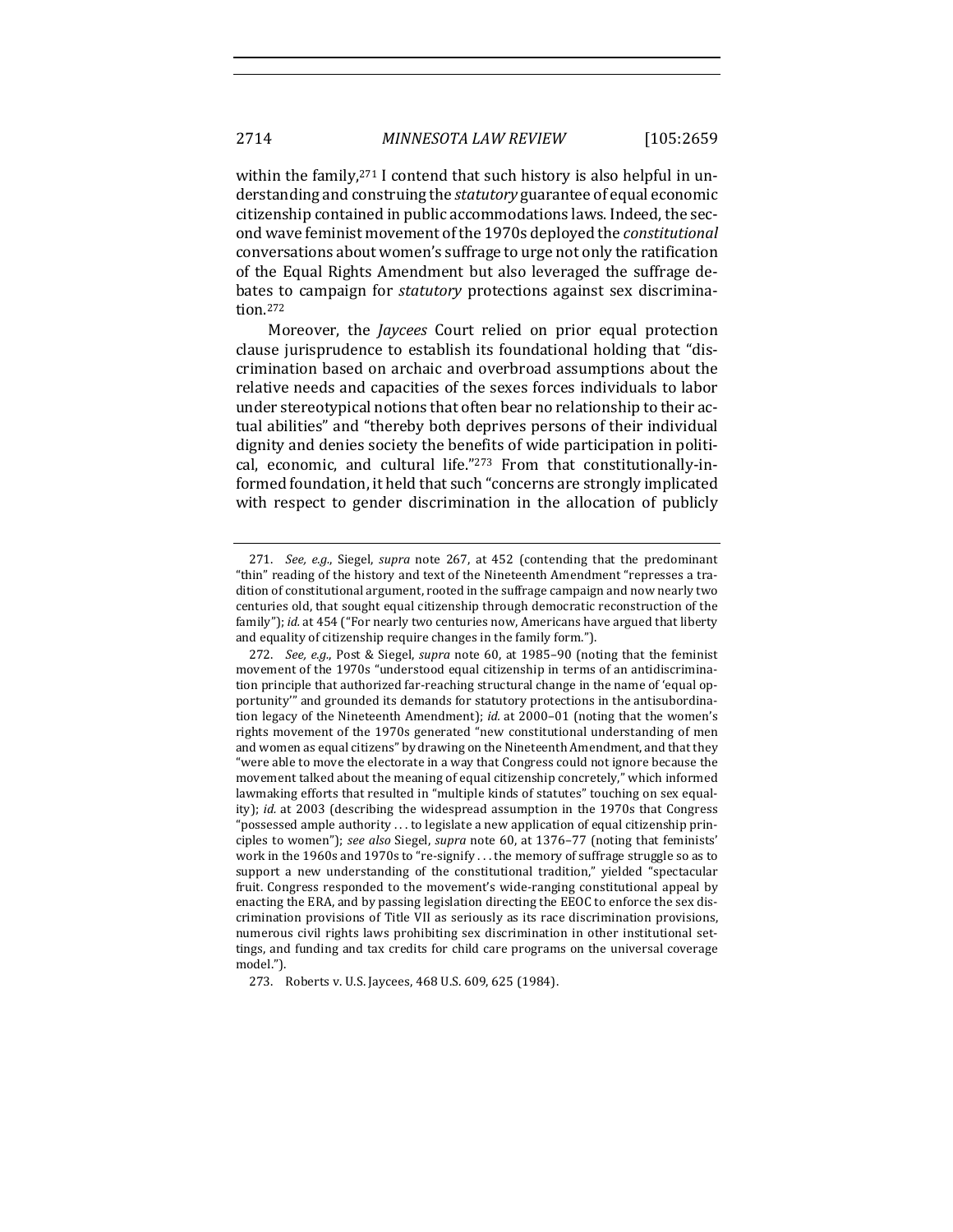within the family,  $271$  I contend that such history is also helpful in understanding and construing the *statutory* guarantee of equal economic citizenship contained in public accommodations laws. Indeed, the second wave feminist movement of the 1970s deployed the *constitutional* conversations about women's suffrage to urge not only the ratification of the Equal Rights Amendment but also leveraged the suffrage debates to campaign for *statutory* protections against sex discrimination.272

Moreover, the *Jaycees* Court relied on prior equal protection clause jurisprudence to establish its foundational holding that "discrimination based on archaic and overbroad assumptions about the relative needs and capacities of the sexes forces individuals to labor under stereotypical notions that often bear no relationship to their actual abilities" and "thereby both deprives persons of their individual dignity and denies society the benefits of wide participation in political, economic, and cultural life."273 From that constitutionally-informed foundation, it held that such "concerns are strongly implicated with respect to gender discrimination in the allocation of publicly

<sup>271.</sup> *See, e.g.*, Siegel, *supra* note 267, at 452 (contending that the predominant "thin" reading of the history and text of the Nineteenth Amendment "represses a tradition of constitutional argument, rooted in the suffrage campaign and now nearly two centuries old, that sought equal citizenship through democratic reconstruction of the family"); *id.* at 454 ("For nearly two centuries now, Americans have argued that liberty and equality of citizenship require changes in the family form.").

<sup>272.</sup> *See, e.g.*, Post & Siegel, *supra* note 60, at 1985-90 (noting that the feminist movement of the 1970s "understood equal citizenship in terms of an antidiscrimination principle that authorized far-reaching structural change in the name of 'equal opportunity" and grounded its demands for statutory protections in the antisubordination legacy of the Nineteenth Amendment); *id.* at 2000-01 (noting that the women's rights movement of the 1970s generated "new constitutional understanding of men and women as equal citizens" by drawing on the Nineteenth Amendment, and that they "were able to move the electorate in a way that Congress could not ignore because the movement talked about the meaning of equal citizenship concretely," which informed lawmaking efforts that resulted in "multiple kinds of statutes" touching on sex equality); *id.* at 2003 (describing the widespread assumption in the 1970s that Congress "possessed ample authority  $\dots$  to legislate a new application of equal citizenship principles to women"); see also Siegel, supra note 60, at 1376-77 (noting that feminists' work in the 1960s and 1970s to "re-signify ... the memory of suffrage struggle so as to support a new understanding of the constitutional tradition," yielded "spectacular fruit. Congress responded to the movement's wide-ranging constitutional appeal by enacting the ERA, and by passing legislation directing the EEOC to enforce the sex discrimination provisions of Title VII as seriously as its race discrimination provisions, numerous civil rights laws prohibiting sex discrimination in other institutional settings, and funding and tax credits for child care programs on the universal coverage model.").

<sup>273.</sup> Roberts v. U.S. Jaycees, 468 U.S. 609, 625 (1984).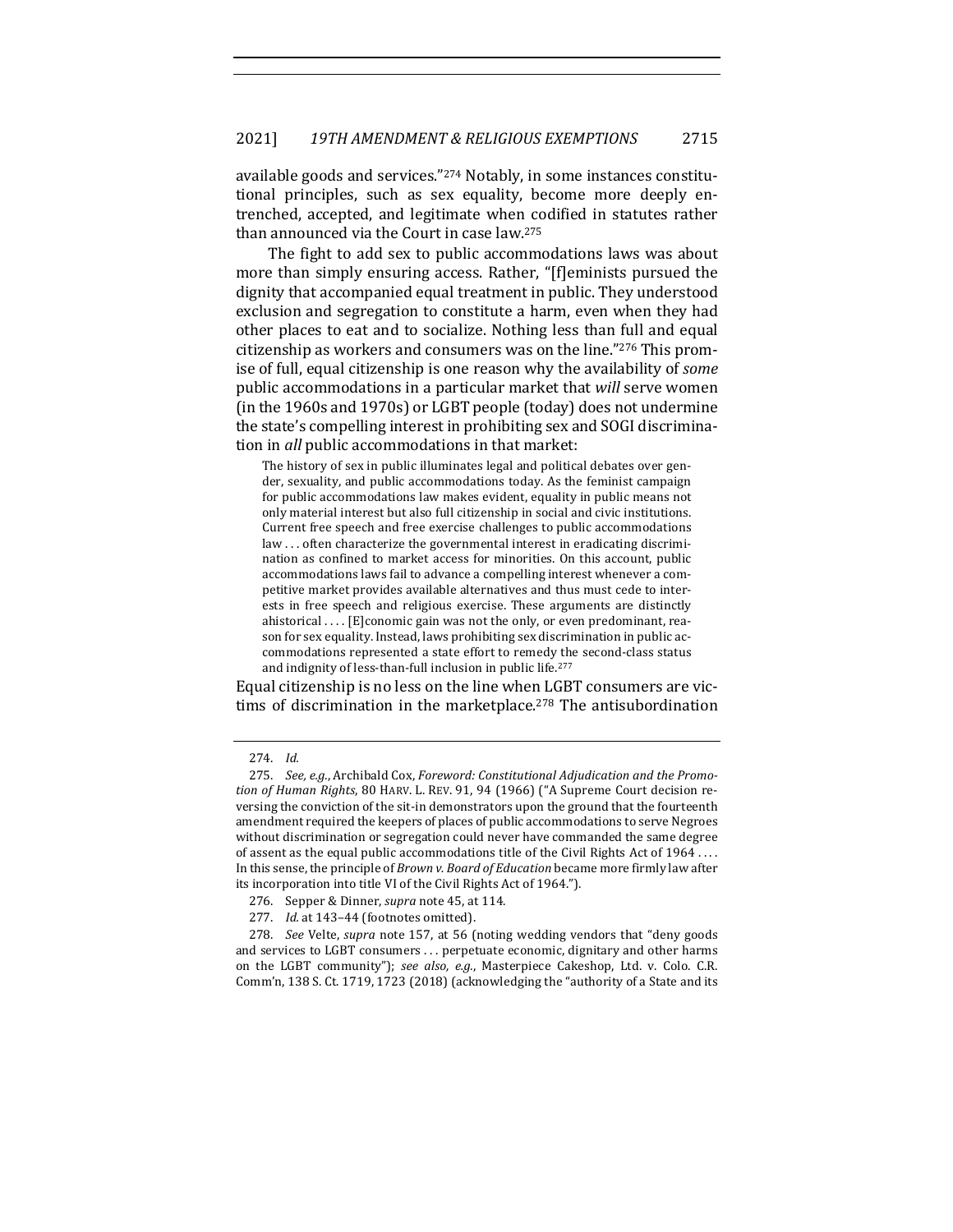available goods and services." $274$  Notably, in some instances constitutional principles, such as sex equality, become more deeply entrenched, accepted, and legitimate when codified in statutes rather than announced via the Court in case law.<sup>275</sup>

The fight to add sex to public accommodations laws was about more than simply ensuring access. Rather, "[f]eminists pursued the dignity that accompanied equal treatment in public. They understood exclusion and segregation to constitute a harm, even when they had other places to eat and to socialize. Nothing less than full and equal citizenship as workers and consumers was on the line."276 This promise of full, equal citizenship is one reason why the availability of *some* public accommodations in a particular market that *will* serve women (in the 1960s and 1970s) or LGBT people (today) does not undermine the state's compelling interest in prohibiting sex and SOGI discrimination in *all* public accommodations in that market:

The history of sex in public illuminates legal and political debates over gender, sexuality, and public accommodations today. As the feminist campaign for public accommodations law makes evident, equality in public means not only material interest but also full citizenship in social and civic institutions. Current free speech and free exercise challenges to public accommodations law ... often characterize the governmental interest in eradicating discrimination as confined to market access for minorities. On this account, public accommodations laws fail to advance a compelling interest whenever a competitive market provides available alternatives and thus must cede to interests in free speech and religious exercise. These arguments are distinctly ahistorical  $\dots$  [E]conomic gain was not the only, or even predominant, reason for sex equality. Instead, laws prohibiting sex discrimination in public accommodations represented a state effort to remedy the second-class status and indignity of less-than-full inclusion in public life.<sup>277</sup>

Equal citizenship is no less on the line when LGBT consumers are victims of discrimination in the marketplace.<sup>278</sup> The antisubordination

<sup>274.</sup> *Id.*

<sup>275.</sup> See, e.g., Archibald Cox, Foreword: Constitutional Adjudication and the Promo*tion of Human Rights,* 80 HARV. L. REV. 91, 94 (1966) ("A Supreme Court decision reversing the conviction of the sit-in demonstrators upon the ground that the fourteenth amendment required the keepers of places of public accommodations to serve Negroes without discrimination or segregation could never have commanded the same degree of assent as the equal public accommodations title of the Civil Rights Act of 1964 .... In this sense, the principle of *Brown v. Board of Education* became more firmly law after its incorporation into title VI of the Civil Rights Act of 1964.").

<sup>276.</sup> Sepper & Dinner, *supra* note 45, at 114.

<sup>277.</sup> *Id.* at 143-44 (footnotes omitted).

<sup>278.</sup> *See* Velte, *supra* note 157, at 56 (noting wedding vendors that "deny goods and services to LGBT consumers ... perpetuate economic, dignitary and other harms on the LGBT community"); see also, e.g., Masterpiece Cakeshop, Ltd. v. Colo. C.R. Comm'n, 138 S. Ct. 1719, 1723 (2018) (acknowledging the "authority of a State and its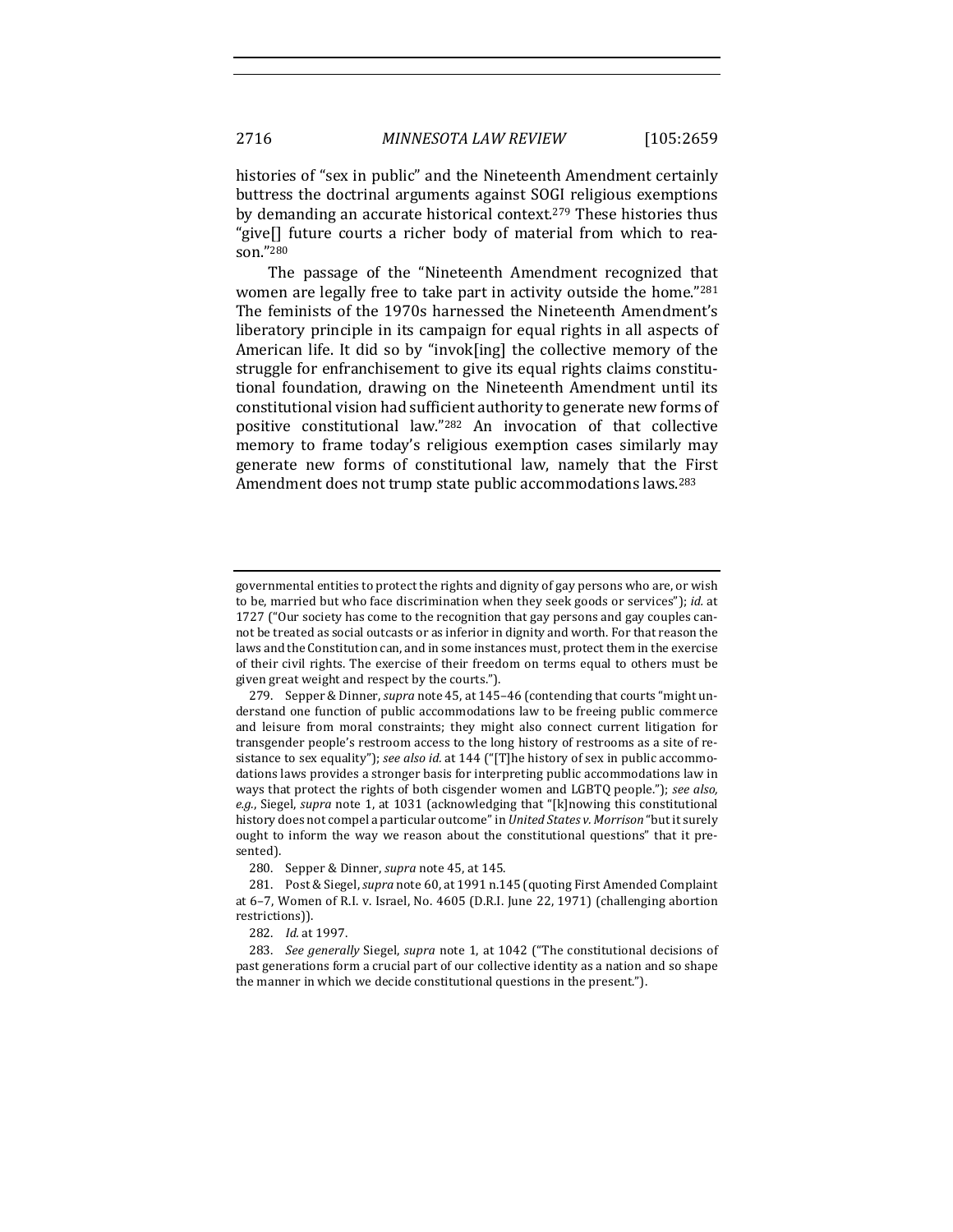histories of "sex in public" and the Nineteenth Amendment certainly buttress the doctrinal arguments against SOGI religious exemptions by demanding an accurate historical context.<sup>279</sup> These histories thus "give[] future courts a richer body of material from which to reason."280

The passage of the "Nineteenth Amendment recognized that women are legally free to take part in activity outside the home."281 The feminists of the 1970s harnessed the Nineteenth Amendment's liberatory principle in its campaign for equal rights in all aspects of American life. It did so by "invok[ing] the collective memory of the struggle for enfranchisement to give its equal rights claims constitutional foundation, drawing on the Nineteenth Amendment until its constitutional vision had sufficient authority to generate new forms of positive constitutional law."282 An invocation of that collective memory to frame today's religious exemption cases similarly may generate new forms of constitutional law, namely that the First Amendment does not trump state public accommodations laws.<sup>283</sup>

governmental entities to protect the rights and dignity of gay persons who are, or wish to be, married but who face discrimination when they seek goods or services"); *id.* at 1727 ("Our society has come to the recognition that gay persons and gay couples cannot be treated as social outcasts or as inferior in dignity and worth. For that reason the laws and the Constitution can, and in some instances must, protect them in the exercise of their civil rights. The exercise of their freedom on terms equal to others must be given great weight and respect by the courts.").

<sup>279.</sup> Sepper & Dinner, *supra* note 45, at 145-46 (contending that courts "might understand one function of public accommodations law to be freeing public commerce and leisure from moral constraints; they might also connect current litigation for transgender people's restroom access to the long history of restrooms as a site of resistance to sex equality"); see also id. at 144 ("[T]he history of sex in public accommodations laws provides a stronger basis for interpreting public accommodations law in ways that protect the rights of both cisgender women and LGBTQ people."); see also, e.g., Siegel, *supra* note 1, at 1031 (acknowledging that "[k]nowing this constitutional history does not compel a particular outcome" in *United States v. Morrison* "but it surely ought to inform the way we reason about the constitutional questions" that it presented).

<sup>280.</sup> Sepper & Dinner, *supra* note 45, at 145.

<sup>281.</sup> Post & Siegel, *supra* note 60, at 1991 n.145 (quoting First Amended Complaint at 6-7, Women of R.I. v. Israel, No. 4605 (D.R.I. June 22, 1971) (challenging abortion restrictions)).

<sup>282.</sup> *Id.* at 1997.

<sup>283.</sup> *See generally* Siegel, *supra* note 1, at 1042 ("The constitutional decisions of past generations form a crucial part of our collective identity as a nation and so shape the manner in which we decide constitutional questions in the present.").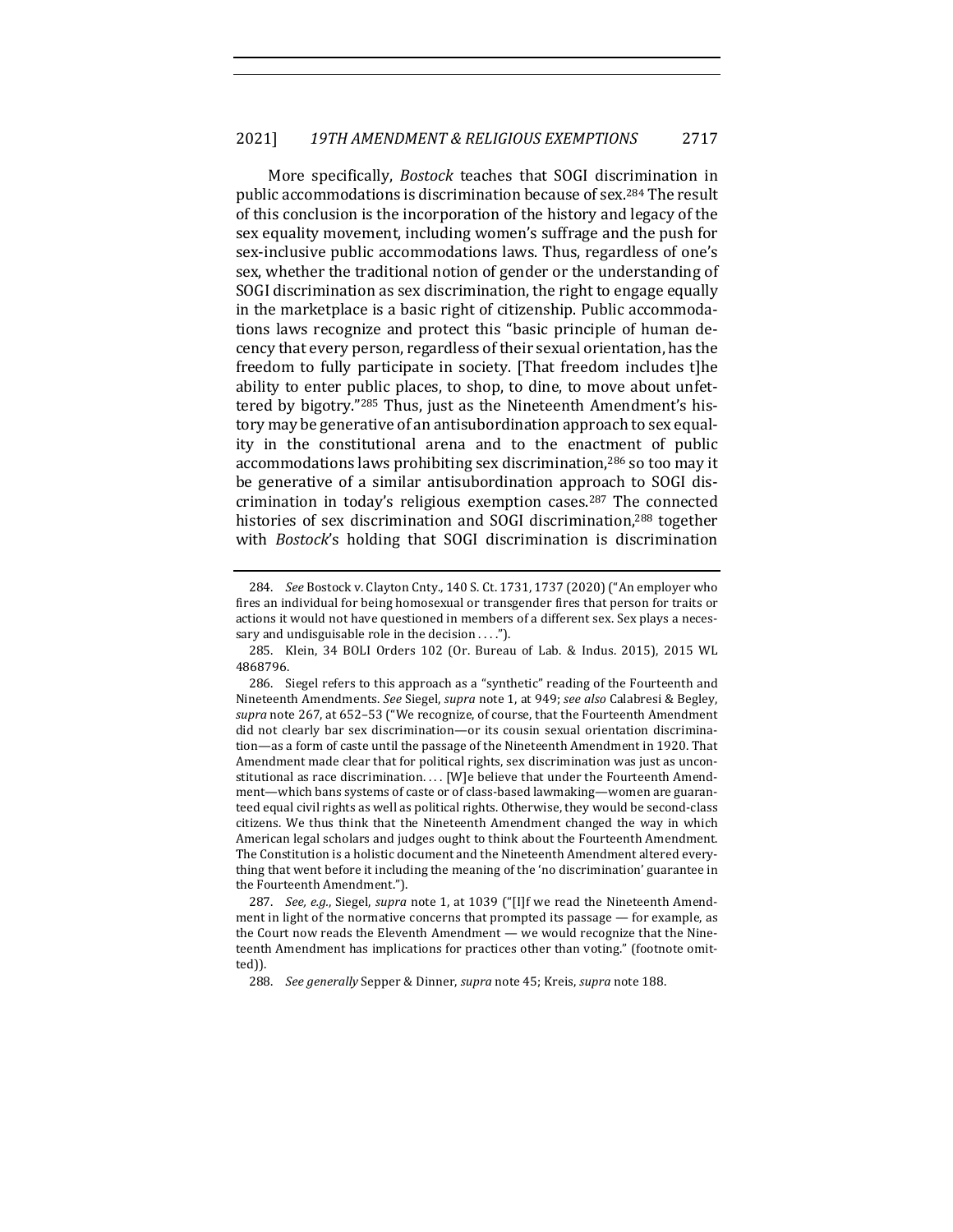More specifically, *Bostock* teaches that SOGI discrimination in public accommodations is discrimination because of sex.<sup>284</sup> The result of this conclusion is the incorporation of the history and legacy of the sex equality movement, including women's suffrage and the push for sex-inclusive public accommodations laws. Thus, regardless of one's sex, whether the traditional notion of gender or the understanding of SOGI discrimination as sex discrimination, the right to engage equally in the marketplace is a basic right of citizenship. Public accommodations laws recognize and protect this "basic principle of human decency that every person, regardless of their sexual orientation, has the freedom to fully participate in society. [That freedom includes t]he ability to enter public places, to shop, to dine, to move about unfettered by bigotry."285 Thus, just as the Nineteenth Amendment's history may be generative of an antisubordination approach to sex equality in the constitutional arena and to the enactment of public accommodations laws prohibiting sex discrimination,<sup>286</sup> so too may it be generative of a similar antisubordination approach to SOGI discrimination in today's religious exemption cases.<sup>287</sup> The connected histories of sex discrimination and SOGI discrimination,<sup>288</sup> together with *Bostock's* holding that SOGI discrimination is discrimination

<sup>284.</sup> *See* Bostock v. Clayton Cnty., 140 S. Ct. 1731, 1737 (2020) ("An employer who fires an individual for being homosexual or transgender fires that person for traits or actions it would not have questioned in members of a different sex. Sex plays a necessary and undisguisable role in the decision  $\dots$ .").

<sup>285.</sup> Klein, 34 BOLI Orders 102 (Or. Bureau of Lab. & Indus. 2015), 2015 WL 4868796.

<sup>286.</sup> Siegel refers to this approach as a "synthetic" reading of the Fourteenth and Nineteenth Amendments. See Siegel, supra note 1, at 949; see also Calabresi & Begley, *supra* note 267, at 652–53 ("We recognize, of course, that the Fourteenth Amendment did not clearly bar sex discrimination—or its cousin sexual orientation discrimination—as a form of caste until the passage of the Nineteenth Amendment in 1920. That Amendment made clear that for political rights, sex discrimination was just as unconstitutional as race discrimination. . . . [W]e believe that under the Fourteenth Amendment—which bans systems of caste or of class-based lawmaking—women are guaranteed equal civil rights as well as political rights. Otherwise, they would be second-class citizens. We thus think that the Nineteenth Amendment changed the way in which American legal scholars and judges ought to think about the Fourteenth Amendment. The Constitution is a holistic document and the Nineteenth Amendment altered everything that went before it including the meaning of the 'no discrimination' guarantee in the Fourteenth Amendment.").

<sup>287.</sup> *See, e.g.,* Siegel, *supra* note 1, at 1039 ("[I]f we read the Nineteenth Amendment in light of the normative concerns that prompted its passage  $-$  for example, as the Court now reads the Eleventh Amendment  $-$  we would recognize that the Nineteenth Amendment has implications for practices other than voting." (footnote omitted)).

<sup>288.</sup> *See generally* Sepper & Dinner, *supra* note 45; Kreis, *supra* note 188.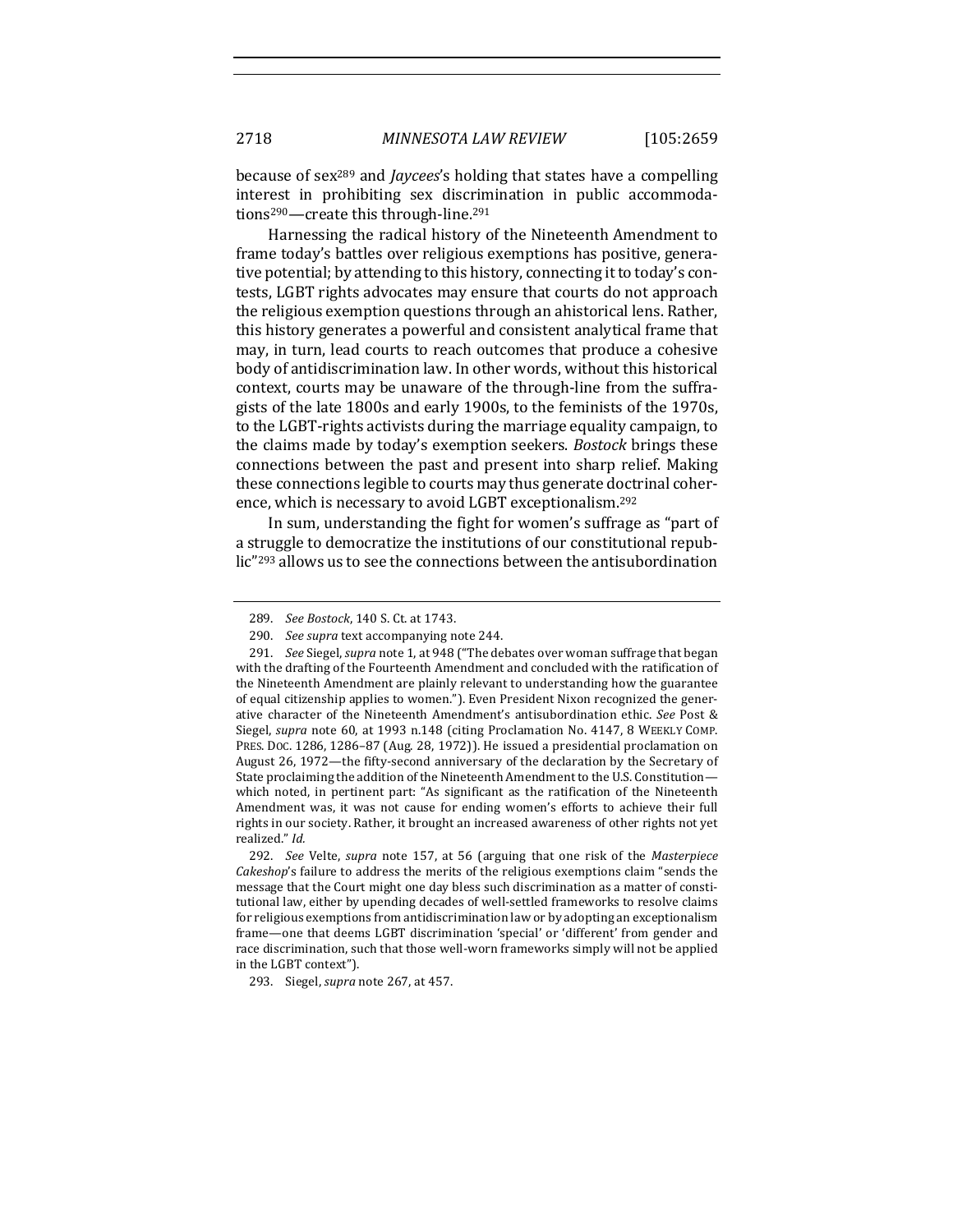because of sex<sup>289</sup> and *Jaycees*'s holding that states have a compelling interest in prohibiting sex discrimination in public accommodations<sup>290</sup>—create this through-line.<sup>291</sup>

Harnessing the radical history of the Nineteenth Amendment to frame today's battles over religious exemptions has positive, generative potential; by attending to this history, connecting it to today's contests, LGBT rights advocates may ensure that courts do not approach the religious exemption questions through an ahistorical lens. Rather, this history generates a powerful and consistent analytical frame that may, in turn, lead courts to reach outcomes that produce a cohesive body of antidiscrimination law. In other words, without this historical context, courts may be unaware of the through-line from the suffragists of the late 1800s and early 1900s, to the feminists of the 1970s, to the LGBT-rights activists during the marriage equality campaign, to the claims made by today's exemption seekers. *Bostock* brings these connections between the past and present into sharp relief. Making these connections legible to courts may thus generate doctrinal coherence, which is necessary to avoid LGBT exceptionalism.<sup>292</sup>

In sum, understanding the fight for women's suffrage as "part of a struggle to democratize the institutions of our constitutional republic"<sup>293</sup> allows us to see the connections between the antisubordination

293. Siegel, *supra* note 267, at 457.

<sup>289.</sup> *See Bostock*, 140 S. Ct. at 1743.

<sup>290.</sup> *See supra* text accompanying note 244.

<sup>291.</sup> *See* Siegel, *supra* note 1, at 948 ("The debates over woman suffrage that began with the drafting of the Fourteenth Amendment and concluded with the ratification of the Nineteenth Amendment are plainly relevant to understanding how the guarantee of equal citizenship applies to women."). Even President Nixon recognized the generative character of the Nineteenth Amendment's antisubordination ethic. See Post & Siegel, *supra* note 60, at 1993 n.148 (citing Proclamation No. 4147, 8 WEEKLY COMP. PRES. DOC. 1286, 1286-87 (Aug. 28, 1972)). He issued a presidential proclamation on August 26, 1972—the fifty-second anniversary of the declaration by the Secretary of State proclaiming the addition of the Nineteenth Amendment to the U.S. Constitutionwhich noted, in pertinent part: "As significant as the ratification of the Nineteenth Amendment was, it was not cause for ending women's efforts to achieve their full rights in our society. Rather, it brought an increased awareness of other rights not yet realized." *Id.*

<sup>292.</sup> *See* Velte, *supra* note 157, at 56 (arguing that one risk of the Masterpiece *Cakeshop*'s failure to address the merits of the religious exemptions claim "sends the message that the Court might one day bless such discrimination as a matter of constitutional law, either by upending decades of well-settled frameworks to resolve claims for religious exemptions from antidiscrimination law or by adopting an exceptionalism frame—one that deems LGBT discrimination 'special' or 'different' from gender and race discrimination, such that those well-worn frameworks simply will not be applied in the LGBT context").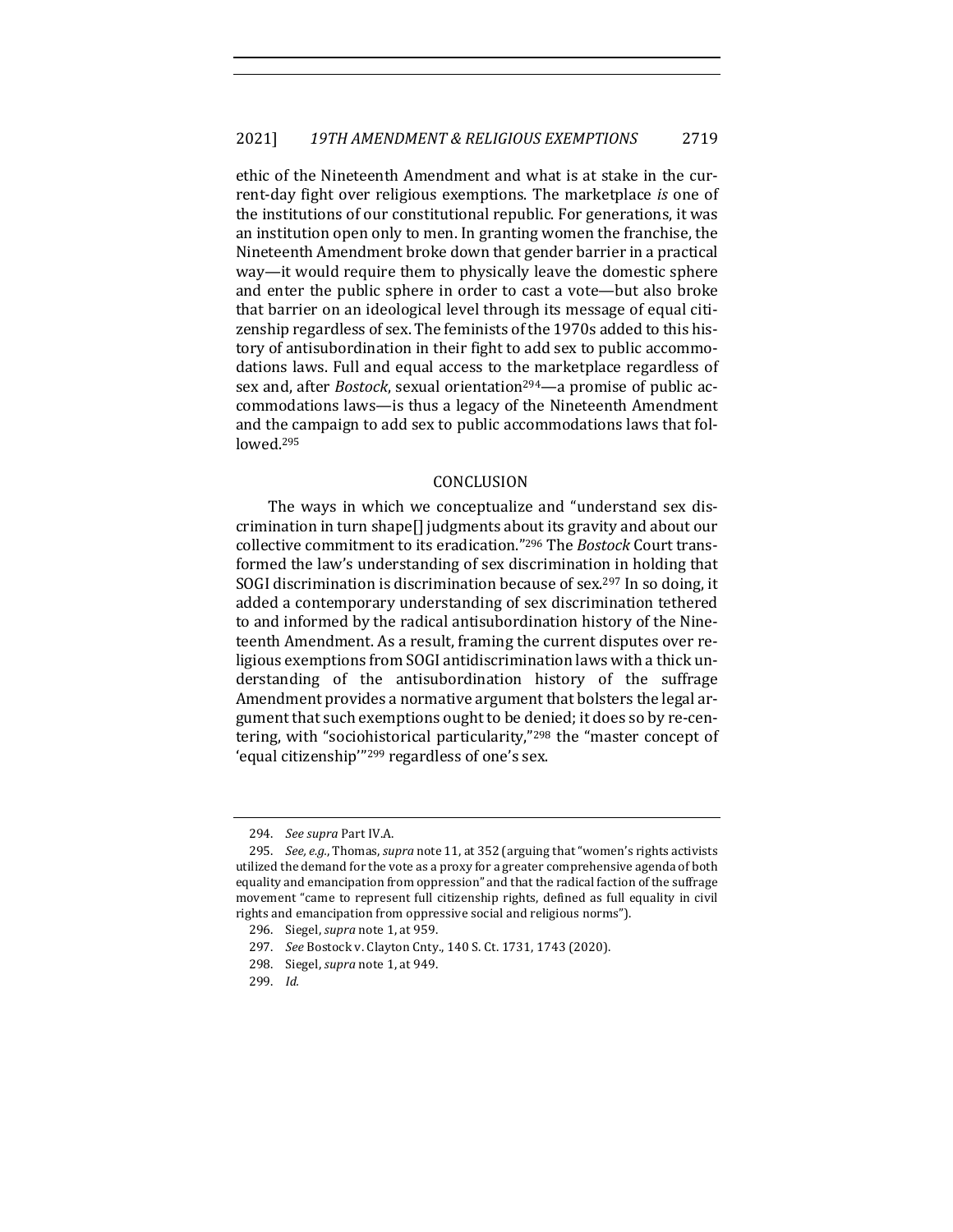ethic of the Nineteenth Amendment and what is at stake in the current-day fight over religious exemptions. The marketplace *is* one of the institutions of our constitutional republic. For generations, it was an institution open only to men. In granting women the franchise, the Nineteenth Amendment broke down that gender barrier in a practical way—it would require them to physically leave the domestic sphere and enter the public sphere in order to cast a vote—but also broke that barrier on an ideological level through its message of equal citizenship regardless of sex. The feminists of the 1970s added to this history of antisubordination in their fight to add sex to public accommodations laws. Full and equal access to the marketplace regardless of sex and, after *Bostock*, sexual orientation<sup>294</sup>—a promise of public accommodations laws—is thus a legacy of the Nineteenth Amendment and the campaign to add sex to public accommodations laws that followed.295

#### CONCLUSION

The ways in which we conceptualize and "understand sex discrimination in turn shape[] judgments about its gravity and about our collective commitment to its eradication."<sup>296</sup> The *Bostock* Court transformed the law's understanding of sex discrimination in holding that SOGI discrimination is discrimination because of sex.<sup>297</sup> In so doing, it added a contemporary understanding of sex discrimination tethered to and informed by the radical antisubordination history of the Nineteenth Amendment. As a result, framing the current disputes over religious exemptions from SOGI antidiscrimination laws with a thick understanding of the antisubordination history of the suffrage Amendment provides a normative argument that bolsters the legal argument that such exemptions ought to be denied; it does so by re-centering, with "sociohistorical particularity,"<sup>298</sup> the "master concept of 'equal citizenship"<sup>299</sup> regardless of one's sex.

<sup>294.</sup> *See supra* Part IV.A.

<sup>295.</sup> *See, e.g.*, Thomas, *supra* note 11, at 352 (arguing that "women's rights activists utilized the demand for the vote as a proxy for a greater comprehensive agenda of both equality and emancipation from oppression" and that the radical faction of the suffrage movement "came to represent full citizenship rights, defined as full equality in civil rights and emancipation from oppressive social and religious norms").

<sup>296.</sup> Siegel, *supra* note 1, at 959.

<sup>297.</sup> *See* Bostock v. Clayton Cnty., 140 S. Ct. 1731, 1743 (2020).

<sup>298.</sup> Siegel, *supra* note 1, at 949.

<sup>299.</sup> *Id.*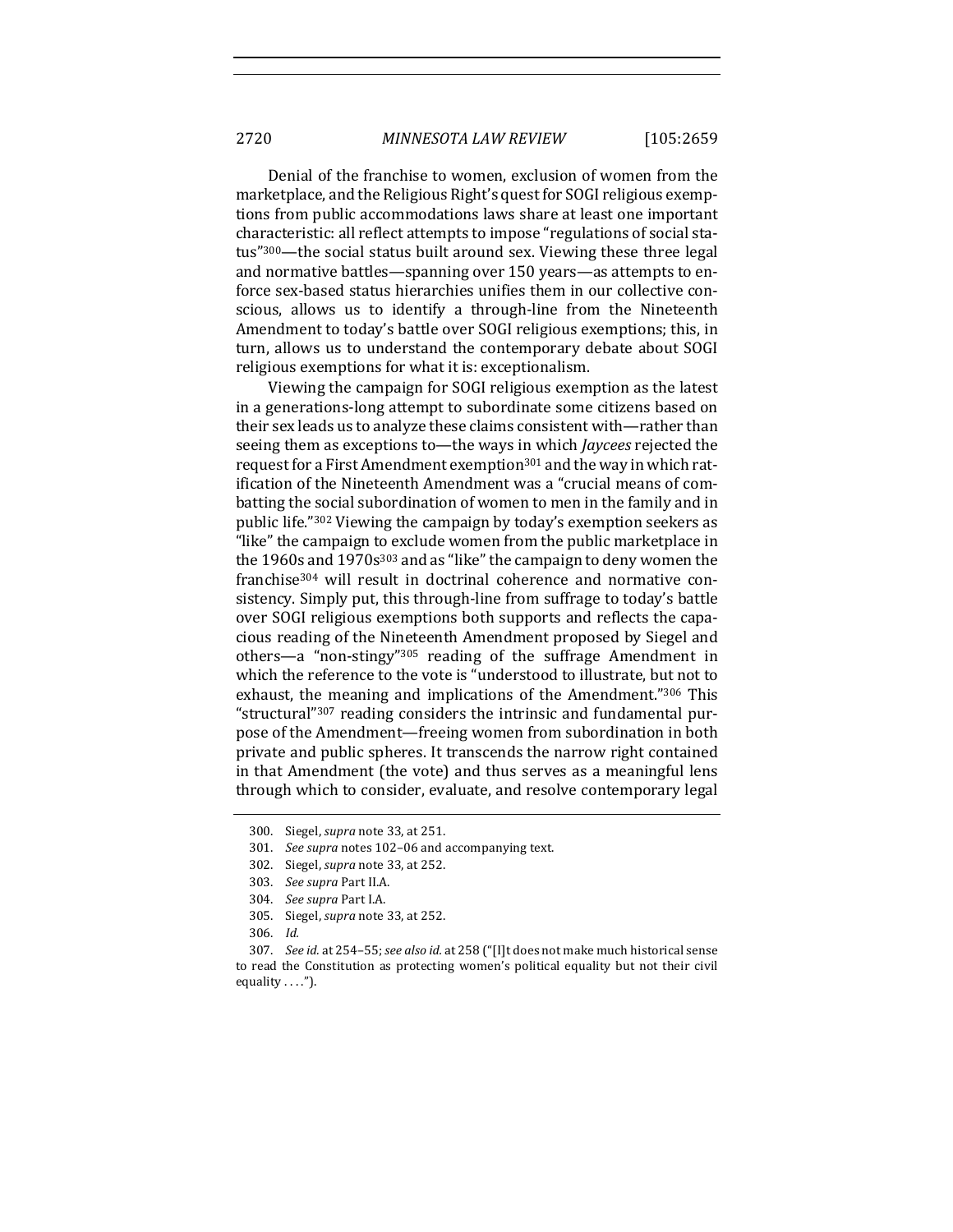2720 *MINNESOTA LAW REVIEW* [105:2659

Denial of the franchise to women, exclusion of women from the marketplace, and the Religious Right's quest for SOGI religious exemptions from public accommodations laws share at least one important characteristic: all reflect attempts to impose "regulations of social status"<sup>300</sup>—the social status built around sex. Viewing these three legal and normative battles—spanning over 150 years—as attempts to enforce sex-based status hierarchies unifies them in our collective conscious, allows us to identify a through-line from the Nineteenth Amendment to today's battle over SOGI religious exemptions; this, in turn, allows us to understand the contemporary debate about SOGI religious exemptions for what it is: exceptionalism.

Viewing the campaign for SOGI religious exemption as the latest in a generations-long attempt to subordinate some citizens based on their sex leads us to analyze these claims consistent with—rather than seeing them as exceptions to—the ways in which *Jaycees* rejected the request for a First Amendment exemption<sup>301</sup> and the way in which ratification of the Nineteenth Amendment was a "crucial means of combatting the social subordination of women to men in the family and in public life."<sup>302</sup> Viewing the campaign by today's exemption seekers as "like" the campaign to exclude women from the public marketplace in the  $1960s$  and  $1970s^{303}$  and as "like" the campaign to deny women the franchise<sup>304</sup> will result in doctrinal coherence and normative consistency. Simply put, this through-line from suffrage to today's battle over SOGI religious exemptions both supports and reflects the capacious reading of the Nineteenth Amendment proposed by Siegel and others—a "non-stingy"<sup>305</sup> reading of the suffrage Amendment in which the reference to the vote is "understood to illustrate, but not to exhaust, the meaning and implications of the Amendment."306 This "structural"<sup>307</sup> reading considers the intrinsic and fundamental purpose of the Amendment—freeing women from subordination in both private and public spheres. It transcends the narrow right contained in that Amendment (the vote) and thus serves as a meaningful lens through which to consider, evaluate, and resolve contemporary legal

301. See supra notes 102-06 and accompanying text.

<sup>300.</sup> Siegel, *supra* note 33, at 251.

<sup>302.</sup> Siegel, *supra* note 33, at 252.

<sup>303.</sup> See supra Part II.A.

<sup>304.</sup> *See supra* Part I.A.

<sup>305.</sup> Siegel, *supra* note 33, at 252.

<sup>306.</sup> *Id.*

<sup>307.</sup> *See id.* at 254–55; *see also id.* at 258 ("[I]t does not make much historical sense to read the Constitution as protecting women's political equality but not their civil equality  $\dots$ ").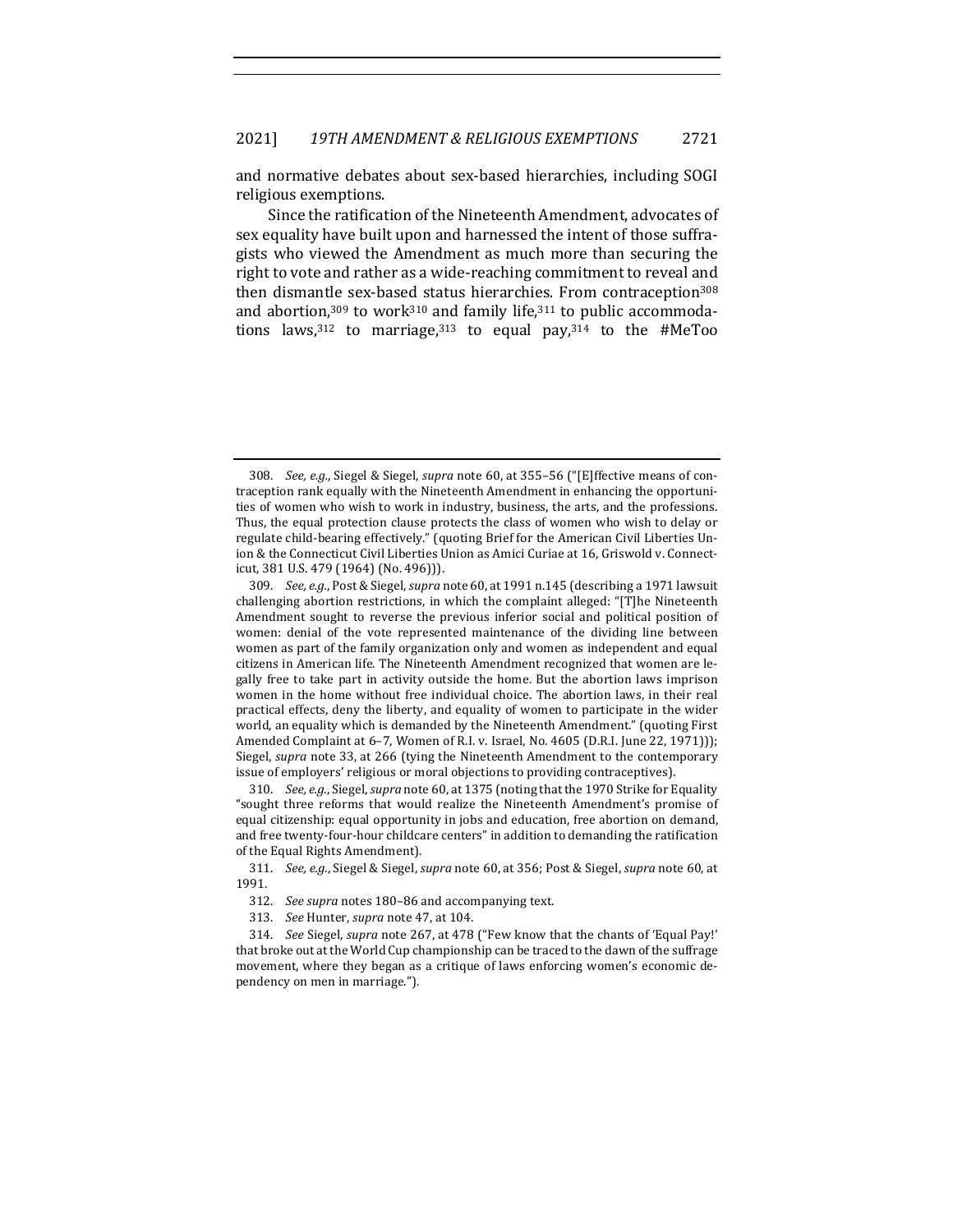and normative debates about sex-based hierarchies, including SOGI religious exemptions.

Since the ratification of the Nineteenth Amendment, advocates of sex equality have built upon and harnessed the intent of those suffragists who viewed the Amendment as much more than securing the right to vote and rather as a wide-reaching commitment to reveal and then dismantle sex-based status hierarchies. From contraception<sup>308</sup> and abortion, $309$  to work $310$  and family life, $311$  to public accommodations laws,  $312$  to marriage,  $313$  to equal pay,  $314$  to the #MeToo

310. *See, e.g.*, Siegel, *supra* note 60, at 1375 (noting that the 1970 Strike for Equality "sought three reforms that would realize the Nineteenth Amendment's promise of equal citizenship: equal opportunity in jobs and education, free abortion on demand, and free twenty-four-hour childcare centers" in addition to demanding the ratification of the Equal Rights Amendment).

311. *See, e.g.*, Siegel & Siegel, *supra* note 60, at 356; Post & Siegel, *supra* note 60, at 1991.

- 312. *See supra* notes 180-86 and accompanying text.
- 313. *See* Hunter, *supra* note 47, at 104.

314. *See* Siegel, *supra* note 267, at 478 ("Few know that the chants of 'Equal Pay!' that broke out at the World Cup championship can be traced to the dawn of the suffrage movement, where they began as a critique of laws enforcing women's economic dependency on men in marriage.").

<sup>308.</sup> *See, e.g.*, Siegel & Siegel, *supra* note 60, at 355-56 ("[E]ffective means of contraception rank equally with the Nineteenth Amendment in enhancing the opportunities of women who wish to work in industry, business, the arts, and the professions. Thus, the equal protection clause protects the class of women who wish to delay or regulate child-bearing effectively." (quoting Brief for the American Civil Liberties Union & the Connecticut Civil Liberties Union as Amici Curiae at 16, Griswold v. Connecticut, 381 U.S. 479 (1964) (No. 496))).

<sup>309.</sup> *See, e.g.*, Post & Siegel, *supra* note 60, at 1991 n.145 (describing a 1971 lawsuit challenging abortion restrictions, in which the complaint alleged: "[T]he Nineteenth Amendment sought to reverse the previous inferior social and political position of women: denial of the vote represented maintenance of the dividing line between women as part of the family organization only and women as independent and equal citizens in American life. The Nineteenth Amendment recognized that women are legally free to take part in activity outside the home. But the abortion laws imprison women in the home without free individual choice. The abortion laws, in their real practical effects, deny the liberty, and equality of women to participate in the wider world, an equality which is demanded by the Nineteenth Amendment." (quoting First Amended Complaint at 6-7, Women of R.I. v. Israel, No. 4605 (D.R.I. June 22, 1971))); Siegel, *supra* note 33, at 266 (tying the Nineteenth Amendment to the contemporary issue of employers' religious or moral objections to providing contraceptives).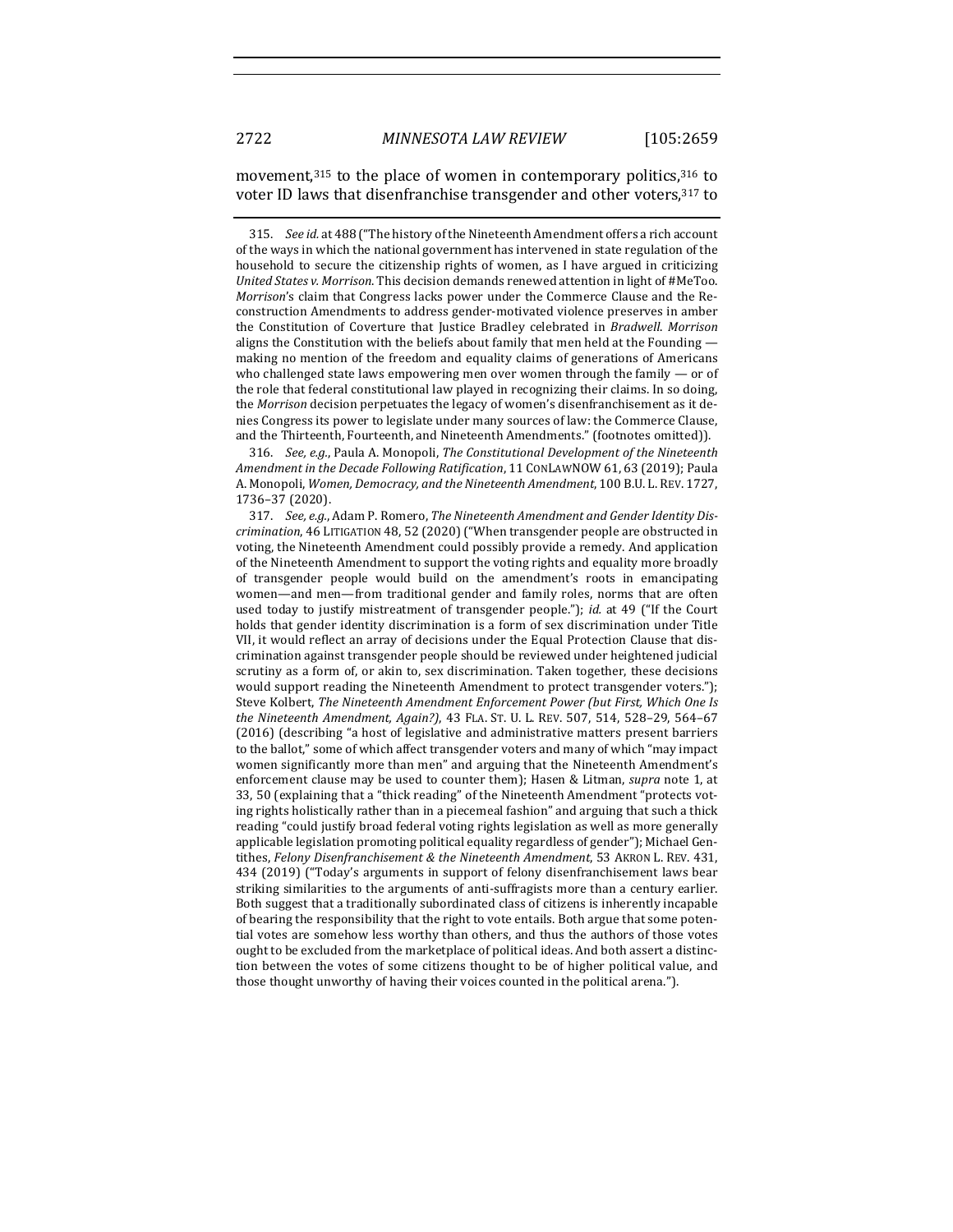#### movement, $315$  to the place of women in contemporary politics, $316$  to voter ID laws that disenfranchise transgender and other voters, 317 to

315. *See id.* at 488 ("The history of the Nineteenth Amendment offers a rich account of the ways in which the national government has intervened in state regulation of the household to secure the citizenship rights of women, as I have argued in criticizing *United States v. Morrison*. This decision demands renewed attention in light of #MeToo. *Morrison's* claim that Congress lacks power under the Commerce Clause and the Reconstruction Amendments to address gender-motivated violence preserves in amber the Constitution of Coverture that Justice Bradley celebrated in *Bradwell*. Morrison aligns the Constitution with the beliefs about family that men held at the Founding making no mention of the freedom and equality claims of generations of Americans who challenged state laws empowering men over women through the family  $-$  or of the role that federal constitutional law played in recognizing their claims. In so doing, the *Morrison* decision perpetuates the legacy of women's disenfranchisement as it denies Congress its power to legislate under many sources of law: the Commerce Clause, and the Thirteenth, Fourteenth, and Nineteenth Amendments." (footnotes omitted)).

316. *See, e.g.*, Paula A. Monopoli, *The Constitutional Development of the Nineteenth Amendment in the Decade Following Ratification*, 11 CONLAWNOW 61, 63 (2019); Paula A. Monopoli, *Women, Democracy, and the Nineteenth Amendment*, 100 B.U. L. REV. 1727, 1736–37 (2020).

317. See, e.g., Adam P. Romero, *The Nineteenth Amendment and Gender Identity Discrimination*, 46 LITIGATION 48, 52 (2020) ("When transgender people are obstructed in voting, the Nineteenth Amendment could possibly provide a remedy. And application of the Nineteenth Amendment to support the voting rights and equality more broadly of transgender people would build on the amendment's roots in emancipating women—and men—from traditional gender and family roles, norms that are often used today to justify mistreatment of transgender people."); *id.* at 49 ("If the Court holds that gender identity discrimination is a form of sex discrimination under Title VII, it would reflect an array of decisions under the Equal Protection Clause that discrimination against transgender people should be reviewed under heightened judicial scrutiny as a form of, or akin to, sex discrimination. Taken together, these decisions would support reading the Nineteenth Amendment to protect transgender voters."); Steve Kolbert, *The Nineteenth Amendment Enforcement Power (but First, Which One Is the Nineteenth Amendment, Again?),* 43 FLA. ST. U. L. REV. 507, 514, 528-29, 564-67 (2016) (describing "a host of legislative and administrative matters present barriers to the ballot," some of which affect transgender voters and many of which "may impact women significantly more than men" and arguing that the Nineteenth Amendment's enforcement clause may be used to counter them); Hasen & Litman, *supra* note 1, at 33, 50 (explaining that a "thick reading" of the Nineteenth Amendment "protects voting rights holistically rather than in a piecemeal fashion" and arguing that such a thick reading "could justify broad federal voting rights legislation as well as more generally applicable legislation promoting political equality regardless of gender"); Michael Gentithes, *Felony Disenfranchisement & the Nineteenth Amendment*, 53 AKRON L. REV. 431, 434 (2019) ("Today's arguments in support of felony disenfranchisement laws bear striking similarities to the arguments of anti-suffragists more than a century earlier. Both suggest that a traditionally subordinated class of citizens is inherently incapable of bearing the responsibility that the right to vote entails. Both argue that some potential votes are somehow less worthy than others, and thus the authors of those votes ought to be excluded from the marketplace of political ideas. And both assert a distinction between the votes of some citizens thought to be of higher political value, and those thought unworthy of having their voices counted in the political arena.").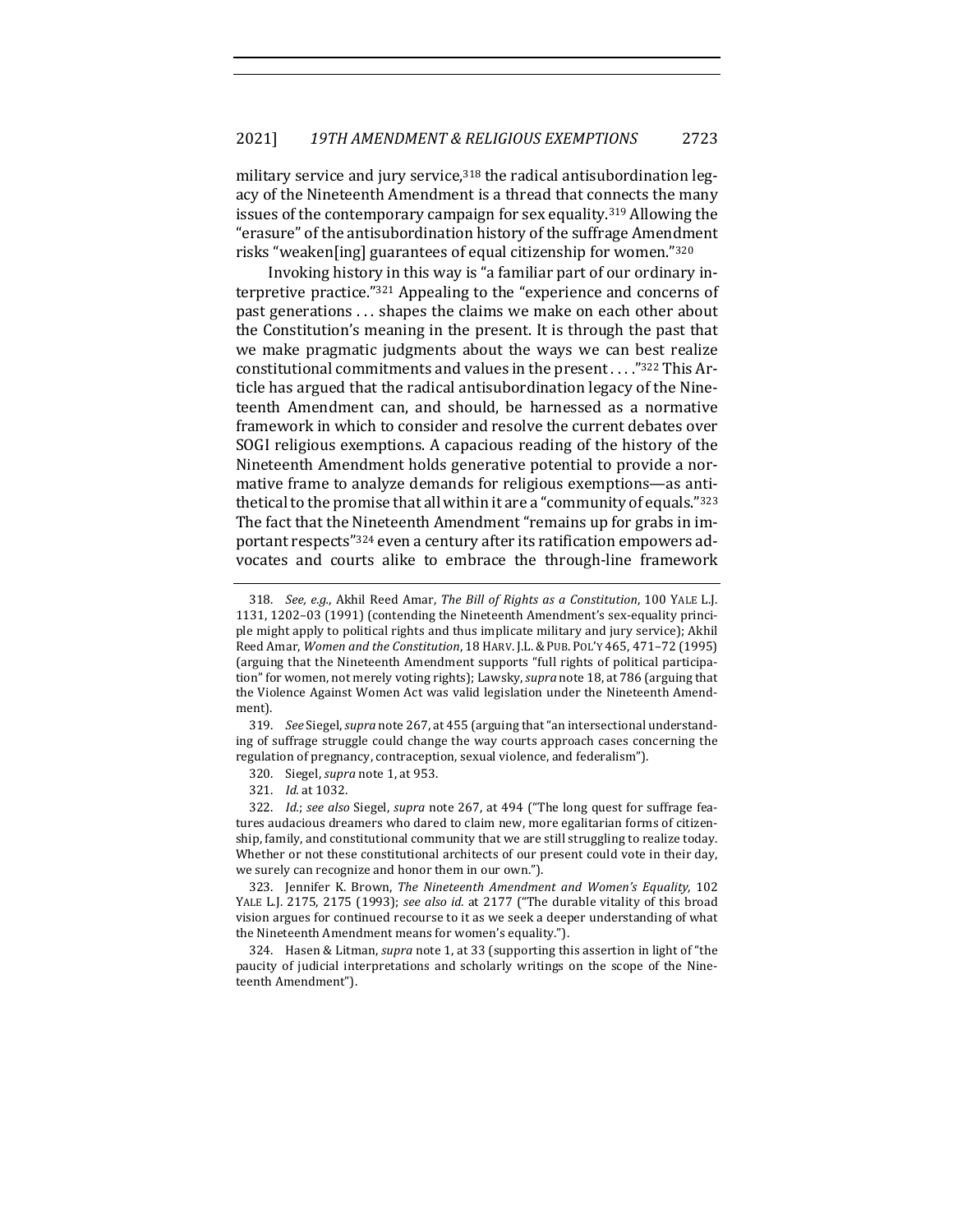military service and jury service, $318$  the radical antisubordination legacy of the Nineteenth Amendment is a thread that connects the many issues of the contemporary campaign for sex equality.<sup>319</sup> Allowing the "erasure" of the antisubordination history of the suffrage Amendment risks "weaken[ing] guarantees of equal citizenship for women."320

Invoking history in this way is "a familiar part of our ordinary interpretive practice." $321$  Appealing to the "experience and concerns of past generations ... shapes the claims we make on each other about the Constitution's meaning in the present. It is through the past that we make pragmatic judgments about the ways we can best realize constitutional commitments and values in the present  $\dots$ ."322 This Article has argued that the radical antisubordination legacy of the Nineteenth Amendment can, and should, be harnessed as a normative framework in which to consider and resolve the current debates over SOGI religious exemptions. A capacious reading of the history of the Nineteenth Amendment holds generative potential to provide a normative frame to analyze demands for religious exemptions—as antithetical to the promise that all within it are a "community of equals."323 The fact that the Nineteenth Amendment "remains up for grabs in important respects"324 even a century after its ratification empowers advocates and courts alike to embrace the through-line framework

319. *See* Siegel, *supra* note 267, at 455 (arguing that "an intersectional understanding of suffrage struggle could change the way courts approach cases concerning the regulation of pregnancy, contraception, sexual violence, and federalism").

320. Siegel, *supra* note 1, at 953.

321. *Id.* at 1032.

322. *Id.*; see also Siegel, supra note 267, at 494 ("The long quest for suffrage features audacious dreamers who dared to claim new, more egalitarian forms of citizenship, family, and constitutional community that we are still struggling to realize today. Whether or not these constitutional architects of our present could vote in their day, we surely can recognize and honor them in our own.").

323. Jennifer K. Brown, *The Nineteenth Amendment and Women's Equality*, 102 YALE L.J. 2175, 2175 (1993); see also id. at 2177 ("The durable vitality of this broad vision argues for continued recourse to it as we seek a deeper understanding of what the Nineteenth Amendment means for women's equality.").

324. Hasen & Litman, *supra* note 1, at 33 (supporting this assertion in light of "the paucity of judicial interpretations and scholarly writings on the scope of the Nineteenth Amendment").

<sup>318.</sup> *See, e.g.*, Akhil Reed Amar, *The Bill of Rights as a Constitution*, 100 YALE L.J. 1131, 1202-03 (1991) (contending the Nineteenth Amendment's sex-equality principle might apply to political rights and thus implicate military and jury service); Akhil Reed Amar, *Women and the Constitution*, 18 HARV. J.L. & PUB. POL'Y 465, 471-72 (1995) (arguing that the Nineteenth Amendment supports "full rights of political participation" for women, not merely voting rights); Lawsky, *supra* note 18, at 786 (arguing that the Violence Against Women Act was valid legislation under the Nineteenth Amendment).